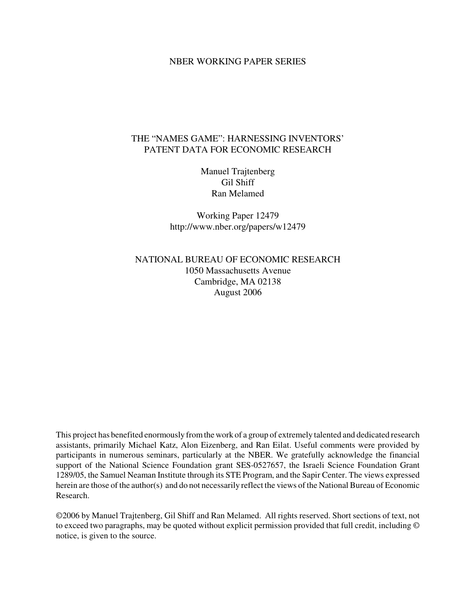#### NBER WORKING PAPER SERIES

# THE "NAMES GAME": HARNESSING INVENTORS' PATENT DATA FOR ECONOMIC RESEARCH

Manuel Trajtenberg Gil Shiff Ran Melamed

Working Paper 12479 http://www.nber.org/papers/w12479

NATIONAL BUREAU OF ECONOMIC RESEARCH 1050 Massachusetts Avenue Cambridge, MA 02138 August 2006

This project has benefited enormously fromthe work of a group of extremely talented and dedicated research assistants, primarily Michael Katz, Alon Eizenberg, and Ran Eilat. Useful comments were provided by participants in numerous seminars, particularly at the NBER. We gratefully acknowledge the financial support of the National Science Foundation grant SES-0527657, the Israeli Science Foundation Grant 1289/05, the Samuel Neaman Institute through its STE Program, and the Sapir Center. The views expressed herein are those of the author(s) and do not necessarily reflect the views of the National Bureau of Economic Research.

©2006 by Manuel Trajtenberg, Gil Shiff and Ran Melamed. All rights reserved. Short sections of text, not to exceed two paragraphs, may be quoted without explicit permission provided that full credit, including © notice, is given to the source.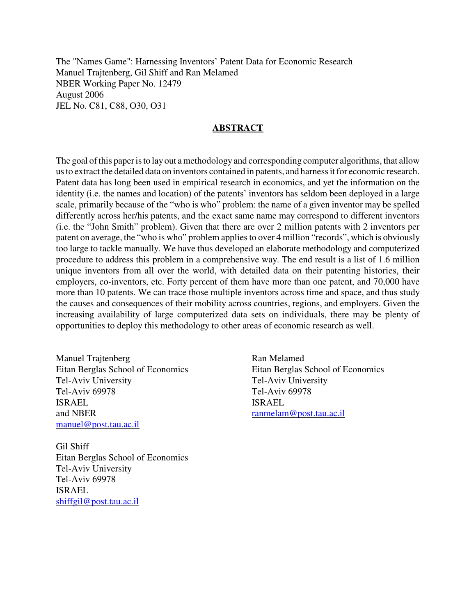The "Names Game": Harnessing Inventors' Patent Data for Economic Research Manuel Trajtenberg, Gil Shiff and Ran Melamed NBER Working Paper No. 12479 August 2006 JEL No. C81, C88, O30, O31

### **ABSTRACT**

The goal of this paper is to lay out a methodology and corresponding computer algorithms, that allow usto extract the detailed data on inventors contained in patents, and harnessitfor economic research. Patent data has long been used in empirical research in economics, and yet the information on the identity (i.e. the names and location) of the patents' inventors has seldom been deployed in a large scale, primarily because of the "who is who" problem: the name of a given inventor may be spelled differently across her/his patents, and the exact same name may correspond to different inventors (i.e. the "John Smith" problem). Given that there are over 2 million patents with 2 inventors per patent on average, the "who is who" problem appliesto over 4 million "records", which is obviously too large to tackle manually. We have thus developed an elaborate methodology and computerized procedure to address this problem in a comprehensive way. The end result is a list of 1.6 million unique inventors from all over the world, with detailed data on their patenting histories, their employers, co-inventors, etc. Forty percent of them have more than one patent, and 70,000 have more than 10 patents. We can trace those multiple inventors across time and space, and thus study the causes and consequences of their mobility across countries, regions, and employers. Given the increasing availability of large computerized data sets on individuals, there may be plenty of opportunities to deploy this methodology to other areas of economic research as well.

Manuel Trajtenberg Eitan Berglas School of Economics Tel-Aviv University Tel-Aviv 69978 ISRAEL and NBER manuel@post.tau.ac.il

Gil Shiff Eitan Berglas School of Economics Tel-Aviv University Tel-Aviv 69978 ISRAEL shiffgil@post.tau.ac.il

Ran Melamed Eitan Berglas School of Economics Tel-Aviv University Tel-Aviv 69978 ISRAEL ranmelam@post.tau.ac.il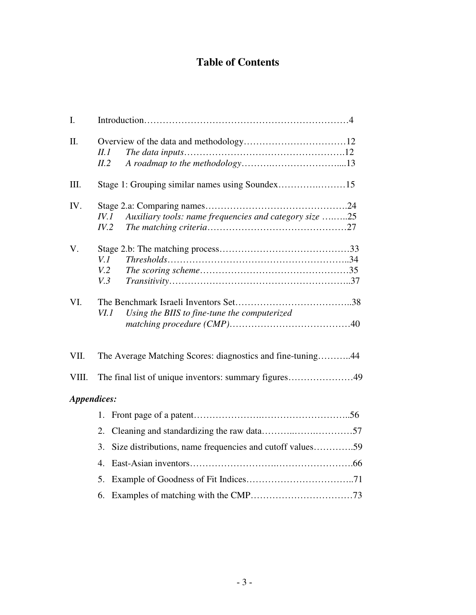# **Table of Contents**

| I.          |                                                                            |  |  |
|-------------|----------------------------------------------------------------------------|--|--|
| Π.          | II.1<br>II.2                                                               |  |  |
| III.        | Stage 1: Grouping similar names using Soundex15                            |  |  |
| IV.         | Auxiliary tools: name frequencies and category size 25<br>$I\!V.1$<br>IV.2 |  |  |
| V.          | V.1<br>V <sub>1</sub> 2<br>V.3                                             |  |  |
| VI.         | Using the BIIS to fine-tune the computerized<br>VI.1                       |  |  |
| VII.        | The Average Matching Scores: diagnostics and fine-tuning44                 |  |  |
| VIII.       | The final list of unique inventors: summary figures49                      |  |  |
| Appendices: |                                                                            |  |  |
|             |                                                                            |  |  |
|             | 2.                                                                         |  |  |
|             | Size distributions, name frequencies and cutoff values59<br>3.             |  |  |
|             | 4 <sup>1</sup>                                                             |  |  |
|             | 5.                                                                         |  |  |
|             | 6.                                                                         |  |  |
|             |                                                                            |  |  |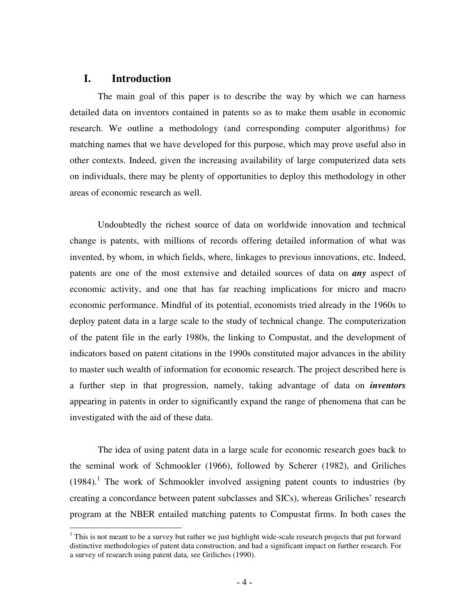# **I. Introduction**

The main goal of this paper is to describe the way by which we can harness detailed data on inventors contained in patents so as to make them usable in economic research. We outline a methodology (and corresponding computer algorithms) for matching names that we have developed for this purpose, which may prove useful also in other contexts. Indeed, given the increasing availability of large computerized data sets on individuals, there may be plenty of opportunities to deploy this methodology in other areas of economic research as well.

Undoubtedly the richest source of data on worldwide innovation and technical change is patents, with millions of records offering detailed information of what was invented, by whom, in which fields, where, linkages to previous innovations, etc. Indeed, patents are one of the most extensive and detailed sources of data on *any* aspect of economic activity, and one that has far reaching implications for micro and macro economic performance. Mindful of its potential, economists tried already in the 1960s to deploy patent data in a large scale to the study of technical change. The computerization of the patent file in the early 1980s, the linking to Compustat, and the development of indicators based on patent citations in the 1990s constituted major advances in the ability to master such wealth of information for economic research. The project described here is a further step in that progression, namely, taking advantage of data on *inventors* appearing in patents in order to significantly expand the range of phenomena that can be investigated with the aid of these data.

The idea of using patent data in a large scale for economic research goes back to the seminal work of Schmookler (1966), followed by Scherer (1982), and Griliches (1984). 1 The work of Schmookler involved assigning patent counts to industries (by creating a concordance between patent subclasses and SICs), whereas Griliches' research program at the NBER entailed matching patents to Compustat firms. In both cases the

<sup>&</sup>lt;sup>1</sup> This is not meant to be a survey but rather we just highlight wide-scale research projects that put forward distinctive methodologies of patent data construction, and had a significant impact on further research. For a survey of research using patent data, see Griliches (1990).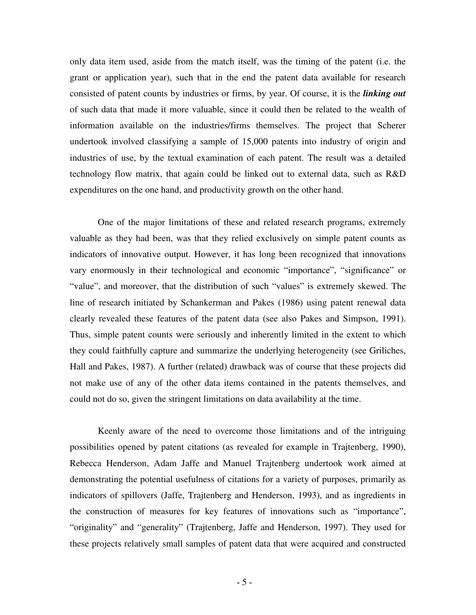only data item used, aside from the match itself, was the timing of the patent (i.e. the grant or application year), such that in the end the patent data available for research consisted of patent counts by industries or firms, by year. Of course, it is the *linking out* of such data that made it more valuable, since it could then be related to the wealth of information available on the industries/firms themselves. The project that Scherer undertook involved classifying a sample of 15,000 patents into industry of origin and industries of use, by the textual examination of each patent. The result was a detailed technology flow matrix, that again could be linked out to external data, such as R&D expenditures on the one hand, and productivity growth on the other hand.

One of the major limitations of these and related research programs, extremely valuable as they had been, was that they relied exclusively on simple patent counts as indicators of innovative output. However, it has long been recognized that innovations vary enormously in their technological and economic "importance", "significance" or "value", and moreover, that the distribution of such "values" is extremely skewed. The line of research initiated by Schankerman and Pakes (1986) using patent renewal data clearly revealed these features of the patent data (see also Pakes and Simpson, 1991). Thus, simple patent counts were seriously and inherently limited in the extent to which they could faithfully capture and summarize the underlying heterogeneity (see Griliches, Hall and Pakes, 1987). A further (related) drawback was of course that these projects did not make use of any of the other data items contained in the patents themselves, and could not do so, given the stringent limitations on data availability at the time.

Keenly aware of the need to overcome those limitations and of the intriguing possibilities opened by patent citations (as revealed for example in Trajtenberg, 1990), Rebecca Henderson, Adam Jaffe and Manuel Trajtenberg undertook work aimed at demonstrating the potential usefulness of citations for a variety of purposes, primarily as indicators of spillovers (Jaffe, Trajtenberg and Henderson, 1993), and as ingredients in the construction of measures for key features of innovations such as "importance", "originality" and "generality" (Trajtenberg, Jaffe and Henderson, 1997). They used for these projects relatively small samples of patent data that were acquired and constructed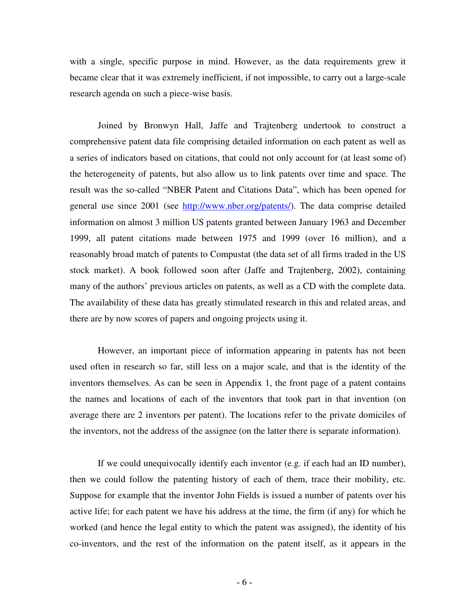with a single, specific purpose in mind. However, as the data requirements grew it became clear that it was extremely inefficient, if not impossible, to carry out a large-scale research agenda on such a piece-wise basis.

Joined by Bronwyn Hall, Jaffe and Trajtenberg undertook to construct a comprehensive patent data file comprising detailed information on each patent as well as a series of indicators based on citations, that could not only account for (at least some of) the heterogeneity of patents, but also allow us to link patents over time and space. The result was the so-called "NBER Patent and Citations Data", which has been opened for general use since 2001 (see http://www.nber.org/patents/). The data comprise detailed information on almost 3 million US patents granted between January 1963 and December 1999, all patent citations made between 1975 and 1999 (over 16 million), and a reasonably broad match of patents to Compustat (the data set of all firms traded in the US stock market). A book followed soon after (Jaffe and Trajtenberg, 2002), containing many of the authors' previous articles on patents, as well as a CD with the complete data. The availability of these data has greatly stimulated research in this and related areas, and there are by now scores of papers and ongoing projects using it.

However, an important piece of information appearing in patents has not been used often in research so far, still less on a major scale, and that is the identity of the inventors themselves. As can be seen in Appendix 1, the front page of a patent contains the names and locations of each of the inventors that took part in that invention (on average there are 2 inventors per patent). The locations refer to the private domiciles of the inventors, not the address of the assignee (on the latter there is separate information).

If we could unequivocally identify each inventor (e.g. if each had an ID number), then we could follow the patenting history of each of them, trace their mobility, etc. Suppose for example that the inventor John Fields is issued a number of patents over his active life; for each patent we have his address at the time, the firm (if any) for which he worked (and hence the legal entity to which the patent was assigned), the identity of his co-inventors, and the rest of the information on the patent itself, as it appears in the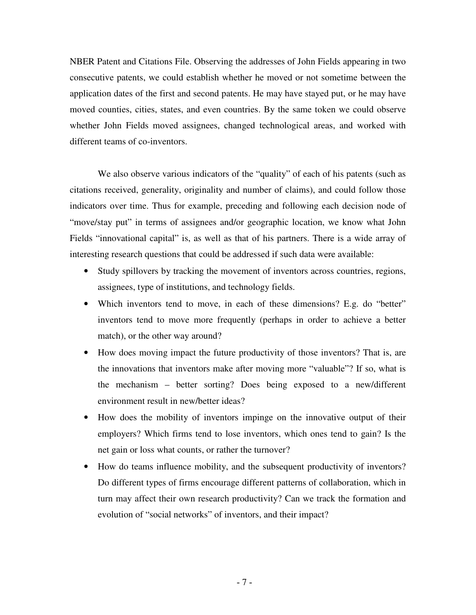NBER Patent and Citations File. Observing the addresses of John Fields appearing in two consecutive patents, we could establish whether he moved or not sometime between the application dates of the first and second patents. He may have stayed put, or he may have moved counties, cities, states, and even countries. By the same token we could observe whether John Fields moved assignees, changed technological areas, and worked with different teams of co-inventors.

We also observe various indicators of the "quality" of each of his patents (such as citations received, generality, originality and number of claims), and could follow those indicators over time. Thus for example, preceding and following each decision node of "move/stay put" in terms of assignees and/or geographic location, we know what John Fields "innovational capital" is, as well as that of his partners. There is a wide array of interesting research questions that could be addressed if such data were available:

- Study spillovers by tracking the movement of inventors across countries, regions, assignees, type of institutions, and technology fields.
- Which inventors tend to move, in each of these dimensions? E.g. do "better" inventors tend to move more frequently (perhaps in order to achieve a better match), or the other way around?
- How does moving impact the future productivity of those inventors? That is, are the innovations that inventors make after moving more "valuable"? If so, what is the mechanism – better sorting? Does being exposed to a new/different environment result in new/better ideas?
- How does the mobility of inventors impinge on the innovative output of their employers? Which firms tend to lose inventors, which ones tend to gain? Is the net gain or loss what counts, or rather the turnover?
- How do teams influence mobility, and the subsequent productivity of inventors? Do different types of firms encourage different patterns of collaboration, which in turn may affect their own research productivity? Can we track the formation and evolution of "social networks" of inventors, and their impact?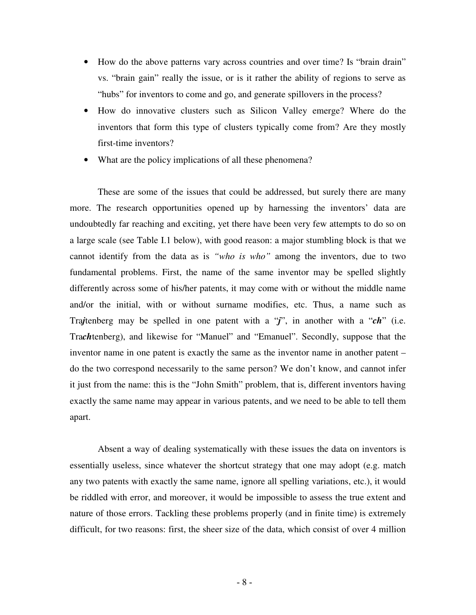- How do the above patterns vary across countries and over time? Is "brain drain" vs. "brain gain" really the issue, or is it rather the ability of regions to serve as "hubs" for inventors to come and go, and generate spillovers in the process?
- How do innovative clusters such as Silicon Valley emerge? Where do the inventors that form this type of clusters typically come from? Are they mostly first-time inventors?
- What are the policy implications of all these phenomena?

These are some of the issues that could be addressed, but surely there are many more. The research opportunities opened up by harnessing the inventors' data are undoubtedly far reaching and exciting, yet there have been very few attempts to do so on a large scale (see Table I.1 below), with good reason: a major stumbling block is that we cannot identify from the data as is *"who is who"* among the inventors, due to two fundamental problems. First, the name of the same inventor may be spelled slightly differently across some of his/her patents, it may come with or without the middle name and/or the initial, with or without surname modifies, etc. Thus, a name such as Tra*j*tenberg may be spelled in one patent with a "*j*", in another with a "*ch*" (i.e. Tra*ch*tenberg), and likewise for "Manuel" and "Emanuel". Secondly, suppose that the inventor name in one patent is exactly the same as the inventor name in another patent – do the two correspond necessarily to the same person? We don't know, and cannot infer it just from the name: this is the "John Smith" problem, that is, different inventors having exactly the same name may appear in various patents, and we need to be able to tell them apart.

Absent a way of dealing systematically with these issues the data on inventors is essentially useless, since whatever the shortcut strategy that one may adopt (e.g. match any two patents with exactly the same name, ignore all spelling variations, etc.), it would be riddled with error, and moreover, it would be impossible to assess the true extent and nature of those errors. Tackling these problems properly (and in finite time) is extremely difficult, for two reasons: first, the sheer size of the data, which consist of over 4 million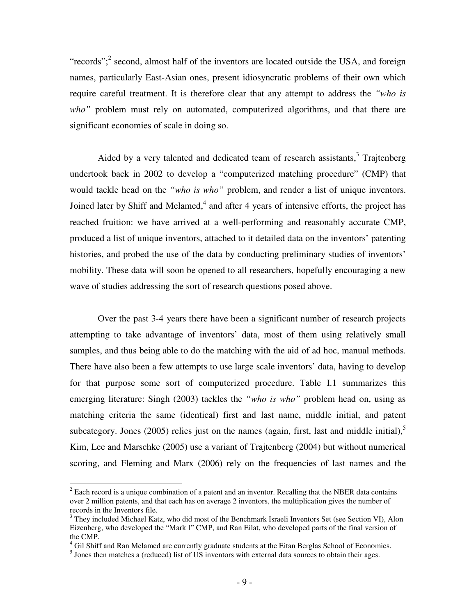"records";<sup>2</sup> second, almost half of the inventors are located outside the USA, and foreign names, particularly East-Asian ones, present idiosyncratic problems of their own which require careful treatment. It is therefore clear that any attempt to address the *"who is* who" problem must rely on automated, computerized algorithms, and that there are significant economies of scale in doing so.

Aided by a very talented and dedicated team of research assistants,<sup>3</sup> Trajtenberg undertook back in 2002 to develop a "computerized matching procedure" (CMP) that would tackle head on the *"who is who"* problem, and render a list of unique inventors. Joined later by Shiff and Melamed,<sup>4</sup> and after 4 years of intensive efforts, the project has reached fruition: we have arrived at a well-performing and reasonably accurate CMP, produced a list of unique inventors, attached to it detailed data on the inventors' patenting histories, and probed the use of the data by conducting preliminary studies of inventors' mobility. These data will soon be opened to all researchers, hopefully encouraging a new wave of studies addressing the sort of research questions posed above.

Over the past 3-4 years there have been a significant number of research projects attempting to take advantage of inventors' data, most of them using relatively small samples, and thus being able to do the matching with the aid of ad hoc, manual methods. There have also been a few attempts to use large scale inventors' data, having to develop for that purpose some sort of computerized procedure. Table I.1 summarizes this emerging literature: Singh (2003) tackles the *"who is who"* problem head on, using as matching criteria the same (identical) first and last name, middle initial, and patent subcategory. Jones (2005) relies just on the names (again, first, last and middle initial),<sup>5</sup> Kim, Lee and Marschke (2005) use a variant of Trajtenberg (2004) but without numerical scoring, and Fleming and Marx (2006) rely on the frequencies of last names and the

<sup>&</sup>lt;sup>2</sup> Each record is a unique combination of a patent and an inventor. Recalling that the NBER data contains over 2 million patents, and that each has on average 2 inventors, the multiplication gives the number of records in the Inventors file.

<sup>&</sup>lt;sup>3</sup> They included Michael Katz, who did most of the Benchmark Israeli Inventors Set (see Section VI), Alon Eizenberg, who developed the "Mark I" CMP, and Ran Eilat, who developed parts of the final version of the CMP.

 $4$  Gil Shiff and Ran Melamed are currently graduate students at the Eitan Berglas School of Economics.

 $<sup>5</sup>$  Jones then matches a (reduced) list of US inventors with external data sources to obtain their ages.</sup>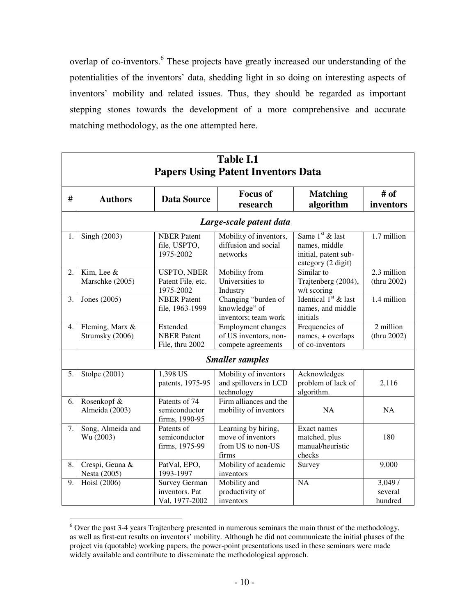overlap of co-inventors.<sup>6</sup> These projects have greatly increased our understanding of the potentialities of the inventors' data, shedding light in so doing on interesting aspects of inventors' mobility and related issues. Thus, they should be regarded as important stepping stones towards the development of a more comprehensive and accurate matching methodology, as the one attempted here.

|    | <b>Table I.1</b>                          |                                                          |                                                                        |                                                                                  |                              |  |  |
|----|-------------------------------------------|----------------------------------------------------------|------------------------------------------------------------------------|----------------------------------------------------------------------------------|------------------------------|--|--|
|    | <b>Papers Using Patent Inventors Data</b> |                                                          |                                                                        |                                                                                  |                              |  |  |
| #  | <b>Authors</b>                            | <b>Data Source</b>                                       | <b>Focus of</b><br>research                                            | <b>Matching</b><br>algorithm                                                     | # of<br>inventors            |  |  |
|    |                                           |                                                          | Large-scale patent data                                                |                                                                                  |                              |  |  |
| 1. | Singh $(2003)$                            | <b>NBER</b> Patent<br>file, USPTO,<br>1975-2002          | Mobility of inventors,<br>diffusion and social<br>networks             | Same $1st$ & last<br>names, middle<br>initial, patent sub-<br>category (2 digit) | 1.7 million                  |  |  |
| 2. | Kim, Lee &<br>Marschke (2005)             | <b>USPTO, NBER</b><br>Patent File, etc.<br>1975-2002     | Mobility from<br>Universities to<br>Industry                           | Similar to<br>Trajtenberg (2004),<br>w/t scoring                                 | 2.3 million<br>(thru 2002)   |  |  |
| 3. | Jones (2005)                              | <b>NBER</b> Patent<br>file, 1963-1999                    | Changing "burden of<br>knowledge" of<br>inventors; team work           | Identical $1st$ & last<br>names, and middle<br>initials                          | 1.4 million                  |  |  |
| 4. | Fleming, Marx &<br>Strumsky (2006)        | Extended<br><b>NBER Patent</b><br>File, thru 2002        | Employment changes<br>of US inventors, non-<br>compete agreements      | Frequencies of<br>names, + overlaps<br>of co-inventors                           | 2 million<br>(thru 2002)     |  |  |
|    |                                           |                                                          | <b>Smaller samples</b>                                                 |                                                                                  |                              |  |  |
| 5. | Stolpe (2001)                             | 1,398 US<br>patents, 1975-95                             | Mobility of inventors<br>and spillovers in LCD<br>technology           | Acknowledges<br>problem of lack of<br>algorithm.                                 | 2,116                        |  |  |
| 6. | Rosenkopf &<br>Almeida (2003)             | Patents of 74<br>semiconductor<br>firms, 1990-95         | Firm alliances and the<br>mobility of inventors                        | <b>NA</b>                                                                        | NA                           |  |  |
| 7. | Song, Almeida and<br>Wu (2003)            | Patents of<br>semiconductor<br>firms, 1975-99            | Learning by hiring,<br>move of inventors<br>from US to non-US<br>firms | Exact names<br>matched, plus<br>manual/heuristic<br>checks                       | 180                          |  |  |
| 8. | Crespi, Geuna &<br>Nesta (2005)           | PatVal, EPO,<br>1993-1997                                | Mobility of academic<br>inventors                                      | Survey                                                                           | 9,000                        |  |  |
| 9. | Hoisl (2006)                              | <b>Survey German</b><br>inventors. Pat<br>Val, 1977-2002 | Mobility and<br>productivity of<br>inventors                           | <b>NA</b>                                                                        | 3,049/<br>several<br>hundred |  |  |

<sup>6</sup> Over the past 3-4 years Trajtenberg presented in numerous seminars the main thrust of the methodology, as well as first-cut results on inventors' mobility. Although he did not communicate the initial phases of the project via (quotable) working papers, the power-point presentations used in these seminars were made widely available and contribute to disseminate the methodological approach.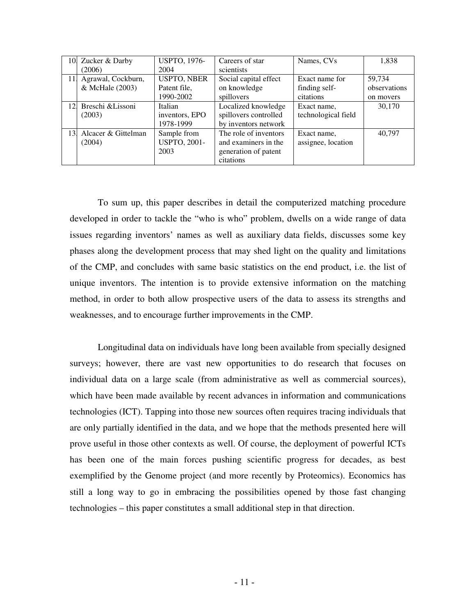| 10. | Zucker & Darby      | <b>USPTO, 1976-</b> | Careers of star       | Names, CVs          | 1,838        |
|-----|---------------------|---------------------|-----------------------|---------------------|--------------|
|     | (2006)              | 2004                | scientists            |                     |              |
| 11. | Agrawal, Cockburn,  | <b>USPTO, NBER</b>  | Social capital effect | Exact name for      | 59,734       |
|     | & McHale (2003)     | Patent file,        | on knowledge          | finding self-       | observations |
|     |                     | 1990-2002           | spillovers            | citations           | on movers    |
| 12. | Breschi & Lissoni   | Italian             | Localized knowledge   | Exact name,         | 30,170       |
|     | (2003)              | inventors, EPO      | spillovers controlled | technological field |              |
|     |                     | 1978-1999           | by inventors network  |                     |              |
| 13. | Alcacer & Gittelman | Sample from         | The role of inventors | Exact name.         | 40.797       |
|     | (2004)              | <b>USPTO, 2001-</b> | and examiners in the  | assignee, location  |              |
|     |                     | 2003                | generation of patent  |                     |              |
|     |                     |                     | citations             |                     |              |

To sum up, this paper describes in detail the computerized matching procedure developed in order to tackle the "who is who" problem, dwells on a wide range of data issues regarding inventors' names as well as auxiliary data fields, discusses some key phases along the development process that may shed light on the quality and limitations of the CMP, and concludes with same basic statistics on the end product, i.e. the list of unique inventors. The intention is to provide extensive information on the matching method, in order to both allow prospective users of the data to assess its strengths and weaknesses, and to encourage further improvements in the CMP.

Longitudinal data on individuals have long been available from specially designed surveys; however, there are vast new opportunities to do research that focuses on individual data on a large scale (from administrative as well as commercial sources), which have been made available by recent advances in information and communications technologies (ICT). Tapping into those new sources often requires tracing individuals that are only partially identified in the data, and we hope that the methods presented here will prove useful in those other contexts as well. Of course, the deployment of powerful ICTs has been one of the main forces pushing scientific progress for decades, as best exemplified by the Genome project (and more recently by Proteomics). Economics has still a long way to go in embracing the possibilities opened by those fast changing technologies – this paper constitutes a small additional step in that direction.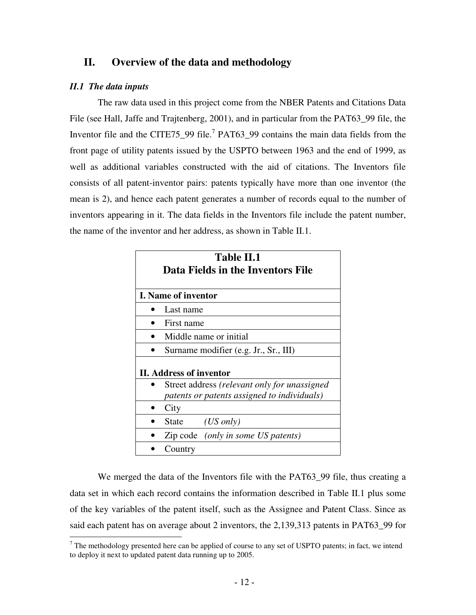# **II. Overview of the data and methodology**

### *II.1 The data inputs*

The raw data used in this project come from the NBER Patents and Citations Data File (see Hall, Jaffe and Trajtenberg, 2001), and in particular from the PAT63\_99 file, the Inventor file and the CITE75\_99 file.<sup>7</sup> PAT63\_99 contains the main data fields from the front page of utility patents issued by the USPTO between 1963 and the end of 1999, as well as additional variables constructed with the aid of citations. The Inventors file consists of all patent-inventor pairs: patents typically have more than one inventor (the mean is 2), and hence each patent generates a number of records equal to the number of inventors appearing in it. The data fields in the Inventors file include the patent number, the name of the inventor and her address, as shown in Table II.1.

| <b>Table II.1</b><br>Data Fields in the Inventors File |                                                                                             |  |  |  |
|--------------------------------------------------------|---------------------------------------------------------------------------------------------|--|--|--|
|                                                        | <b>I.</b> Name of inventor                                                                  |  |  |  |
|                                                        | Last name                                                                                   |  |  |  |
|                                                        | First name                                                                                  |  |  |  |
|                                                        | Middle name or initial                                                                      |  |  |  |
|                                                        | Surname modifier (e.g. Jr., Sr., III)                                                       |  |  |  |
|                                                        | II. Address of inventor                                                                     |  |  |  |
|                                                        | Street address (relevant only for unassigned<br>patents or patents assigned to individuals) |  |  |  |
|                                                        | City                                                                                        |  |  |  |
|                                                        | $(US \text{ only})$<br>State                                                                |  |  |  |
|                                                        | Zip code (only in some US patents)                                                          |  |  |  |
|                                                        | Country                                                                                     |  |  |  |

We merged the data of the Inventors file with the PAT63\_99 file, thus creating a data set in which each record contains the information described in Table II.1 plus some of the key variables of the patent itself, such as the Assignee and Patent Class. Since as said each patent has on average about 2 inventors, the 2,139,313 patents in PAT63\_99 for

 $<sup>7</sup>$  The methodology presented here can be applied of course to any set of USPTO patents; in fact, we intend</sup> to deploy it next to updated patent data running up to 2005.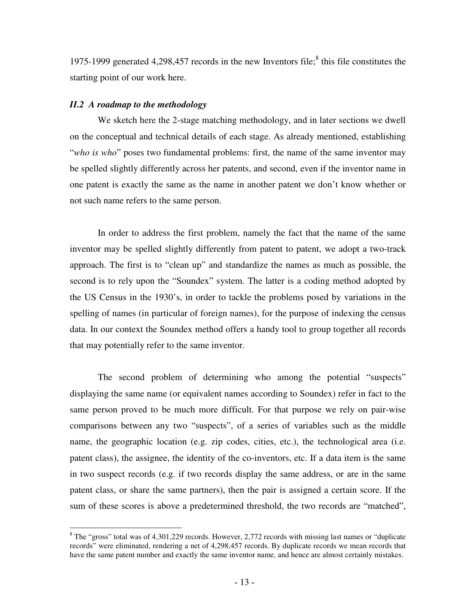1975-1999 generated 4,298,457 records in the new Inventors file; 8 this file constitutes the starting point of our work here.

### *II.2 A roadmap to the methodology*

We sketch here the 2-stage matching methodology, and in later sections we dwell on the conceptual and technical details of each stage. As already mentioned, establishing "*who is who*" poses two fundamental problems: first, the name of the same inventor may be spelled slightly differently across her patents, and second, even if the inventor name in one patent is exactly the same as the name in another patent we don't know whether or not such name refers to the same person.

In order to address the first problem, namely the fact that the name of the same inventor may be spelled slightly differently from patent to patent, we adopt a two-track approach. The first is to "clean up" and standardize the names as much as possible, the second is to rely upon the "Soundex" system. The latter is a coding method adopted by the US Census in the 1930's, in order to tackle the problems posed by variations in the spelling of names (in particular of foreign names), for the purpose of indexing the census data. In our context the Soundex method offers a handy tool to group together all records that may potentially refer to the same inventor.

The second problem of determining who among the potential "suspects" displaying the same name (or equivalent names according to Soundex) refer in fact to the same person proved to be much more difficult. For that purpose we rely on pair-wise comparisons between any two "suspects", of a series of variables such as the middle name, the geographic location (e.g. zip codes, cities, etc.), the technological area (i.e. patent class), the assignee, the identity of the co-inventors, etc. If a data item is the same in two suspect records (e.g. if two records display the same address, or are in the same patent class, or share the same partners), then the pair is assigned a certain score. If the sum of these scores is above a predetermined threshold, the two records are "matched",

 $8$  The "gross" total was of 4,301,229 records. However, 2,772 records with missing last names or "duplicate" records" were eliminated, rendering a net of 4,298,457 records. By duplicate records we mean records that have the same patent number and exactly the same inventor name, and hence are almost certainly mistakes.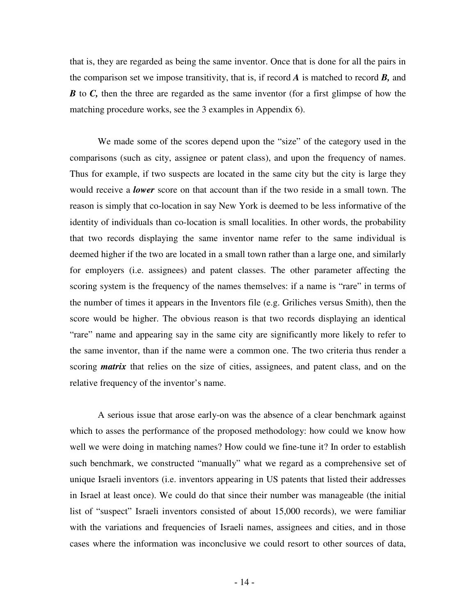that is, they are regarded as being the same inventor. Once that is done for all the pairs in the comparison set we impose transitivity, that is, if record *A* is matched to record *B,* and *B* to *C*, then the three are regarded as the same inventor (for a first glimpse of how the matching procedure works, see the 3 examples in Appendix 6).

We made some of the scores depend upon the "size" of the category used in the comparisons (such as city, assignee or patent class), and upon the frequency of names. Thus for example, if two suspects are located in the same city but the city is large they would receive a *lower* score on that account than if the two reside in a small town. The reason is simply that co-location in say New York is deemed to be less informative of the identity of individuals than co-location is small localities. In other words, the probability that two records displaying the same inventor name refer to the same individual is deemed higher if the two are located in a small town rather than a large one, and similarly for employers (i.e. assignees) and patent classes. The other parameter affecting the scoring system is the frequency of the names themselves: if a name is "rare" in terms of the number of times it appears in the Inventors file (e.g. Griliches versus Smith), then the score would be higher. The obvious reason is that two records displaying an identical "rare" name and appearing say in the same city are significantly more likely to refer to the same inventor, than if the name were a common one. The two criteria thus render a scoring *matrix* that relies on the size of cities, assignees, and patent class, and on the relative frequency of the inventor's name.

A serious issue that arose early-on was the absence of a clear benchmark against which to asses the performance of the proposed methodology: how could we know how well we were doing in matching names? How could we fine-tune it? In order to establish such benchmark, we constructed "manually" what we regard as a comprehensive set of unique Israeli inventors (i.e. inventors appearing in US patents that listed their addresses in Israel at least once). We could do that since their number was manageable (the initial list of "suspect" Israeli inventors consisted of about 15,000 records), we were familiar with the variations and frequencies of Israeli names, assignees and cities, and in those cases where the information was inconclusive we could resort to other sources of data,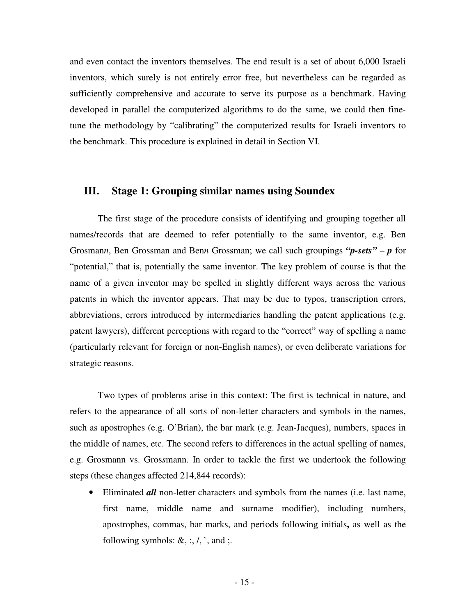and even contact the inventors themselves. The end result is a set of about 6,000 Israeli inventors, which surely is not entirely error free, but nevertheless can be regarded as sufficiently comprehensive and accurate to serve its purpose as a benchmark. Having developed in parallel the computerized algorithms to do the same, we could then finetune the methodology by "calibrating" the computerized results for Israeli inventors to the benchmark. This procedure is explained in detail in Section VI.

### **III. Stage 1: Grouping similar names using Soundex**

The first stage of the procedure consists of identifying and grouping together all names/records that are deemed to refer potentially to the same inventor, e.g. Ben Grosman*n*, Ben Grossman and Ben*n* Grossman; we call such groupings *"p-sets"* – *p* for "potential," that is, potentially the same inventor. The key problem of course is that the name of a given inventor may be spelled in slightly different ways across the various patents in which the inventor appears. That may be due to typos, transcription errors, abbreviations, errors introduced by intermediaries handling the patent applications (e.g. patent lawyers), different perceptions with regard to the "correct" way of spelling a name (particularly relevant for foreign or non-English names), or even deliberate variations for strategic reasons.

Two types of problems arise in this context: The first is technical in nature, and refers to the appearance of all sorts of non-letter characters and symbols in the names, such as apostrophes (e.g. O'Brian), the bar mark (e.g. Jean-Jacques), numbers, spaces in the middle of names, etc. The second refers to differences in the actual spelling of names, e.g. Grosmann vs. Gros*s*mann. In order to tackle the first we undertook the following steps (these changes affected 214,844 records):

• Eliminated *all* non-letter characters and symbols from the names (i.e. last name, first name, middle name and surname modifier), including numbers, apostrophes, commas, bar marks, and periods following initials**,** as well as the following symbols:  $\&$ , :,  $\land$ , `, and ;.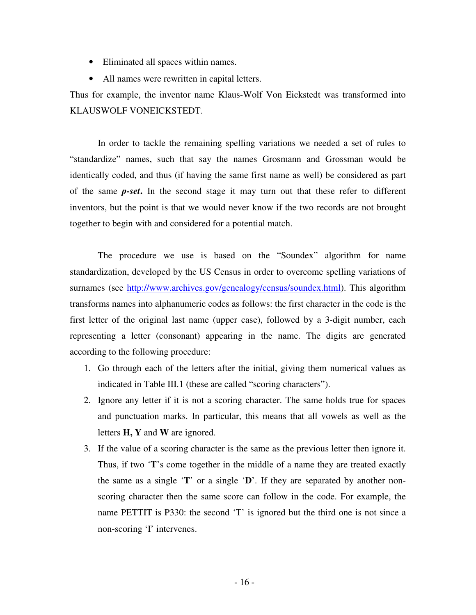- Eliminated all spaces within names.
- All names were rewritten in capital letters.

Thus for example, the inventor name Klaus-Wolf Von Eickstedt was transformed into KLAUSWOLF VONEICKSTEDT.

In order to tackle the remaining spelling variations we needed a set of rules to "standardize" names, such that say the names Grosmann and Grossman would be identically coded, and thus (if having the same first name as well) be considered as part of the same *p-set***.** In the second stage it may turn out that these refer to different inventors, but the point is that we would never know if the two records are not brought together to begin with and considered for a potential match.

The procedure we use is based on the "Soundex" algorithm for name standardization, developed by the US Census in order to overcome spelling variations of surnames (see http://www.archives.gov/genealogy/census/soundex.html). This algorithm transforms names into alphanumeric codes as follows: the first character in the code is the first letter of the original last name (upper case), followed by a 3-digit number, each representing a letter (consonant) appearing in the name. The digits are generated according to the following procedure:

- 1. Go through each of the letters after the initial, giving them numerical values as indicated in Table III.1 (these are called "scoring characters").
- 2. Ignore any letter if it is not a scoring character. The same holds true for spaces and punctuation marks. In particular, this means that all vowels as well as the letters **H, Y** and **W** are ignored.
- 3. If the value of a scoring character is the same as the previous letter then ignore it. Thus, if two '**T**'s come together in the middle of a name they are treated exactly the same as a single '**T**' or a single '**D**'. If they are separated by another nonscoring character then the same score can follow in the code. For example, the name PETTIT is P330: the second 'T' is ignored but the third one is not since a non-scoring 'I' intervenes.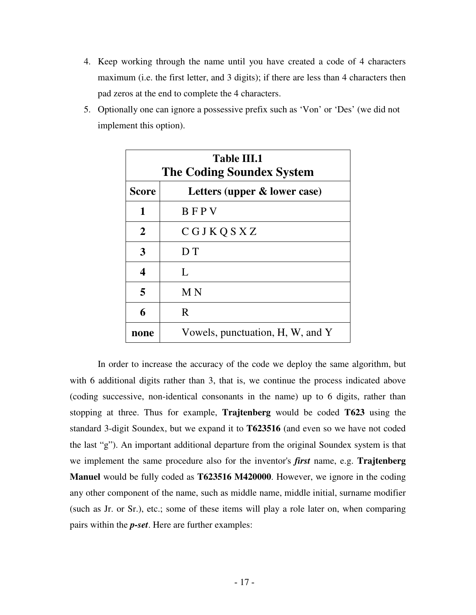- 4. Keep working through the name until you have created a code of 4 characters maximum (i.e. the first letter, and 3 digits); if there are less than 4 characters then pad zeros at the end to complete the 4 characters.
- 5. Optionally one can ignore a possessive prefix such as 'Von' or 'Des' (we did not implement this option).

| Table III.1<br><b>The Coding Soundex System</b> |                                  |  |  |
|-------------------------------------------------|----------------------------------|--|--|
| <b>Score</b>                                    | Letters (upper & lower case)     |  |  |
| 1                                               | <b>BFPV</b>                      |  |  |
| $\overline{2}$                                  | CGJKQSXZ                         |  |  |
| 3                                               | D <sub>T</sub>                   |  |  |
| 4                                               | L                                |  |  |
| 5                                               | M <sub>N</sub>                   |  |  |
| 6                                               | R                                |  |  |
| none                                            | Vowels, punctuation, H, W, and Y |  |  |

In order to increase the accuracy of the code we deploy the same algorithm, but with 6 additional digits rather than 3, that is, we continue the process indicated above (coding successive, non-identical consonants in the name) up to 6 digits, rather than stopping at three. Thus for example, **Trajtenberg** would be coded **T623** using the standard 3-digit Soundex, but we expand it to **T623516** (and even so we have not coded the last "g"). An important additional departure from the original Soundex system is that we implement the same procedure also for the inventor's *first* name, e.g. **Trajtenberg Manuel** would be fully coded as **T623516 M420000**. However, we ignore in the coding any other component of the name, such as middle name, middle initial, surname modifier (such as Jr. or Sr.), etc.; some of these items will play a role later on, when comparing pairs within the *p-set*. Here are further examples: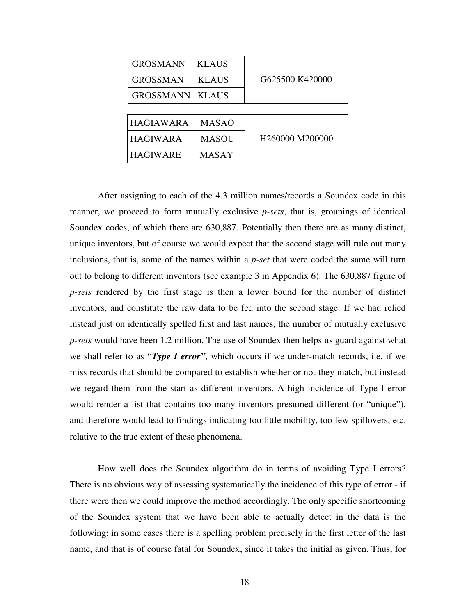| <b>GROSMANN</b>        | <b>KLAUS</b> |                 |  |
|------------------------|--------------|-----------------|--|
| <b>GROSSMAN</b>        | <b>KLAUS</b> | G625500 K420000 |  |
| <b>GROSSMANN KLAUS</b> |              |                 |  |
|                        |              |                 |  |
| HAGIAWARA              | <b>MASAO</b> |                 |  |
| <b>HAGIWARA</b>        | <b>MASOU</b> | H260000 M200000 |  |
| <b>HAGIWARE</b>        | MASAY        |                 |  |

After assigning to each of the 4.3 million names/records a Soundex code in this manner, we proceed to form mutually exclusive *p-sets*, that is, groupings of identical Soundex codes, of which there are 630,887. Potentially then there are as many distinct, unique inventors, but of course we would expect that the second stage will rule out many inclusions, that is, some of the names within a *p-set* that were coded the same will turn out to belong to different inventors (see example 3 in Appendix 6). The 630,887 figure of *p-sets* rendered by the first stage is then a lower bound for the number of distinct inventors, and constitute the raw data to be fed into the second stage. If we had relied instead just on identically spelled first and last names, the number of mutually exclusive *p-sets* would have been 1.2 million. The use of Soundex then helps us guard against what we shall refer to as *"Type I error"*, which occurs if we under-match records, i.e. if we miss records that should be compared to establish whether or not they match, but instead we regard them from the start as different inventors. A high incidence of Type I error would render a list that contains too many inventors presumed different (or "unique"), and therefore would lead to findings indicating too little mobility, too few spillovers, etc. relative to the true extent of these phenomena.

How well does the Soundex algorithm do in terms of avoiding Type I errors? There is no obvious way of assessing systematically the incidence of this type of error - if there were then we could improve the method accordingly. The only specific shortcoming of the Soundex system that we have been able to actually detect in the data is the following: in some cases there is a spelling problem precisely in the first letter of the last name, and that is of course fatal for Soundex, since it takes the initial as given. Thus, for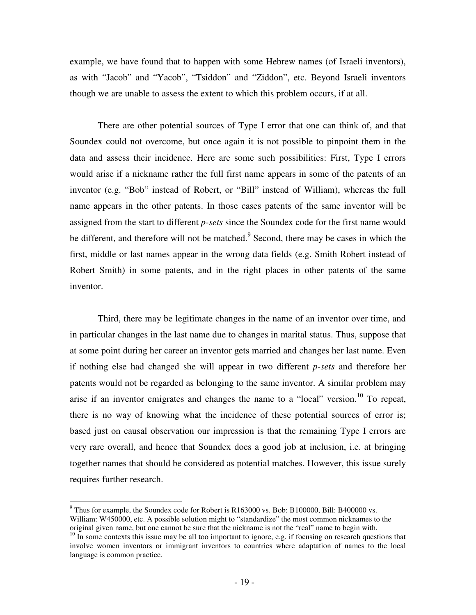example, we have found that to happen with some Hebrew names (of Israeli inventors), as with "Jacob" and "Yacob", "Tsiddon" and "Ziddon", etc. Beyond Israeli inventors though we are unable to assess the extent to which this problem occurs, if at all.

There are other potential sources of Type I error that one can think of, and that Soundex could not overcome, but once again it is not possible to pinpoint them in the data and assess their incidence. Here are some such possibilities: First, Type I errors would arise if a nickname rather the full first name appears in some of the patents of an inventor (e.g. "Bob" instead of Robert, or "Bill" instead of William), whereas the full name appears in the other patents. In those cases patents of the same inventor will be assigned from the start to different *p-sets* since the Soundex code for the first name would be different, and therefore will not be matched.<sup>9</sup> Second, there may be cases in which the first, middle or last names appear in the wrong data fields (e.g. Smith Robert instead of Robert Smith) in some patents, and in the right places in other patents of the same inventor.

Third, there may be legitimate changes in the name of an inventor over time, and in particular changes in the last name due to changes in marital status. Thus, suppose that at some point during her career an inventor gets married and changes her last name. Even if nothing else had changed she will appear in two different *p-sets* and therefore her patents would not be regarded as belonging to the same inventor. A similar problem may arise if an inventor emigrates and changes the name to a "local" version.<sup>10</sup> To repeat, there is no way of knowing what the incidence of these potential sources of error is; based just on causal observation our impression is that the remaining Type I errors are very rare overall, and hence that Soundex does a good job at inclusion, i.e. at bringing together names that should be considered as potential matches. However, this issue surely requires further research.

 $9$  Thus for example, the Soundex code for Robert is R163000 vs. Bob: B100000, Bill: B400000 vs. William: W450000, etc. A possible solution might to "standardize" the most common nicknames to the original given name, but one cannot be sure that the nickname is not the "real" name to begin with.

<sup>&</sup>lt;sup>10</sup> In some contexts this issue may be all too important to ignore, e.g. if focusing on research questions that involve women inventors or immigrant inventors to countries where adaptation of names to the local language is common practice.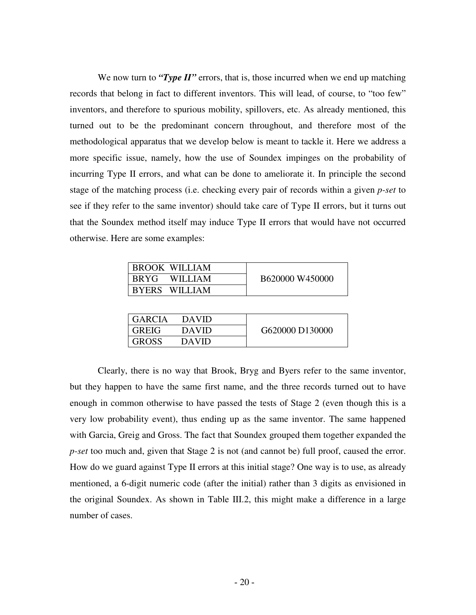We now turn to *"Type II"* errors, that is, those incurred when we end up matching records that belong in fact to different inventors. This will lead, of course, to "too few" inventors, and therefore to spurious mobility, spillovers, etc. As already mentioned, this turned out to be the predominant concern throughout, and therefore most of the methodological apparatus that we develop below is meant to tackle it. Here we address a more specific issue, namely, how the use of Soundex impinges on the probability of incurring Type II errors, and what can be done to ameliorate it. In principle the second stage of the matching process (i.e. checking every pair of records within a given *p-set* to see if they refer to the same inventor) should take care of Type II errors, but it turns out that the Soundex method itself may induce Type II errors that would have not occurred otherwise. Here are some examples:

| <b>BROOK WILLIAM</b> |                 |
|----------------------|-----------------|
| <b>BRYG WILLIAM</b>  | B620000 W450000 |
| BYERS WILLIAM        |                 |

| I GARCIA | <b>DAVID</b> |                 |
|----------|--------------|-----------------|
| I GREIG  | <b>DAVID</b> | G620000 D130000 |
| I GROSS  | DAVID        |                 |

Clearly, there is no way that Brook, Bryg and Byers refer to the same inventor, but they happen to have the same first name, and the three records turned out to have enough in common otherwise to have passed the tests of Stage 2 (even though this is a very low probability event), thus ending up as the same inventor. The same happened with Garcia, Greig and Gross. The fact that Soundex grouped them together expanded the *p-set* too much and, given that Stage 2 is not (and cannot be) full proof, caused the error. How do we guard against Type II errors at this initial stage? One way is to use, as already mentioned, a 6-digit numeric code (after the initial) rather than 3 digits as envisioned in the original Soundex. As shown in Table III.2, this might make a difference in a large number of cases.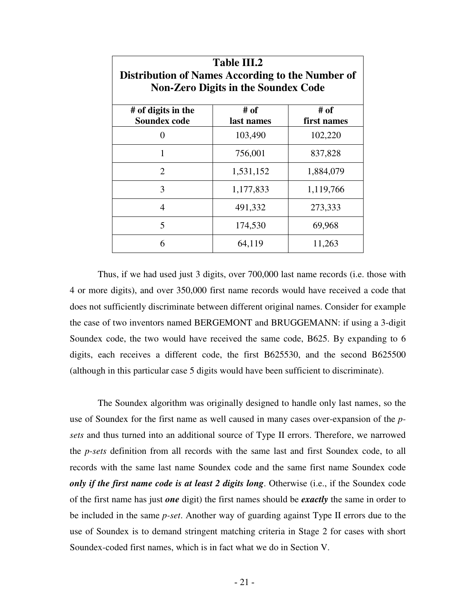| <b>Table III.2</b><br>Distribution of Names According to the Number of<br><b>Non-Zero Digits in the Soundex Code</b> |           |           |  |  |
|----------------------------------------------------------------------------------------------------------------------|-----------|-----------|--|--|
| # of<br># of<br># of digits in the<br><b>Soundex code</b><br>last names<br>first names                               |           |           |  |  |
| 0                                                                                                                    | 103,490   | 102,220   |  |  |
| 1                                                                                                                    | 756,001   | 837,828   |  |  |
| 2                                                                                                                    | 1,531,152 | 1,884,079 |  |  |
| 3                                                                                                                    | 1,177,833 | 1,119,766 |  |  |
| 4                                                                                                                    | 491,332   | 273,333   |  |  |
| 5                                                                                                                    | 174,530   | 69,968    |  |  |
| 6                                                                                                                    | 64,119    | 11,263    |  |  |

Thus, if we had used just 3 digits, over 700,000 last name records (i.e. those with 4 or more digits), and over 350,000 first name records would have received a code that does not sufficiently discriminate between different original names. Consider for example the case of two inventors named BERGEMONT and BRUGGEMANN: if using a 3-digit Soundex code, the two would have received the same code, B625. By expanding to 6 digits, each receives a different code, the first B625530, and the second B625500 (although in this particular case 5 digits would have been sufficient to discriminate).

The Soundex algorithm was originally designed to handle only last names, so the use of Soundex for the first name as well caused in many cases over-expansion of the *psets* and thus turned into an additional source of Type II errors. Therefore, we narrowed the *p-sets* definition from all records with the same last and first Soundex code, to all records with the same last name Soundex code and the same first name Soundex code *only if the first name code is at least 2 digits long*. Otherwise (i.e., if the Soundex code of the first name has just *one* digit) the first names should be *exactly* the same in order to be included in the same *p-set*. Another way of guarding against Type II errors due to the use of Soundex is to demand stringent matching criteria in Stage 2 for cases with short Soundex-coded first names, which is in fact what we do in Section V.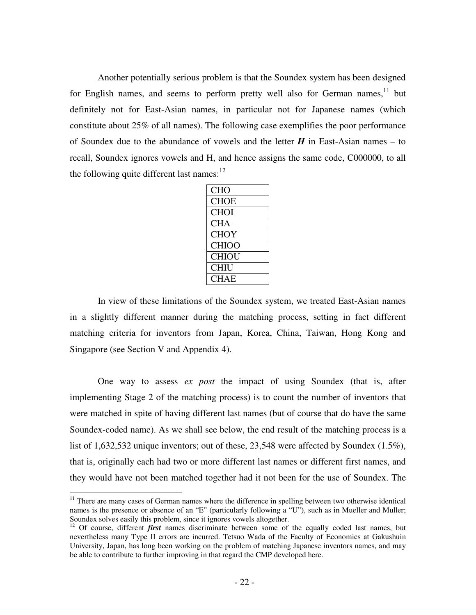Another potentially serious problem is that the Soundex system has been designed for English names, and seems to perform pretty well also for German names,  $11$  but definitely not for East-Asian names, in particular not for Japanese names (which constitute about 25% of all names). The following case exemplifies the poor performance of Soundex due to the abundance of vowels and the letter  $H$  in East-Asian names – to recall, Soundex ignores vowels and H, and hence assigns the same code, C000000, to all the following quite different last names:<sup>12</sup>

In view of these limitations of the Soundex system, we treated East-Asian names in a slightly different manner during the matching process, setting in fact different matching criteria for inventors from Japan, Korea, China, Taiwan, Hong Kong and Singapore (see Section V and Appendix 4).

One way to assess *ex post* the impact of using Soundex (that is, after implementing Stage 2 of the matching process) is to count the number of inventors that were matched in spite of having different last names (but of course that do have the same Soundex-coded name). As we shall see below, the end result of the matching process is a list of 1,632,532 unique inventors; out of these, 23,548 were affected by Soundex (1.5%), that is, originally each had two or more different last names or different first names, and they would have not been matched together had it not been for the use of Soundex. The

<sup>&</sup>lt;sup>11</sup> There are many cases of German names where the difference in spelling between two otherwise identical names is the presence or absence of an "E" (particularly following a "U"), such as in Mueller and Muller; Soundex solves easily this problem, since it ignores vowels altogether.

<sup>&</sup>lt;sup>12</sup> Of course, different *first* names discriminate between some of the equally coded last names, but nevertheless many Type II errors are incurred. Tetsuo Wada of the Faculty of Economics at Gakushuin University, Japan, has long been working on the problem of matching Japanese inventors names, and may be able to contribute to further improving in that regard the CMP developed here.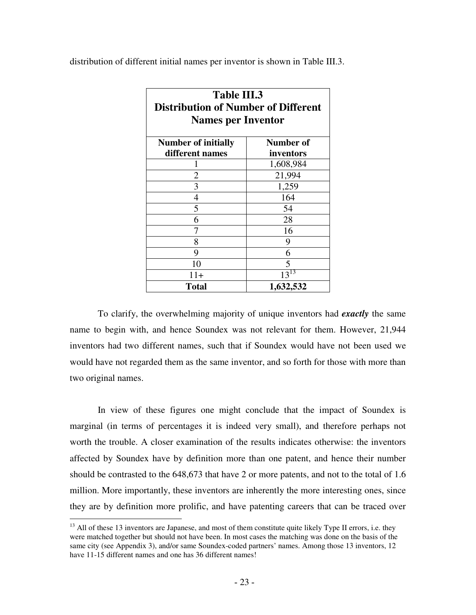distribution of different initial names per inventor is shown in Table III.3.

| Table III.3                                |           |  |  |
|--------------------------------------------|-----------|--|--|
| <b>Distribution of Number of Different</b> |           |  |  |
| <b>Names per Inventor</b>                  |           |  |  |
|                                            |           |  |  |
| <b>Number of initially</b>                 | Number of |  |  |
| different names                            | inventors |  |  |
|                                            | 1,608,984 |  |  |
| $\overline{2}$                             | 21,994    |  |  |
| 3                                          | 1,259     |  |  |
| 4                                          | 164       |  |  |
| 5                                          | 54        |  |  |
| 6                                          | 28        |  |  |
| 7                                          | 16        |  |  |
| 8                                          | 9         |  |  |
| 9                                          | 6         |  |  |
| 10                                         | 5         |  |  |
| $11+$                                      | $13^{13}$ |  |  |
| 1,632,532<br>Total                         |           |  |  |

To clarify, the overwhelming majority of unique inventors had *exactly* the same name to begin with, and hence Soundex was not relevant for them. However, 21,944 inventors had two different names, such that if Soundex would have not been used we would have not regarded them as the same inventor, and so forth for those with more than two original names.

In view of these figures one might conclude that the impact of Soundex is marginal (in terms of percentages it is indeed very small), and therefore perhaps not worth the trouble. A closer examination of the results indicates otherwise: the inventors affected by Soundex have by definition more than one patent, and hence their number should be contrasted to the 648,673 that have 2 or more patents, and not to the total of 1.6 million. More importantly, these inventors are inherently the more interesting ones, since they are by definition more prolific, and have patenting careers that can be traced over

<sup>&</sup>lt;sup>13</sup> All of these 13 inventors are Japanese, and most of them constitute quite likely Type II errors, i.e. they were matched together but should not have been. In most cases the matching was done on the basis of the same city (see Appendix 3), and/or same Soundex-coded partners' names. Among those 13 inventors, 12 have 11-15 different names and one has 36 different names!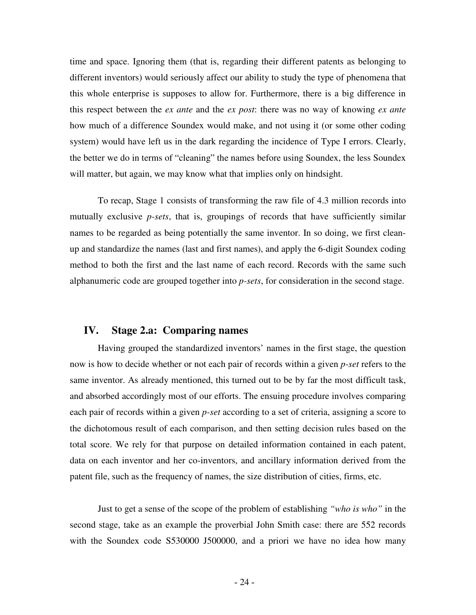time and space. Ignoring them (that is, regarding their different patents as belonging to different inventors) would seriously affect our ability to study the type of phenomena that this whole enterprise is supposes to allow for. Furthermore, there is a big difference in this respect between the *ex ante* and the *ex post*: there was no way of knowing *ex ante* how much of a difference Soundex would make, and not using it (or some other coding system) would have left us in the dark regarding the incidence of Type I errors. Clearly, the better we do in terms of "cleaning" the names before using Soundex, the less Soundex will matter, but again, we may know what that implies only on hindsight.

To recap, Stage 1 consists of transforming the raw file of 4.3 million records into mutually exclusive *p-sets*, that is, groupings of records that have sufficiently similar names to be regarded as being potentially the same inventor. In so doing, we first cleanup and standardize the names (last and first names), and apply the 6-digit Soundex coding method to both the first and the last name of each record. Records with the same such alphanumeric code are grouped together into *p-sets*, for consideration in the second stage.

### **IV. Stage 2.a: Comparing names**

Having grouped the standardized inventors' names in the first stage, the question now is how to decide whether or not each pair of records within a given *p-set* refers to the same inventor. As already mentioned, this turned out to be by far the most difficult task, and absorbed accordingly most of our efforts. The ensuing procedure involves comparing each pair of records within a given *p-set* according to a set of criteria, assigning a score to the dichotomous result of each comparison, and then setting decision rules based on the total score. We rely for that purpose on detailed information contained in each patent, data on each inventor and her co-inventors, and ancillary information derived from the patent file, such as the frequency of names, the size distribution of cities, firms, etc.

Just to get a sense of the scope of the problem of establishing *"who is who"* in the second stage, take as an example the proverbial John Smith case: there are 552 records with the Soundex code S530000 J500000, and a priori we have no idea how many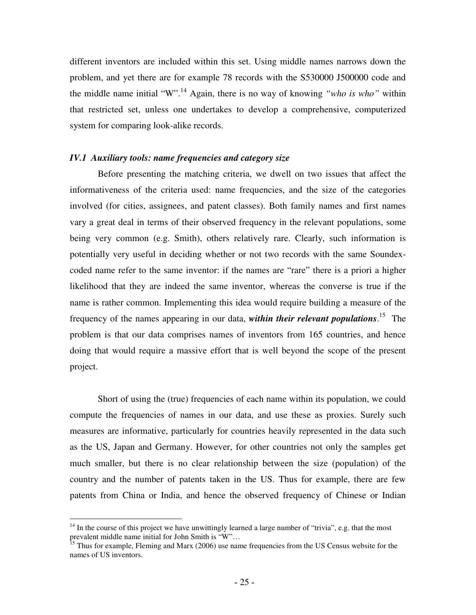different inventors are included within this set. Using middle names narrows down the problem, and yet there are for example 78 records with the S530000 J500000 code and the middle name initial "W". <sup>14</sup> Again, there is no way of knowing *"who is who"* within that restricted set, unless one undertakes to develop a comprehensive, computerized system for comparing look-alike records.

### *IV.1 Auxiliary tools: name frequencies and category size*

Before presenting the matching criteria, we dwell on two issues that affect the informativeness of the criteria used: name frequencies, and the size of the categories involved (for cities, assignees, and patent classes). Both family names and first names vary a great deal in terms of their observed frequency in the relevant populations, some being very common (e.g. Smith), others relatively rare. Clearly, such information is potentially very useful in deciding whether or not two records with the same Soundexcoded name refer to the same inventor: if the names are "rare" there is a priori a higher likelihood that they are indeed the same inventor, whereas the converse is true if the name is rather common. Implementing this idea would require building a measure of the frequency of the names appearing in our data, *within their relevant populations*. 15 The problem is that our data comprises names of inventors from 165 countries, and hence doing that would require a massive effort that is well beyond the scope of the present project.

Short of using the (true) frequencies of each name within its population, we could compute the frequencies of names in our data, and use these as proxies. Surely such measures are informative, particularly for countries heavily represented in the data such as the US, Japan and Germany. However, for other countries not only the samples get much smaller, but there is no clear relationship between the size (population) of the country and the number of patents taken in the US. Thus for example, there are few patents from China or India, and hence the observed frequency of Chinese or Indian

<sup>&</sup>lt;sup>14</sup> In the course of this project we have unwittingly learned a large number of "trivia", e.g. that the most prevalent middle name initial for John Smith is "W"…<br><sup>15</sup> Thus for example, Fleming and Marx (2006) use name frequencies from the US Census website for the

names of US inventors.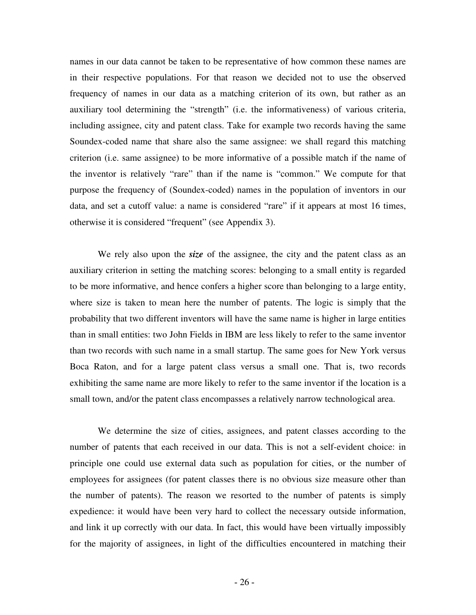names in our data cannot be taken to be representative of how common these names are in their respective populations. For that reason we decided not to use the observed frequency of names in our data as a matching criterion of its own, but rather as an auxiliary tool determining the "strength" (i.e. the informativeness) of various criteria, including assignee, city and patent class. Take for example two records having the same Soundex-coded name that share also the same assignee: we shall regard this matching criterion (i.e. same assignee) to be more informative of a possible match if the name of the inventor is relatively "rare" than if the name is "common." We compute for that purpose the frequency of (Soundex-coded) names in the population of inventors in our data, and set a cutoff value: a name is considered "rare" if it appears at most 16 times, otherwise it is considered "frequent" (see Appendix 3).

We rely also upon the *size* of the assignee, the city and the patent class as an auxiliary criterion in setting the matching scores: belonging to a small entity is regarded to be more informative, and hence confers a higher score than belonging to a large entity, where size is taken to mean here the number of patents. The logic is simply that the probability that two different inventors will have the same name is higher in large entities than in small entities: two John Fields in IBM are less likely to refer to the same inventor than two records with such name in a small startup. The same goes for New York versus Boca Raton, and for a large patent class versus a small one. That is, two records exhibiting the same name are more likely to refer to the same inventor if the location is a small town, and/or the patent class encompasses a relatively narrow technological area.

We determine the size of cities, assignees, and patent classes according to the number of patents that each received in our data. This is not a self-evident choice: in principle one could use external data such as population for cities, or the number of employees for assignees (for patent classes there is no obvious size measure other than the number of patents). The reason we resorted to the number of patents is simply expedience: it would have been very hard to collect the necessary outside information, and link it up correctly with our data. In fact, this would have been virtually impossibly for the majority of assignees, in light of the difficulties encountered in matching their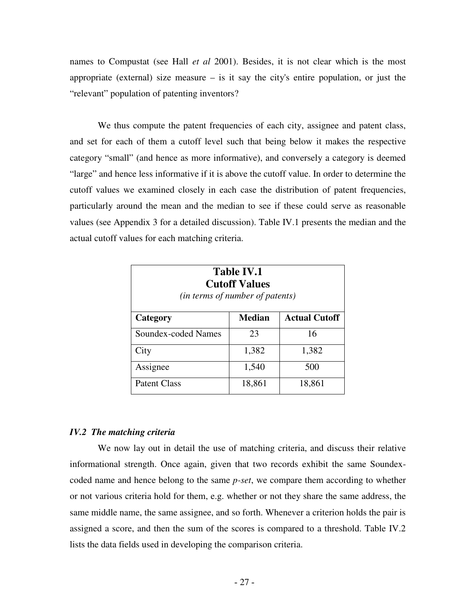names to Compustat (see Hall *et al* 2001). Besides, it is not clear which is the most appropriate (external) size measure  $-$  is it say the city's entire population, or just the "relevant" population of patenting inventors?

We thus compute the patent frequencies of each city, assignee and patent class, and set for each of them a cutoff level such that being below it makes the respective category "small" (and hence as more informative), and conversely a category is deemed "large" and hence less informative if it is above the cutoff value. In order to determine the cutoff values we examined closely in each case the distribution of patent frequencies, particularly around the mean and the median to see if these could serve as reasonable values (see Appendix 3 for a detailed discussion). Table IV.1 presents the median and the actual cutoff values for each matching criteria.

| <b>Table IV.1</b><br><b>Cutoff Values</b><br>( <i>in terms of number of patents</i> ) |        |        |  |  |
|---------------------------------------------------------------------------------------|--------|--------|--|--|
| <b>Actual Cutoff</b><br><b>Median</b><br>Category                                     |        |        |  |  |
| Soundex-coded Names                                                                   | 23     | 16     |  |  |
| City                                                                                  | 1,382  | 1,382  |  |  |
| Assignee                                                                              | 1,540  | 500    |  |  |
| <b>Patent Class</b>                                                                   | 18,861 | 18,861 |  |  |

#### *IV.2 The matching criteria*

We now lay out in detail the use of matching criteria, and discuss their relative informational strength. Once again, given that two records exhibit the same Soundexcoded name and hence belong to the same *p-set*, we compare them according to whether or not various criteria hold for them, e.g. whether or not they share the same address, the same middle name, the same assignee, and so forth. Whenever a criterion holds the pair is assigned a score, and then the sum of the scores is compared to a threshold. Table IV.2 lists the data fields used in developing the comparison criteria.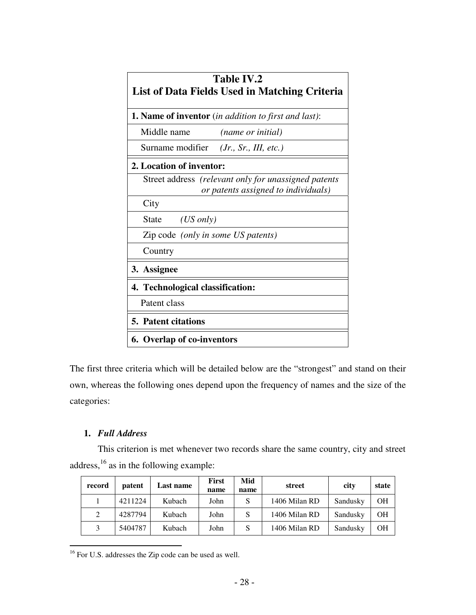| <b>Table IV.2</b><br>List of Data Fields Used in Matching Criteria                          |  |  |  |
|---------------------------------------------------------------------------------------------|--|--|--|
| <b>1. Name of inventor</b> (in addition to first and last):                                 |  |  |  |
| Middle name<br><i>(name or initial)</i>                                                     |  |  |  |
| Surname modifier ( <i>Jr.</i> , <i>Sr.</i> , <i>III</i> , <i>etc.</i> )                     |  |  |  |
| 2. Location of inventor:                                                                    |  |  |  |
| Street address (relevant only for unassigned patents<br>or patents assigned to individuals) |  |  |  |
| City                                                                                        |  |  |  |
| $(US \text{ only})$<br><b>State</b>                                                         |  |  |  |
| Zip code (only in some US patents)                                                          |  |  |  |
| Country                                                                                     |  |  |  |
| 3. Assignee                                                                                 |  |  |  |
| 4. Technological classification:                                                            |  |  |  |
| Patent class                                                                                |  |  |  |
| <b>5. Patent citations</b>                                                                  |  |  |  |
| <b>6. Overlap of co-inventors</b>                                                           |  |  |  |

The first three criteria which will be detailed below are the "strongest" and stand on their own, whereas the following ones depend upon the frequency of names and the size of the categories:

# **1.** *Full Address*

This criterion is met whenever two records share the same country, city and street address,<sup>16</sup> as in the following example:

| record | patent  | Last name | First<br>name | Mid<br>name | street        | city     | state     |
|--------|---------|-----------|---------------|-------------|---------------|----------|-----------|
|        | 4211224 | Kubach    | John          | S           | 1406 Milan RD | Sandusky | <b>OH</b> |
| 2      | 4287794 | Kubach    | John          | S           | 1406 Milan RD | Sandusky | OН        |
| 3      | 5404787 | Kubach    | John          | S           | 1406 Milan RD | Sandusky | OН        |

<sup>&</sup>lt;sup>16</sup> For U.S. addresses the Zip code can be used as well.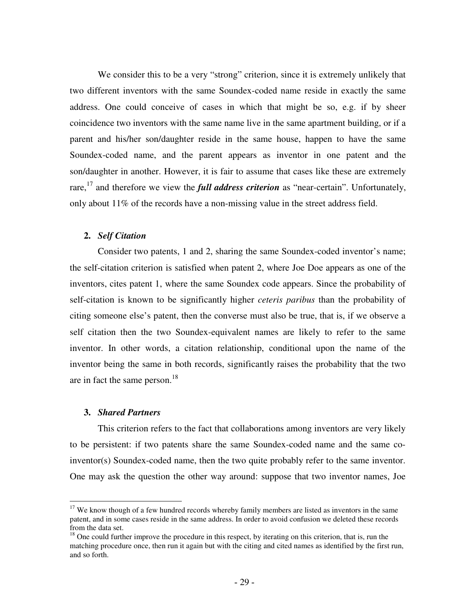We consider this to be a very "strong" criterion, since it is extremely unlikely that two different inventors with the same Soundex-coded name reside in exactly the same address. One could conceive of cases in which that might be so, e.g. if by sheer coincidence two inventors with the same name live in the same apartment building, or if a parent and his/her son/daughter reside in the same house, happen to have the same Soundex-coded name, and the parent appears as inventor in one patent and the son/daughter in another. However, it is fair to assume that cases like these are extremely rare, 17 and therefore we view the *full address criterion* as "near-certain". Unfortunately, only about 11% of the records have a non-missing value in the street address field.

### **2.** *Self Citation*

Consider two patents, 1 and 2, sharing the same Soundex-coded inventor's name; the self-citation criterion is satisfied when patent 2, where Joe Doe appears as one of the inventors, cites patent 1, where the same Soundex code appears. Since the probability of self-citation is known to be significantly higher *ceteris paribus* than the probability of citing someone else's patent, then the converse must also be true, that is, if we observe a self citation then the two Soundex-equivalent names are likely to refer to the same inventor. In other words, a citation relationship, conditional upon the name of the inventor being the same in both records, significantly raises the probability that the two are in fact the same person.<sup>18</sup>

#### **3.** *Shared Partners*

This criterion refers to the fact that collaborations among inventors are very likely to be persistent: if two patents share the same Soundex-coded name and the same coinventor(s) Soundex-coded name, then the two quite probably refer to the same inventor. One may ask the question the other way around: suppose that two inventor names, Joe

<sup>&</sup>lt;sup>17</sup> We know though of a few hundred records whereby family members are listed as inventors in the same patent, and in some cases reside in the same address. In order to avoid confusion we deleted these records from the data set.

 $18$  One could further improve the procedure in this respect, by iterating on this criterion, that is, run the matching procedure once, then run it again but with the citing and cited names as identified by the first run, and so forth.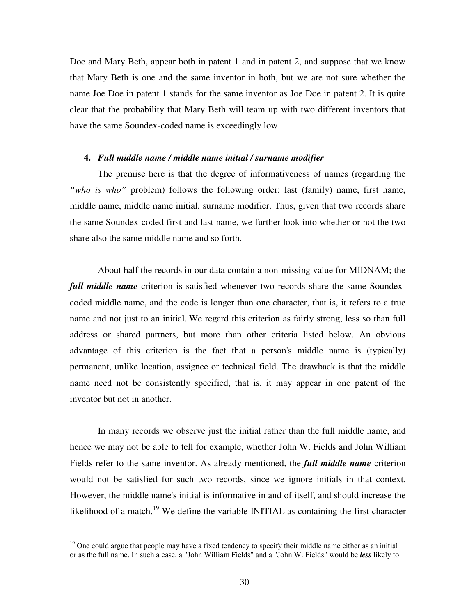Doe and Mary Beth, appear both in patent 1 and in patent 2, and suppose that we know that Mary Beth is one and the same inventor in both, but we are not sure whether the name Joe Doe in patent 1 stands for the same inventor as Joe Doe in patent 2. It is quite clear that the probability that Mary Beth will team up with two different inventors that have the same Soundex-coded name is exceedingly low.

#### **4.** *Full middle name / middle name initial / surname modifier*

The premise here is that the degree of informativeness of names (regarding the *"who is who"* problem) follows the following order: last (family) name, first name, middle name, middle name initial, surname modifier. Thus, given that two records share the same Soundex-coded first and last name, we further look into whether or not the two share also the same middle name and so forth.

About half the records in our data contain a non-missing value for MIDNAM; the *full middle name* criterion is satisfied whenever two records share the same Soundexcoded middle name, and the code is longer than one character, that is, it refers to a true name and not just to an initial. We regard this criterion as fairly strong, less so than full address or shared partners, but more than other criteria listed below. An obvious advantage of this criterion is the fact that a person's middle name is (typically) permanent, unlike location, assignee or technical field. The drawback is that the middle name need not be consistently specified, that is, it may appear in one patent of the inventor but not in another.

In many records we observe just the initial rather than the full middle name, and hence we may not be able to tell for example, whether John W. Fields and John William Fields refer to the same inventor. As already mentioned, the *full middle name* criterion would not be satisfied for such two records, since we ignore initials in that context. However, the middle name's initial is informative in and of itself, and should increase the likelihood of a match.<sup>19</sup> We define the variable INITIAL as containing the first character

 $19$  One could argue that people may have a fixed tendency to specify their middle name either as an initial or as the full name. In such a case, a "John William Fields" and a "John W. Fields" would be *less* likely to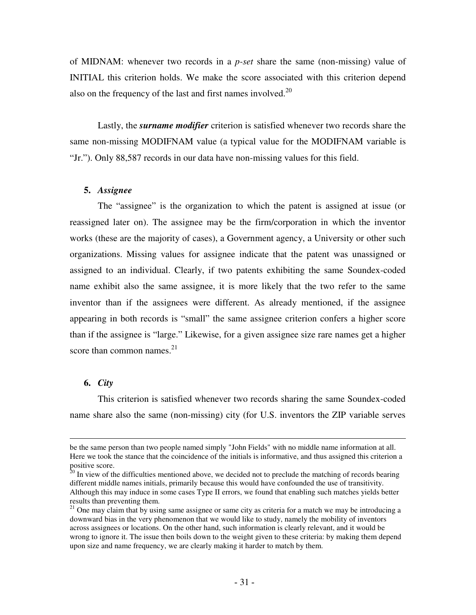of MIDNAM: whenever two records in a *p-set* share the same (non-missing) value of INITIAL this criterion holds. We make the score associated with this criterion depend also on the frequency of the last and first names involved. $20$ 

Lastly, the *surname modifier* criterion is satisfied whenever two records share the same non-missing MODIFNAM value (a typical value for the MODIFNAM variable is "Jr."). Only 88,587 records in our data have non-missing values for this field.

### **5.** *Assignee*

The "assignee" is the organization to which the patent is assigned at issue (or reassigned later on). The assignee may be the firm/corporation in which the inventor works (these are the majority of cases), a Government agency, a University or other such organizations. Missing values for assignee indicate that the patent was unassigned or assigned to an individual. Clearly, if two patents exhibiting the same Soundex-coded name exhibit also the same assignee, it is more likely that the two refer to the same inventor than if the assignees were different. As already mentioned, if the assignee appearing in both records is "small" the same assignee criterion confers a higher score than if the assignee is "large." Likewise, for a given assignee size rare names get a higher score than common names.<sup>21</sup>

### **6.** *City*

This criterion is satisfied whenever two records sharing the same Soundex-coded name share also the same (non-missing) city (for U.S. inventors the ZIP variable serves

be the same person than two people named simply "John Fields" with no middle name information at all. Here we took the stance that the coincidence of the initials is informative, and thus assigned this criterion a

positive score.<br><sup>20</sup> In view of the difficulties mentioned above, we decided not to preclude the matching of records bearing different middle names initials, primarily because this would have confounded the use of transitivity. Although this may induce in some cases Type II errors, we found that enabling such matches yields better results than preventing them.

<sup>&</sup>lt;sup>21</sup> One may claim that by using same assignee or same city as criteria for a match we may be introducing a downward bias in the very phenomenon that we would like to study, namely the mobility of inventors across assignees or locations. On the other hand, such information is clearly relevant, and it would be wrong to ignore it. The issue then boils down to the weight given to these criteria: by making them depend upon size and name frequency, we are clearly making it harder to match by them.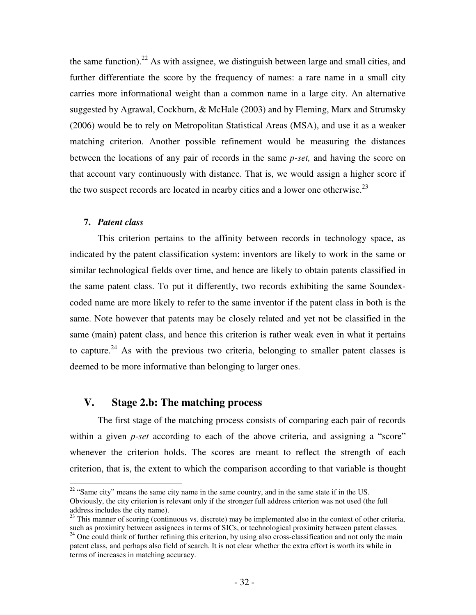the same function).<sup>22</sup> As with assignee, we distinguish between large and small cities, and further differentiate the score by the frequency of names: a rare name in a small city carries more informational weight than a common name in a large city. An alternative suggested by Agrawal, Cockburn, & McHale (2003) and by Fleming, Marx and Strumsky (2006) would be to rely on Metropolitan Statistical Areas (MSA), and use it as a weaker matching criterion. Another possible refinement would be measuring the distances between the locations of any pair of records in the same *p-set,* and having the score on that account vary continuously with distance. That is, we would assign a higher score if the two suspect records are located in nearby cities and a lower one otherwise.<sup>23</sup>

### **7.** *Patent class*

This criterion pertains to the affinity between records in technology space, as indicated by the patent classification system: inventors are likely to work in the same or similar technological fields over time, and hence are likely to obtain patents classified in the same patent class. To put it differently, two records exhibiting the same Soundexcoded name are more likely to refer to the same inventor if the patent class in both is the same. Note however that patents may be closely related and yet not be classified in the same (main) patent class, and hence this criterion is rather weak even in what it pertains to capture.<sup>24</sup> As with the previous two criteria, belonging to smaller patent classes is deemed to be more informative than belonging to larger ones.

# **V. Stage 2.b: The matching process**

The first stage of the matching process consists of comparing each pair of records within a given *p-set* according to each of the above criteria, and assigning a "score" whenever the criterion holds. The scores are meant to reflect the strength of each criterion, that is, the extent to which the comparison according to that variable is thought

 $22$  "Same city" means the same city name in the same country, and in the same state if in the US. Obviously, the city criterion is relevant only if the stronger full address criterion was not used (the full address includes the city name).

<sup>&</sup>lt;sup>23</sup> This manner of scoring (continuous vs. discrete) may be implemented also in the context of other criteria, such as proximity between assignees in terms of SICs, or technological proximity between patent classes. <sup>24</sup> One could think of further refining this criterion, by using also cross-classification and not only the main patent class, and perhaps also field of search. It is not clear whether the extra effort is worth its while in terms of increases in matching accuracy.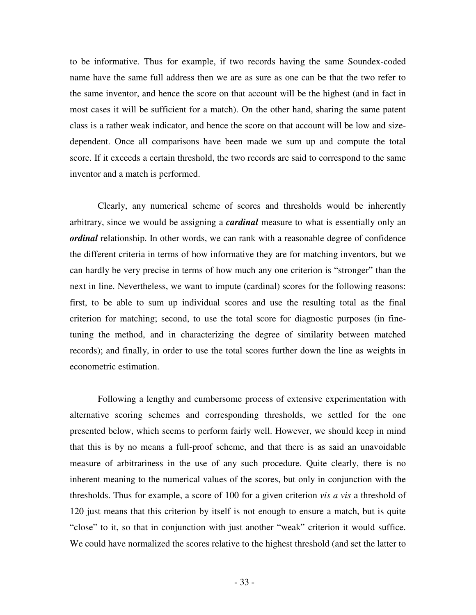to be informative. Thus for example, if two records having the same Soundex-coded name have the same full address then we are as sure as one can be that the two refer to the same inventor, and hence the score on that account will be the highest (and in fact in most cases it will be sufficient for a match). On the other hand, sharing the same patent class is a rather weak indicator, and hence the score on that account will be low and sizedependent. Once all comparisons have been made we sum up and compute the total score. If it exceeds a certain threshold, the two records are said to correspond to the same inventor and a match is performed.

Clearly, any numerical scheme of scores and thresholds would be inherently arbitrary, since we would be assigning a *cardinal* measure to what is essentially only an *ordinal* relationship. In other words, we can rank with a reasonable degree of confidence the different criteria in terms of how informative they are for matching inventors, but we can hardly be very precise in terms of how much any one criterion is "stronger" than the next in line. Nevertheless, we want to impute (cardinal) scores for the following reasons: first, to be able to sum up individual scores and use the resulting total as the final criterion for matching; second, to use the total score for diagnostic purposes (in finetuning the method, and in characterizing the degree of similarity between matched records); and finally, in order to use the total scores further down the line as weights in econometric estimation.

Following a lengthy and cumbersome process of extensive experimentation with alternative scoring schemes and corresponding thresholds, we settled for the one presented below, which seems to perform fairly well. However, we should keep in mind that this is by no means a full-proof scheme, and that there is as said an unavoidable measure of arbitrariness in the use of any such procedure. Quite clearly, there is no inherent meaning to the numerical values of the scores, but only in conjunction with the thresholds. Thus for example, a score of 100 for a given criterion *vis a vis* a threshold of 120 just means that this criterion by itself is not enough to ensure a match, but is quite "close" to it, so that in conjunction with just another "weak" criterion it would suffice. We could have normalized the scores relative to the highest threshold (and set the latter to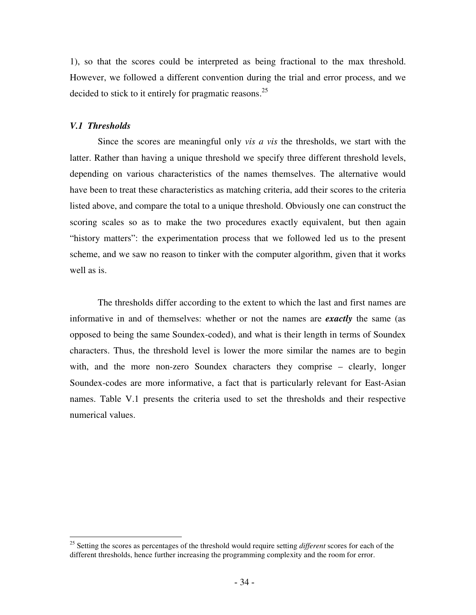1), so that the scores could be interpreted as being fractional to the max threshold. However, we followed a different convention during the trial and error process, and we decided to stick to it entirely for pragmatic reasons.<sup>25</sup>

### *V.1 Thresholds*

Since the scores are meaningful only *vis a vis* the thresholds, we start with the latter. Rather than having a unique threshold we specify three different threshold levels, depending on various characteristics of the names themselves. The alternative would have been to treat these characteristics as matching criteria, add their scores to the criteria listed above, and compare the total to a unique threshold. Obviously one can construct the scoring scales so as to make the two procedures exactly equivalent, but then again "history matters": the experimentation process that we followed led us to the present scheme, and we saw no reason to tinker with the computer algorithm, given that it works well as is.

The thresholds differ according to the extent to which the last and first names are informative in and of themselves: whether or not the names are *exactly* the same (as opposed to being the same Soundex-coded), and what is their length in terms of Soundex characters. Thus, the threshold level is lower the more similar the names are to begin with, and the more non-zero Soundex characters they comprise – clearly, longer Soundex-codes are more informative, a fact that is particularly relevant for East-Asian names. Table V.1 presents the criteria used to set the thresholds and their respective numerical values.

<sup>25</sup> Setting the scores as percentages of the threshold would require setting *different* scores for each of the different thresholds, hence further increasing the programming complexity and the room for error.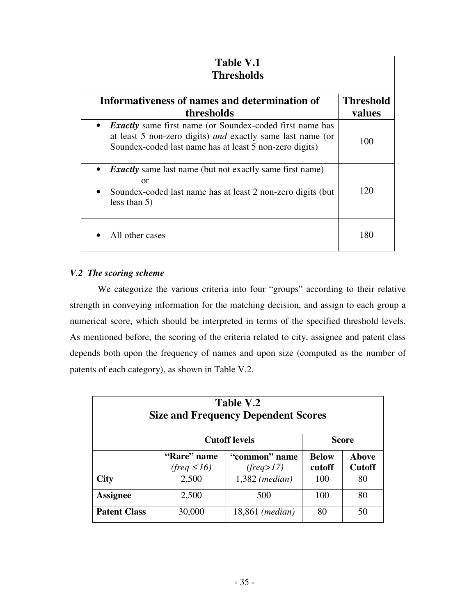| Table V.1<br><b>Thresholds</b>                                                                                                                                                                        |                  |  |  |  |
|-------------------------------------------------------------------------------------------------------------------------------------------------------------------------------------------------------|------------------|--|--|--|
| Informativeness of names and determination of                                                                                                                                                         | <b>Threshold</b> |  |  |  |
| thresholds                                                                                                                                                                                            | values           |  |  |  |
| <b>Exactly</b> same first name (or Soundex-coded first name has<br>$\bullet$<br>at least 5 non-zero digits) and exactly same last name (or<br>Soundex-coded last name has at least 5 non-zero digits) | 100              |  |  |  |
| <b>Exactly</b> same last name (but not exactly same first name)<br>or<br>Soundex-coded last name has at least 2 non-zero digits (but<br>less than $5)$                                                | 120              |  |  |  |
| All other cases                                                                                                                                                                                       | 180              |  |  |  |

# *V.2 The scoring scheme*

We categorize the various criteria into four "groups" according to their relative strength in conveying information for the matching decision, and assign to each group a numerical score, which should be interpreted in terms of the specified threshold levels. As mentioned before, the scoring of the criteria related to city, assignee and patent class depends both upon the frequency of names and upon size (computed as the number of patents of each category), as shown in Table V.2.

| Table V.2<br><b>Size and Frequency Dependent Scores</b> |                                 |                            |                        |                               |  |
|---------------------------------------------------------|---------------------------------|----------------------------|------------------------|-------------------------------|--|
|                                                         | <b>Cutoff levels</b>            | <b>Score</b>               |                        |                               |  |
|                                                         | "Rare" name<br>$(freq \leq 16)$ | "common" name<br>(freq>17) | <b>Below</b><br>cutoff | <b>Above</b><br><b>Cutoff</b> |  |
| <b>City</b>                                             | 2,500                           | $1,382$ (median)           | 100                    | 80                            |  |
| <b>Assignee</b>                                         | 2,500                           | 500                        | 100                    | 80                            |  |
| <b>Patent Class</b>                                     | 30,000                          | 18,861 ( <i>median</i> )   | 80                     | 50                            |  |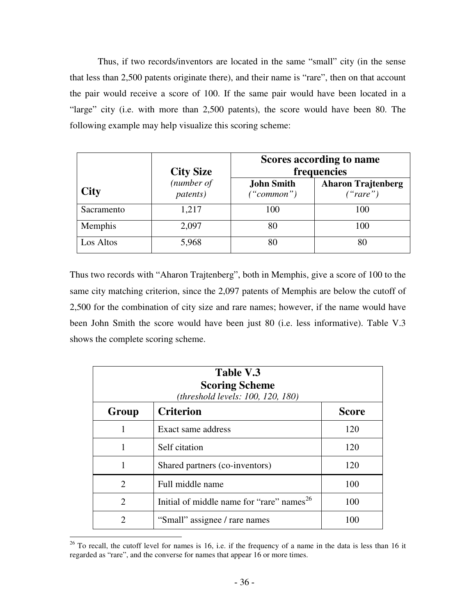Thus, if two records/inventors are located in the same "small" city (in the sense that less than 2,500 patents originate there), and their name is "rare", then on that account the pair would receive a score of 100. If the same pair would have been located in a "large" city (i.e. with more than 2,500 patents), the score would have been 80. The following example may help visualize this scoring scheme:

|             | <b>City Size</b>               | Scores according to name<br>frequencies |                                       |  |
|-------------|--------------------------------|-----------------------------------------|---------------------------------------|--|
| <b>City</b> | (number of<br><i>patents</i> ) | <b>John Smith</b><br>("common")         | <b>Aharon Trajtenberg</b><br>("rare") |  |
| Sacramento  | 1,217                          | 100                                     | 100                                   |  |
| Memphis     | 2,097                          | 80                                      | 100                                   |  |
| Los Altos   | 5,968                          | 80                                      | 80                                    |  |

Thus two records with "Aharon Trajtenberg", both in Memphis, give a score of 100 to the same city matching criterion, since the 2,097 patents of Memphis are below the cutoff of 2,500 for the combination of city size and rare names; however, if the name would have been John Smith the score would have been just 80 (i.e. less informative). Table V.3 shows the complete scoring scheme.

| Table V.3<br><b>Scoring Scheme</b><br>(threshold levels: 100, 120, 180) |                                                       |              |  |  |
|-------------------------------------------------------------------------|-------------------------------------------------------|--------------|--|--|
| Group                                                                   | <b>Criterion</b>                                      | <b>Score</b> |  |  |
|                                                                         | Exact same address                                    | 120          |  |  |
|                                                                         | Self citation                                         | 120          |  |  |
| 1                                                                       | Shared partners (co-inventors)                        | 120          |  |  |
| $\mathfrak{D}$                                                          | Full middle name                                      | 100          |  |  |
| $\mathfrak{D}$                                                          | Initial of middle name for "rare" names <sup>26</sup> | 100          |  |  |
| 2                                                                       | "Small" assignee / rare names                         | 100          |  |  |

 $26$  To recall, the cutoff level for names is 16, i.e. if the frequency of a name in the data is less than 16 it regarded as "rare", and the converse for names that appear 16 or more times.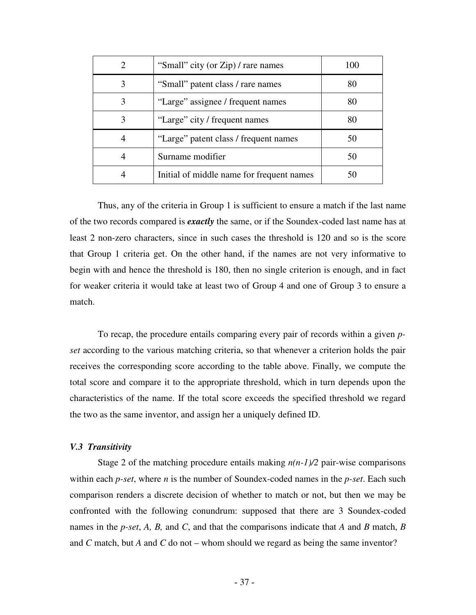| $\mathcal{D}_{\mathcal{L}}$ | "Small" city (or Zip) / rare names        | 100 |
|-----------------------------|-------------------------------------------|-----|
|                             | "Small" patent class / rare names         | 80  |
|                             | "Large" assignee / frequent names         | 80  |
| 3                           | "Large" city / frequent names             | 80  |
|                             | "Large" patent class / frequent names     | 50  |
|                             | Surname modifier                          | 50  |
|                             | Initial of middle name for frequent names |     |

Thus, any of the criteria in Group 1 is sufficient to ensure a match if the last name of the two records compared is *exactly* the same, or if the Soundex-coded last name has at least 2 non-zero characters, since in such cases the threshold is 120 and so is the score that Group 1 criteria get. On the other hand, if the names are not very informative to begin with and hence the threshold is 180, then no single criterion is enough, and in fact for weaker criteria it would take at least two of Group 4 and one of Group 3 to ensure a match.

To recap, the procedure entails comparing every pair of records within a given *pset* according to the various matching criteria, so that whenever a criterion holds the pair receives the corresponding score according to the table above. Finally, we compute the total score and compare it to the appropriate threshold, which in turn depends upon the characteristics of the name. If the total score exceeds the specified threshold we regard the two as the same inventor, and assign her a uniquely defined ID.

#### *V.3 Transitivity*

Stage 2 of the matching procedure entails making  $n(n-1)/2$  pair-wise comparisons within each *p-set*, where *n* is the number of Soundex-coded names in the *p-set*. Each such comparison renders a discrete decision of whether to match or not, but then we may be confronted with the following conundrum: supposed that there are 3 Soundex-coded names in the *p-set*, *A, B,* and *C*, and that the comparisons indicate that *A* and *B* match, *B* and *C* match, but *A* and *C* do not – whom should we regard as being the same inventor?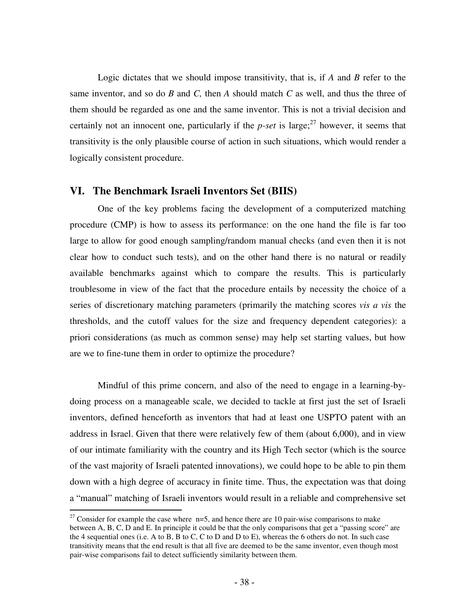Logic dictates that we should impose transitivity, that is, if *A* and *B* refer to the same inventor, and so do *B* and *C,* then *A* should match *C* as well, and thus the three of them should be regarded as one and the same inventor. This is not a trivial decision and certainly not an innocent one, particularly if the  $p\text{-}set$  is large;<sup>27</sup> however, it seems that transitivity is the only plausible course of action in such situations, which would render a logically consistent procedure.

### **VI. The Benchmark Israeli Inventors Set (BIIS)**

One of the key problems facing the development of a computerized matching procedure (CMP) is how to assess its performance: on the one hand the file is far too large to allow for good enough sampling/random manual checks (and even then it is not clear how to conduct such tests), and on the other hand there is no natural or readily available benchmarks against which to compare the results. This is particularly troublesome in view of the fact that the procedure entails by necessity the choice of a series of discretionary matching parameters (primarily the matching scores *vis a vis* the thresholds, and the cutoff values for the size and frequency dependent categories): a priori considerations (as much as common sense) may help set starting values, but how are we to fine-tune them in order to optimize the procedure?

Mindful of this prime concern, and also of the need to engage in a learning-bydoing process on a manageable scale, we decided to tackle at first just the set of Israeli inventors, defined henceforth as inventors that had at least one USPTO patent with an address in Israel. Given that there were relatively few of them (about 6,000), and in view of our intimate familiarity with the country and its High Tech sector (which is the source of the vast majority of Israeli patented innovations), we could hope to be able to pin them down with a high degree of accuracy in finite time. Thus, the expectation was that doing a "manual" matching of Israeli inventors would result in a reliable and comprehensive set

<sup>&</sup>lt;sup>27</sup> Consider for example the case where  $n=5$ , and hence there are 10 pair-wise comparisons to make between A, B, C, D and E. In principle it could be that the only comparisons that get a "passing score" are the 4 sequential ones (i.e. A to B, B to C, C to D and D to E), whereas the 6 others do not. In such case transitivity means that the end result is that all five are deemed to be the same inventor, even though most pair-wise comparisons fail to detect sufficiently similarity between them.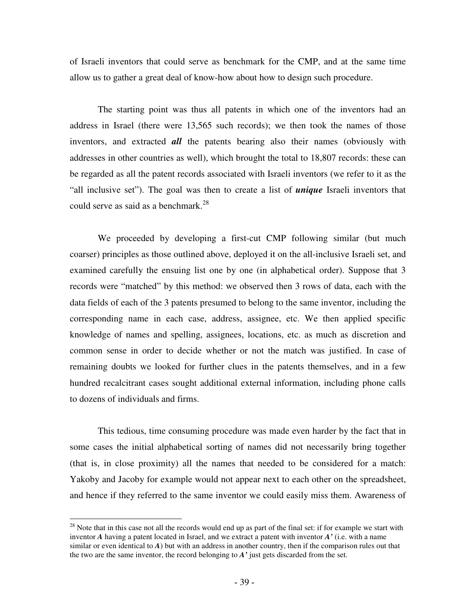of Israeli inventors that could serve as benchmark for the CMP, and at the same time allow us to gather a great deal of know-how about how to design such procedure.

The starting point was thus all patents in which one of the inventors had an address in Israel (there were 13,565 such records); we then took the names of those inventors, and extracted *all* the patents bearing also their names (obviously with addresses in other countries as well), which brought the total to 18,807 records: these can be regarded as all the patent records associated with Israeli inventors (we refer to it as the "all inclusive set"). The goal was then to create a list of *unique* Israeli inventors that could serve as said as a benchmark. 28

We proceeded by developing a first-cut CMP following similar (but much coarser) principles as those outlined above, deployed it on the all-inclusive Israeli set, and examined carefully the ensuing list one by one (in alphabetical order). Suppose that 3 records were "matched" by this method: we observed then 3 rows of data, each with the data fields of each of the 3 patents presumed to belong to the same inventor, including the corresponding name in each case, address, assignee, etc. We then applied specific knowledge of names and spelling, assignees, locations, etc. as much as discretion and common sense in order to decide whether or not the match was justified. In case of remaining doubts we looked for further clues in the patents themselves, and in a few hundred recalcitrant cases sought additional external information, including phone calls to dozens of individuals and firms.

This tedious, time consuming procedure was made even harder by the fact that in some cases the initial alphabetical sorting of names did not necessarily bring together (that is, in close proximity) all the names that needed to be considered for a match: Yakoby and Jacoby for example would not appear next to each other on the spreadsheet, and hence if they referred to the same inventor we could easily miss them. Awareness of

 $^{28}$  Note that in this case not all the records would end up as part of the final set: if for example we start with inventor *A* having a patent located in Israel, and we extract a patent with inventor *A'* (i.e. with a name similar or even identical to *A*) but with an address in another country, then if the comparison rules out that the two are the same inventor, the record belonging to *A'* just gets discarded from the set.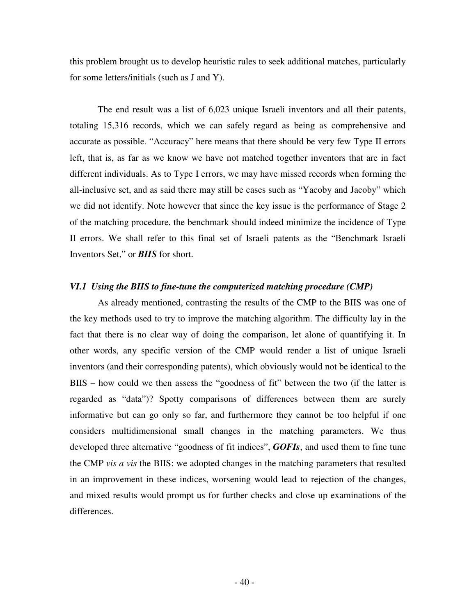this problem brought us to develop heuristic rules to seek additional matches, particularly for some letters/initials (such as J and Y).

The end result was a list of 6,023 unique Israeli inventors and all their patents, totaling 15,316 records, which we can safely regard as being as comprehensive and accurate as possible. "Accuracy" here means that there should be very few Type II errors left, that is, as far as we know we have not matched together inventors that are in fact different individuals. As to Type I errors, we may have missed records when forming the all-inclusive set, and as said there may still be cases such as "Yacoby and Jacoby" which we did not identify. Note however that since the key issue is the performance of Stage 2 of the matching procedure, the benchmark should indeed minimize the incidence of Type II errors. We shall refer to this final set of Israeli patents as the "Benchmark Israeli Inventors Set," or *BIIS* for short.

#### *VI.1 Using the BIIS to fine-tune the computerized matching procedure (CMP)*

As already mentioned, contrasting the results of the CMP to the BIIS was one of the key methods used to try to improve the matching algorithm. The difficulty lay in the fact that there is no clear way of doing the comparison, let alone of quantifying it. In other words, any specific version of the CMP would render a list of unique Israeli inventors (and their corresponding patents), which obviously would not be identical to the BIIS – how could we then assess the "goodness of fit" between the two (if the latter is regarded as "data")? Spotty comparisons of differences between them are surely informative but can go only so far, and furthermore they cannot be too helpful if one considers multidimensional small changes in the matching parameters. We thus developed three alternative "goodness of fit indices", *GOFIs*, and used them to fine tune the CMP *vis a vis* the BIIS: we adopted changes in the matching parameters that resulted in an improvement in these indices, worsening would lead to rejection of the changes, and mixed results would prompt us for further checks and close up examinations of the differences.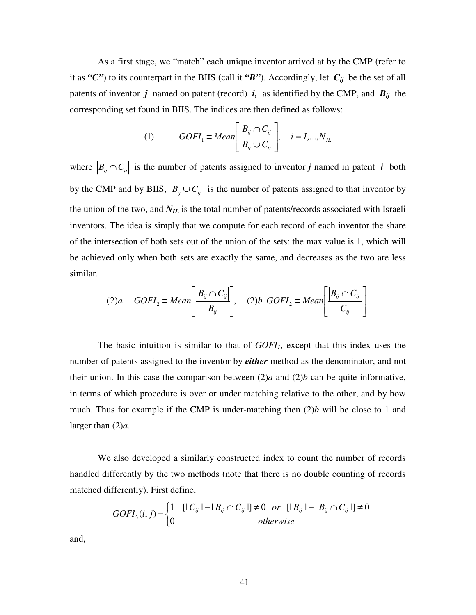As a first stage, we "match" each unique inventor arrived at by the CMP (refer to it as " $C$ ") to its counterpart in the BIIS (call it " $B$ "). Accordingly, let  $C_{ij}$  be the set of all patents of inventor  $j$  named on patent (record)  $i$ , as identified by the CMP, and  $B_{ij}$  the corresponding set found in BIIS. The indices are then defined as follows:

(1) 
$$
GOFI_1 \equiv Mean \left[ \frac{|B_{ij} \cap C_{ij}|}{|B_{ij} \cup C_{ij}|} \right], \quad i = 1,...,N_{IL}
$$

where  $\left|B_{ij} \cap C_{ij}\right|$  is the number of patents assigned to inventor *j* named in patent *i* both by the CMP and by BIIS,  $|B_{ij} \cup C_{ij}|$  is the number of patents assigned to that inventor by the union of the two, and *NIL* is the total number of patents/records associated with Israeli inventors. The idea is simply that we compute for each record of each inventor the share of the intersection of both sets out of the union of the sets: the max value is 1, which will be achieved only when both sets are exactly the same, and decreases as the two are less similar.

$$
(2)a \quad GOFI_2 \equiv Mean \left[ \frac{|B_{ij} \cap C_{ij}|}{|B_{ij}|} \right], \quad (2)b \; GOFI_2 \equiv Mean \left[ \frac{|B_{ij} \cap C_{ij}|}{|C_{ij}|} \right]
$$

The basic intuition is similar to that of *GOFI1*, except that this index uses the number of patents assigned to the inventor by *either* method as the denominator, and not their union. In this case the comparison between  $(2)a$  and  $(2)b$  can be quite informative, in terms of which procedure is over or under matching relative to the other, and by how much. Thus for example if the CMP is under-matching then (2)*b* will be close to 1 and larger than (2)*a*.

We also developed a similarly constructed index to count the number of records handled differently by the two methods (note that there is no double counting of records matched differently). First define,

$$
GOFI_{3}(i, j) = \begin{cases} 1 & \left[ |C_{ij}| - |B_{ij} \cap C_{ij}| \right] \neq 0 \quad or \quad \left[ |B_{ij}| - |B_{ij} \cap C_{ij}| \right] \neq 0 \\ 0 & \quad otherwise \end{cases}
$$

and,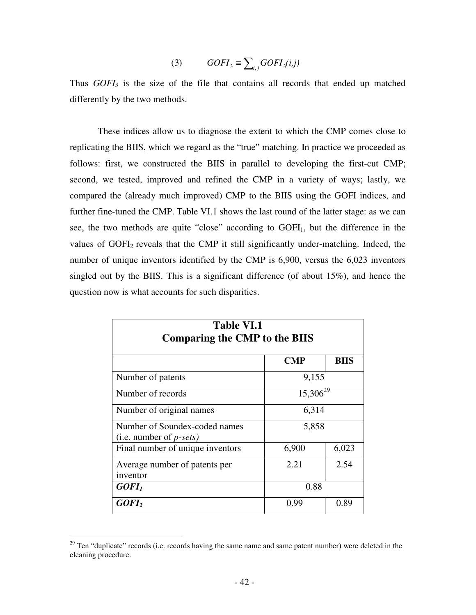(3) 
$$
GOFI_3 \equiv \sum_{i,j} GOFI_3(i,j)
$$

Thus *GOFI<sup>3</sup>* is the size of the file that contains all records that ended up matched differently by the two methods.

These indices allow us to diagnose the extent to which the CMP comes close to replicating the BIIS, which we regard as the "true" matching. In practice we proceeded as follows: first, we constructed the BIIS in parallel to developing the first-cut CMP; second, we tested, improved and refined the CMP in a variety of ways; lastly, we compared the (already much improved) CMP to the BIIS using the GOFI indices, and further fine-tuned the CMP. Table VI.1 shows the last round of the latter stage: as we can see, the two methods are quite "close" according to  $GOFI<sub>1</sub>$ , but the difference in the values of GOFI<sub>2</sub> reveals that the CMP it still significantly under-matching. Indeed, the number of unique inventors identified by the CMP is 6,900, versus the 6,023 inventors singled out by the BIIS. This is a significant difference (of about 15%), and hence the question now is what accounts for such disparities.

| <b>Table VI.1</b><br><b>Comparing the CMP to the BIIS</b>   |               |             |  |  |
|-------------------------------------------------------------|---------------|-------------|--|--|
|                                                             | <b>CMP</b>    | <b>BIIS</b> |  |  |
| Number of patents                                           | 9,155         |             |  |  |
| Number of records                                           | $15,306^{29}$ |             |  |  |
| Number of original names                                    | 6,314         |             |  |  |
| Number of Soundex-coded names<br>(i.e. number of $p$ -sets) | 5,858         |             |  |  |
| Final number of unique inventors                            | 6,900         | 6,023       |  |  |
| Average number of patents per<br>inventor                   | 2.21          | 2.54        |  |  |
| GOFI <sub>1</sub><br>0.88                                   |               |             |  |  |
| GOFI <sub>2</sub>                                           | 0.99          | 0.89        |  |  |

<sup>&</sup>lt;sup>29</sup> Ten "duplicate" records (i.e. records having the same name and same patent number) were deleted in the cleaning procedure.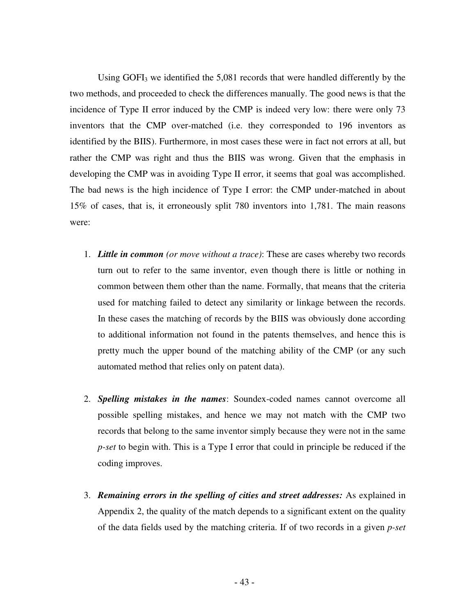Using GOFI<sub>3</sub> we identified the 5,081 records that were handled differently by the two methods, and proceeded to check the differences manually. The good news is that the incidence of Type II error induced by the CMP is indeed very low: there were only 73 inventors that the CMP over-matched (i.e. they corresponded to 196 inventors as identified by the BIIS). Furthermore, in most cases these were in fact not errors at all, but rather the CMP was right and thus the BIIS was wrong. Given that the emphasis in developing the CMP was in avoiding Type II error, it seems that goal was accomplished. The bad news is the high incidence of Type I error: the CMP under-matched in about 15% of cases, that is, it erroneously split 780 inventors into 1,781. The main reasons were:

- 1. *Little in common (or move without a trace)*: These are cases whereby two records turn out to refer to the same inventor, even though there is little or nothing in common between them other than the name. Formally, that means that the criteria used for matching failed to detect any similarity or linkage between the records. In these cases the matching of records by the BIIS was obviously done according to additional information not found in the patents themselves, and hence this is pretty much the upper bound of the matching ability of the CMP (or any such automated method that relies only on patent data).
- 2. *Spelling mistakes in the names*: Soundex-coded names cannot overcome all possible spelling mistakes, and hence we may not match with the CMP two records that belong to the same inventor simply because they were not in the same *p-set* to begin with. This is a Type I error that could in principle be reduced if the coding improves.
- 3. *Remaining errors in the spelling of cities and street addresses:* As explained in Appendix 2, the quality of the match depends to a significant extent on the quality of the data fields used by the matching criteria. If of two records in a given *p-set*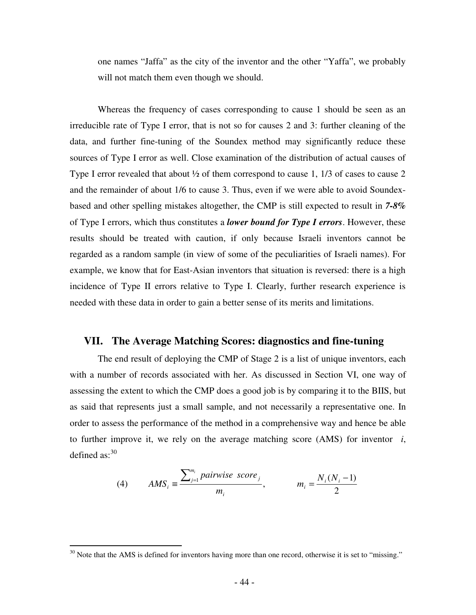one names "Jaffa" as the city of the inventor and the other "Yaffa", we probably will not match them even though we should.

Whereas the frequency of cases corresponding to cause 1 should be seen as an irreducible rate of Type I error, that is not so for causes 2 and 3: further cleaning of the data, and further fine-tuning of the Soundex method may significantly reduce these sources of Type I error as well. Close examination of the distribution of actual causes of Type I error revealed that about  $\frac{1}{2}$  of them correspond to cause 1, 1/3 of cases to cause 2 and the remainder of about 1/6 to cause 3. Thus, even if we were able to avoid Soundexbased and other spelling mistakes altogether, the CMP is still expected to result in *7-8%* of Type I errors, which thus constitutes a *lower bound for Type I errors*. However, these results should be treated with caution, if only because Israeli inventors cannot be regarded as a random sample (in view of some of the peculiarities of Israeli names). For example, we know that for East-Asian inventors that situation is reversed: there is a high incidence of Type II errors relative to Type I. Clearly, further research experience is needed with these data in order to gain a better sense of its merits and limitations.

#### **VII. The Average Matching Scores: diagnostics and fine-tuning**

The end result of deploying the CMP of Stage 2 is a list of unique inventors, each with a number of records associated with her. As discussed in Section VI, one way of assessing the extent to which the CMP does a good job is by comparing it to the BIIS, but as said that represents just a small sample, and not necessarily a representative one. In order to assess the performance of the method in a comprehensive way and hence be able to further improve it, we rely on the average matching score (AMS) for inventor *i*, defined as:<sup>30</sup>

(4) 
$$
AMS_i \equiv \frac{\sum_{j=1}^{m_i} pairwise\ score_j}{m_i}, \qquad m_i = \frac{N_i(N_i - 1)}{2}
$$

 $30$  Note that the AMS is defined for inventors having more than one record, otherwise it is set to "missing."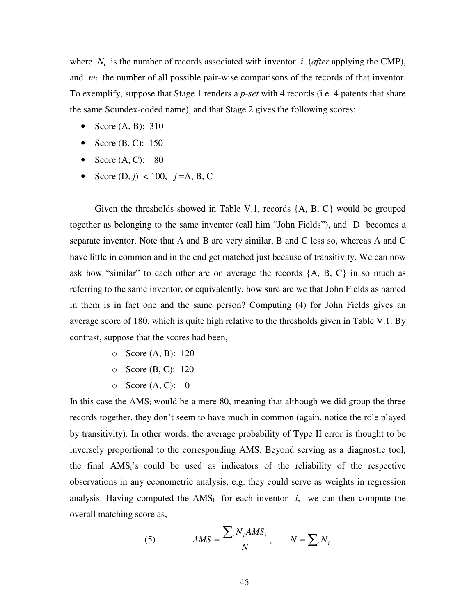where  $N_i$  is the number of records associated with inventor *i* (*after* applying the CMP), and  $m_i$  the number of all possible pair-wise comparisons of the records of that inventor. To exemplify, suppose that Stage 1 renders a *p-set* with 4 records (i.e. 4 patents that share the same Soundex-coded name), and that Stage 2 gives the following scores:

- Score (A, B): 310
- Score  $(B, C)$ : 150
- Score  $(A, C)$ : 80
- Score  $(D, j)$  < 100,  $j = A, B, C$

Given the thresholds showed in Table V.1, records {A, B, C} would be grouped together as belonging to the same inventor (call him "John Fields"), and D becomes a separate inventor. Note that A and B are very similar, B and C less so, whereas A and C have little in common and in the end get matched just because of transitivity. We can now ask how "similar" to each other are on average the records  $\{A, B, C\}$  in so much as referring to the same inventor, or equivalently, how sure are we that John Fields as named in them is in fact one and the same person? Computing (4) for John Fields gives an average score of 180, which is quite high relative to the thresholds given in Table V.1. By contrast, suppose that the scores had been,

- o Score (A, B): 120
- o Score (B, C): 120
- $\circ$  Score (A, C): 0

In this case the  $AMS<sub>i</sub>$  would be a mere 80, meaning that although we did group the three records together, they don't seem to have much in common (again, notice the role played by transitivity). In other words, the average probability of Type II error is thought to be inversely proportional to the corresponding AMS. Beyond serving as a diagnostic tool, the final AMSi's could be used as indicators of the reliability of the respective observations in any econometric analysis, e.g. they could serve as weights in regression analysis. Having computed the  $AMS_i$  for each inventor *i*, we can then compute the overall matching score as,

(5) 
$$
AMS = \frac{\sum_{i} N_{i} AMS_{i}}{N}, \qquad N = \sum_{i} N_{i}
$$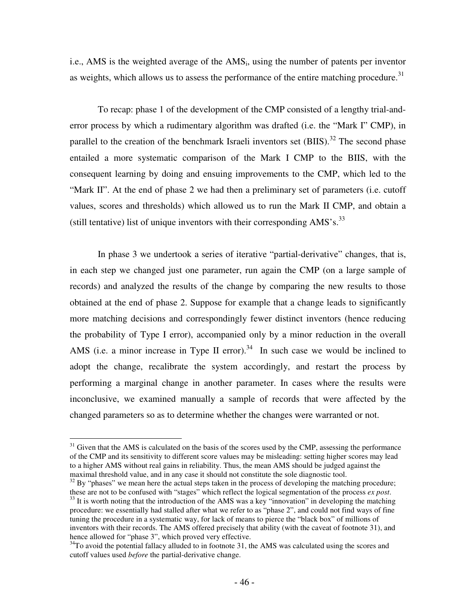i.e., AMS is the weighted average of the AMS<sup>i</sup> , using the number of patents per inventor as weights, which allows us to assess the performance of the entire matching procedure.<sup>31</sup>

To recap: phase 1 of the development of the CMP consisted of a lengthy trial-anderror process by which a rudimentary algorithm was drafted (i.e. the "Mark I" CMP), in parallel to the creation of the benchmark Israeli inventors set (BIIS).<sup>32</sup> The second phase entailed a more systematic comparison of the Mark I CMP to the BIIS, with the consequent learning by doing and ensuing improvements to the CMP, which led to the "Mark II". At the end of phase 2 we had then a preliminary set of parameters (i.e. cutoff values, scores and thresholds) which allowed us to run the Mark II CMP, and obtain a (still tentative) list of unique inventors with their corresponding AMS's.<sup>33</sup>

In phase 3 we undertook a series of iterative "partial-derivative" changes, that is, in each step we changed just one parameter, run again the CMP (on a large sample of records) and analyzed the results of the change by comparing the new results to those obtained at the end of phase 2. Suppose for example that a change leads to significantly more matching decisions and correspondingly fewer distinct inventors (hence reducing the probability of Type I error), accompanied only by a minor reduction in the overall AMS (i.e. a minor increase in Type II error).<sup>34</sup> In such case we would be inclined to adopt the change, recalibrate the system accordingly, and restart the process by performing a marginal change in another parameter. In cases where the results were inconclusive, we examined manually a sample of records that were affected by the changed parameters so as to determine whether the changes were warranted or not.

 $31$  Given that the AMS is calculated on the basis of the scores used by the CMP, assessing the performance of the CMP and its sensitivity to different score values may be misleading: setting higher scores may lead to a higher AMS without real gains in reliability. Thus, the mean AMS should be judged against the maximal threshold value, and in any case it should not constitute the sole diagnostic tool.

 $32$  By "phases" we mean here the actual steps taken in the process of developing the matching procedure; these are not to be confused with "stages" which reflect the logical segmentation of the process *ex post*.

 $33$  It is worth noting that the introduction of the AMS was a key "innovation" in developing the matching procedure: we essentially had stalled after what we refer to as "phase 2", and could not find ways of fine tuning the procedure in a systematic way, for lack of means to pierce the "black box" of millions of inventors with their records. The AMS offered precisely that ability (with the caveat of footnote 31), and hence allowed for "phase 3", which proved very effective.

<sup>&</sup>lt;sup>34</sup>To avoid the potential fallacy alluded to in footnote 31, the AMS was calculated using the scores and cutoff values used *before* the partial-derivative change.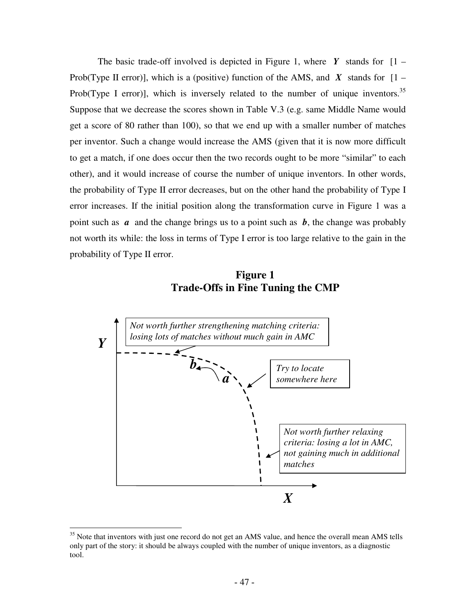The basic trade-off involved is depicted in Figure 1, where  $Y$  stands for  $[1 -$ Prob(Type II error)], which is a (positive) function of the AMS, and *X* stands for  $[1 -$ Prob(Type I error)], which is inversely related to the number of unique inventors.<sup>35</sup> Suppose that we decrease the scores shown in Table V.3 (e.g. same Middle Name would get a score of 80 rather than 100), so that we end up with a smaller number of matches per inventor. Such a change would increase the AMS (given that it is now more difficult to get a match, if one does occur then the two records ought to be more "similar" to each other), and it would increase of course the number of unique inventors. In other words, the probability of Type II error decreases, but on the other hand the probability of Type I error increases. If the initial position along the transformation curve in Figure 1 was a point such as *a* and the change brings us to a point such as *b*, the change was probably not worth its while: the loss in terms of Type I error is too large relative to the gain in the probability of Type II error.

**Figure 1 Trade-Offs in Fine Tuning the CMP**



<sup>&</sup>lt;sup>35</sup> Note that inventors with just one record do not get an AMS value, and hence the overall mean AMS tells only part of the story: it should be always coupled with the number of unique inventors, as a diagnostic tool.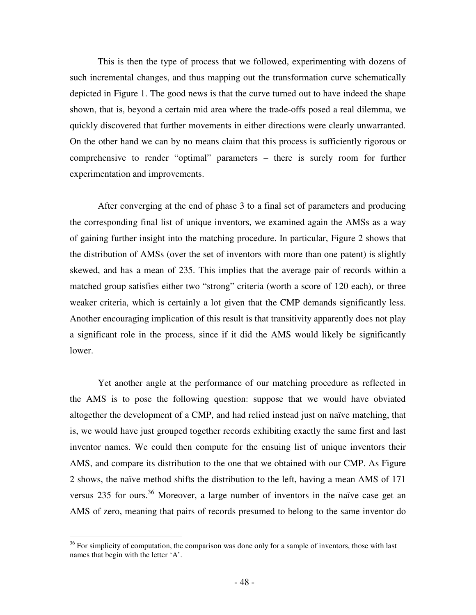This is then the type of process that we followed, experimenting with dozens of such incremental changes, and thus mapping out the transformation curve schematically depicted in Figure 1. The good news is that the curve turned out to have indeed the shape shown, that is, beyond a certain mid area where the trade-offs posed a real dilemma, we quickly discovered that further movements in either directions were clearly unwarranted. On the other hand we can by no means claim that this process is sufficiently rigorous or comprehensive to render "optimal" parameters – there is surely room for further experimentation and improvements.

After converging at the end of phase 3 to a final set of parameters and producing the corresponding final list of unique inventors, we examined again the AMSs as a way of gaining further insight into the matching procedure. In particular, Figure 2 shows that the distribution of AMSs (over the set of inventors with more than one patent) is slightly skewed, and has a mean of 235. This implies that the average pair of records within a matched group satisfies either two "strong" criteria (worth a score of 120 each), or three weaker criteria, which is certainly a lot given that the CMP demands significantly less. Another encouraging implication of this result is that transitivity apparently does not play a significant role in the process, since if it did the AMS would likely be significantly lower.

Yet another angle at the performance of our matching procedure as reflected in the AMS is to pose the following question: suppose that we would have obviated altogether the development of a CMP, and had relied instead just on naïve matching, that is, we would have just grouped together records exhibiting exactly the same first and last inventor names. We could then compute for the ensuing list of unique inventors their AMS, and compare its distribution to the one that we obtained with our CMP. As Figure 2 shows, the naïve method shifts the distribution to the left, having a mean AMS of 171 versus 235 for ours. <sup>36</sup> Moreover, a large number of inventors in the naïve case get an AMS of zero, meaning that pairs of records presumed to belong to the same inventor do

<sup>&</sup>lt;sup>36</sup> For simplicity of computation, the comparison was done only for a sample of inventors, those with last names that begin with the letter 'A'.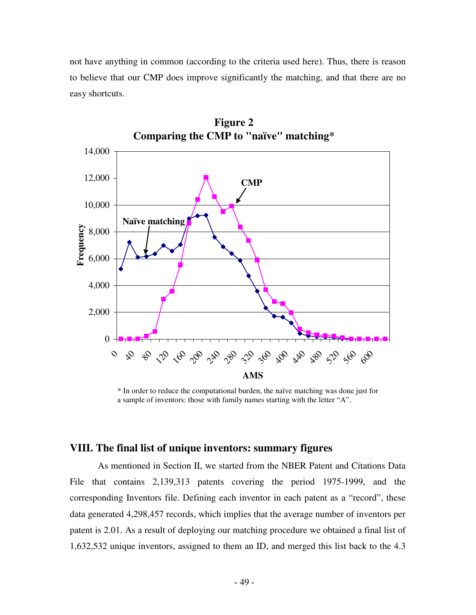not have anything in common (according to the criteria used here). Thus, there is reason to believe that our CMP does improve significantly the matching, and that there are no easy shortcuts.



**Figure 2**

\* In order to reduce the computational burden, the naïve matching was done just for a sample of inventors: those with family names starting with the letter "A".

### **VIII. The final list of unique inventors: summary figures**

As mentioned in Section II, we started from the NBER Patent and Citations Data File that contains 2,139,313 patents covering the period 1975-1999, and the corresponding Inventors file. Defining each inventor in each patent as a "record", these data generated 4,298,457 records, which implies that the average number of inventors per patent is 2.01. As a result of deploying our matching procedure we obtained a final list of 1,632,532 unique inventors, assigned to them an ID, and merged this list back to the 4.3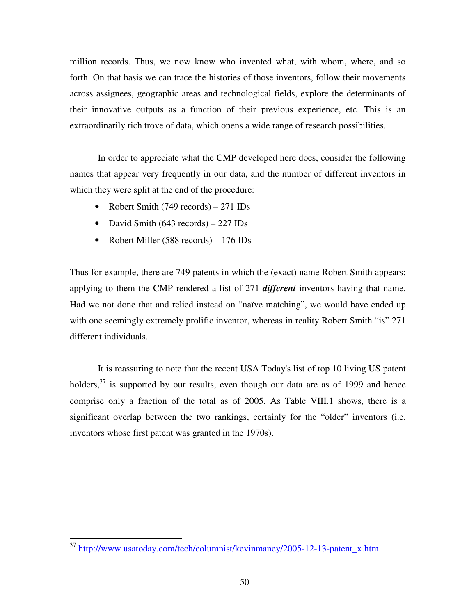million records. Thus, we now know who invented what, with whom, where, and so forth. On that basis we can trace the histories of those inventors, follow their movements across assignees, geographic areas and technological fields, explore the determinants of their innovative outputs as a function of their previous experience, etc. This is an extraordinarily rich trove of data, which opens a wide range of research possibilities.

In order to appreciate what the CMP developed here does, consider the following names that appear very frequently in our data, and the number of different inventors in which they were split at the end of the procedure:

- Robert Smith (749 records) 271 IDs
- David Smith (643 records) 227 IDs
- Robert Miller (588 records) 176 IDs

Thus for example, there are 749 patents in which the (exact) name Robert Smith appears; applying to them the CMP rendered a list of 271 *different* inventors having that name. Had we not done that and relied instead on "naïve matching", we would have ended up with one seemingly extremely prolific inventor, whereas in reality Robert Smith "is" 271 different individuals.

It is reassuring to note that the recent USA Today's list of top 10 living US patent holders,<sup>37</sup> is supported by our results, even though our data are as of 1999 and hence comprise only a fraction of the total as of 2005. As Table VIII.1 shows, there is a significant overlap between the two rankings, certainly for the "older" inventors (i.e. inventors whose first patent was granted in the 1970s).

<sup>&</sup>lt;sup>37</sup> http://www.usatoday.com/tech/columnist/kevinmaney/2005-12-13-patent\_x.htm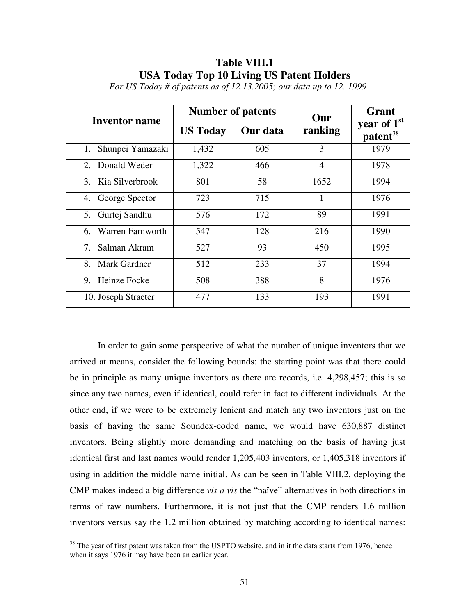| <b>Inventor name</b>   | <b>Number of patents</b> |          | Our            | Grant                                    |  |
|------------------------|--------------------------|----------|----------------|------------------------------------------|--|
|                        | <b>US Today</b>          | Our data | ranking        | year of $1st$<br>$\mathbf{pattern}^{38}$ |  |
| Shunpei Yamazaki<br>1. | 1,432                    | 605      | 3              | 1979                                     |  |
| 2. Donald Weder        | 1,322                    | 466      | $\overline{4}$ | 1978                                     |  |
| 3. Kia Silverbrook     | 801                      | 58       | 1652           | 1994                                     |  |
| 4. George Spector      | 723                      | 715      | 1              | 1976                                     |  |
| 5. Gurtej Sandhu       | 576                      | 172      | 89             | 1991                                     |  |
| 6. Warren Farnworth    | 547                      | 128      | 216            | 1990                                     |  |
| Salman Akram<br>7.     | 527                      | 93       | 450            | 1995                                     |  |
| Mark Gardner<br>8.     | 512                      | 233      | 37             | 1994                                     |  |
| 9. Heinze Focke        | 508                      | 388      | 8              | 1976                                     |  |
| 10. Joseph Straeter    | 477                      | 133      | 193            | 1991                                     |  |

## **Table VIII.1 USA Today Top 10 Living US Patent Holders**

*For US Today # of patents as of 12.13.2005; our data up to 12. 1999*

In order to gain some perspective of what the number of unique inventors that we arrived at means, consider the following bounds: the starting point was that there could be in principle as many unique inventors as there are records, i.e. 4,298,457; this is so since any two names, even if identical, could refer in fact to different individuals. At the other end, if we were to be extremely lenient and match any two inventors just on the basis of having the same Soundex-coded name, we would have 630,887 distinct inventors. Being slightly more demanding and matching on the basis of having just identical first and last names would render 1,205,403 inventors, or 1,405,318 inventors if using in addition the middle name initial. As can be seen in Table VIII.2, deploying the CMP makes indeed a big difference *vis a vis* the "naïve" alternatives in both directions in terms of raw numbers. Furthermore, it is not just that the CMP renders 1.6 million inventors versus say the 1.2 million obtained by matching according to identical names:

<sup>&</sup>lt;sup>38</sup> The year of first patent was taken from the USPTO website, and in it the data starts from 1976, hence when it says 1976 it may have been an earlier year.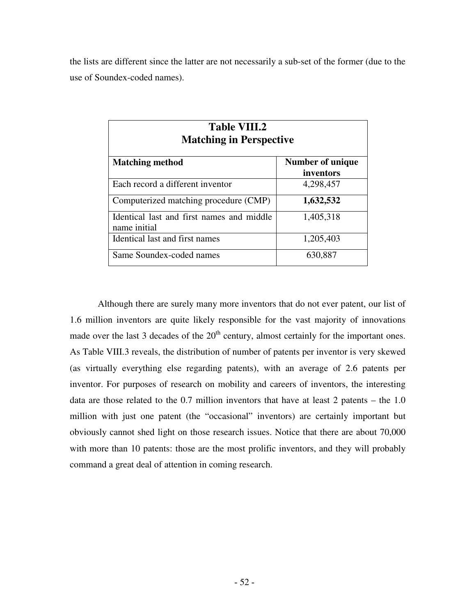the lists are different since the latter are not necessarily a sub-set of the former (due to the use of Soundex-coded names).

| <b>Table VIII.2</b><br><b>Matching in Perspective</b>     |                               |  |  |
|-----------------------------------------------------------|-------------------------------|--|--|
| <b>Matching method</b>                                    | Number of unique<br>inventors |  |  |
| Each record a different inventor                          | 4,298,457                     |  |  |
| Computerized matching procedure (CMP)                     | 1,632,532                     |  |  |
| Identical last and first names and middle<br>name initial | 1,405,318                     |  |  |
| Identical last and first names                            | 1,205,403                     |  |  |
| Same Soundex-coded names                                  | 630,887                       |  |  |

Although there are surely many more inventors that do not ever patent, our list of 1.6 million inventors are quite likely responsible for the vast majority of innovations made over the last 3 decades of the  $20<sup>th</sup>$  century, almost certainly for the important ones. As Table VIII.3 reveals, the distribution of number of patents per inventor is very skewed (as virtually everything else regarding patents), with an average of 2.6 patents per inventor. For purposes of research on mobility and careers of inventors, the interesting data are those related to the 0.7 million inventors that have at least 2 patents – the 1.0 million with just one patent (the "occasional" inventors) are certainly important but obviously cannot shed light on those research issues. Notice that there are about 70,000 with more than 10 patents: those are the most prolific inventors, and they will probably command a great deal of attention in coming research.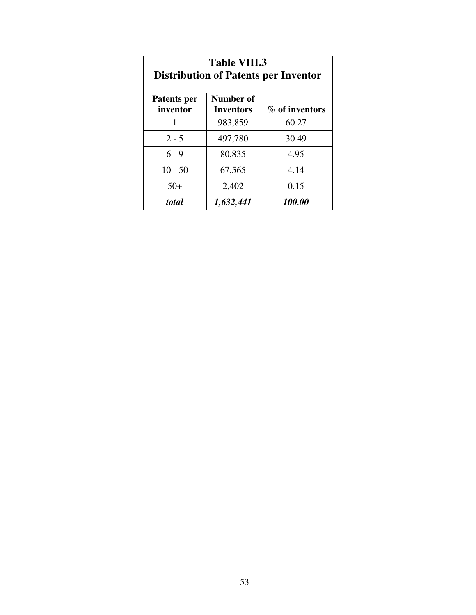| <b>Table VIII.3</b><br><b>Distribution of Patents per Inventor</b>         |         |       |  |  |
|----------------------------------------------------------------------------|---------|-------|--|--|
| Number of<br>Patents per<br>% of inventors<br>inventor<br><b>Inventors</b> |         |       |  |  |
|                                                                            | 983,859 | 60.27 |  |  |
| $2 - 5$                                                                    | 497,780 | 30.49 |  |  |
| $6 - 9$                                                                    | 80,835  | 4.95  |  |  |
| $10 - 50$                                                                  | 67,565  | 4.14  |  |  |
| $50+$                                                                      | 2,402   | 0.15  |  |  |
| 100.00<br>1,632,441<br>total                                               |         |       |  |  |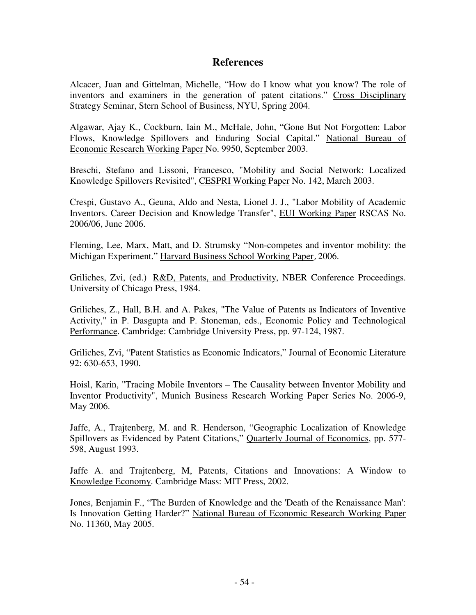### **References**

Alcacer, Juan and Gittelman, Michelle, "How do I know what you know? The role of inventors and examiners in the generation of patent citations." Cross Disciplinary Strategy Seminar, Stern School of Business, NYU, Spring 2004.

Algawar, Ajay K., Cockburn, Iain M., McHale, John, "Gone But Not Forgotten: Labor Flows, Knowledge Spillovers and Enduring Social Capital." National Bureau of Economic Research Working Paper No. 9950, September 2003.

Breschi, Stefano and Lissoni, Francesco, "Mobility and Social Network: Localized Knowledge Spillovers Revisited", CESPRI Working Paper No. 142, March 2003.

Crespi, Gustavo A., Geuna, Aldo and Nesta, Lionel J. J., "Labor Mobility of Academic Inventors. Career Decision and Knowledge Transfer", EUI Working Paper RSCAS No. 2006/06, June 2006.

Fleming, Lee, Marx, Matt, and D. Strumsky "Non-competes and inventor mobility: the Michigan Experiment." Harvard Business School Working Paper,2006.

Griliches, Zvi, (ed.) R&D, Patents, and Productivity, NBER Conference Proceedings. University of Chicago Press, 1984.

Griliches, Z., Hall, B.H. and A. Pakes, "The Value of Patents as Indicators of Inventive Activity," in P. Dasgupta and P. Stoneman, eds., Economic Policy and Technological Performance. Cambridge: Cambridge University Press, pp. 97-124, 1987.

Griliches, Zvi, "Patent Statistics as Economic Indicators," Journal of Economic Literature 92: 630-653, 1990.

Hoisl, Karin, "Tracing Mobile Inventors – The Causality between Inventor Mobility and Inventor Productivity", Munich Business Research Working Paper Series No. 2006-9, May 2006.

Jaffe, A., Trajtenberg, M. and R. Henderson, "Geographic Localization of Knowledge Spillovers as Evidenced by Patent Citations," Quarterly Journal of Economics, pp. 577- 598, August 1993.

Jaffe A. and Trajtenberg, M, Patents, Citations and Innovations: A Window to Knowledge Economy. Cambridge Mass: MIT Press, 2002.

Jones, Benjamin F., "The Burden of Knowledge and the 'Death of the Renaissance Man': Is Innovation Getting Harder?" National Bureau of Economic Research Working Paper No. 11360, May 2005.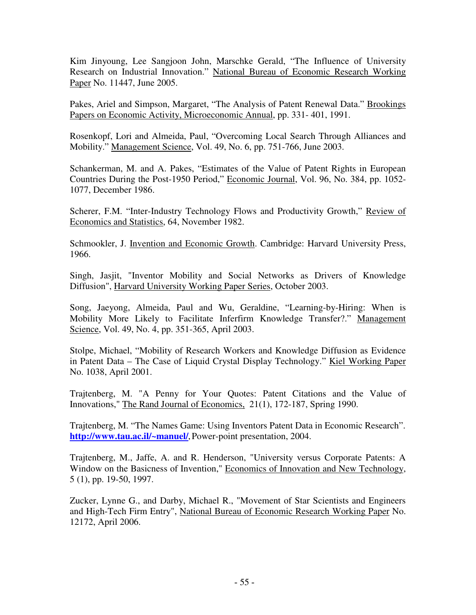Kim Jinyoung, Lee Sangjoon John, Marschke Gerald, "The Influence of University Research on Industrial Innovation." National Bureau of Economic Research Working Paper No. 11447, June 2005.

Pakes, Ariel and Simpson, Margaret, "The Analysis of Patent Renewal Data." Brookings Papers on Economic Activity, Microeconomic Annual, pp. 331- 401, 1991.

Rosenkopf, Lori and Almeida, Paul, "Overcoming Local Search Through Alliances and Mobility." Management Science, Vol. 49, No. 6, pp. 751-766, June 2003.

Schankerman, M. and A. Pakes, "Estimates of the Value of Patent Rights in European Countries During the Post-1950 Period," Economic Journal, Vol. 96, No. 384, pp. 1052- 1077, December 1986.

Scherer, F.M. "Inter-Industry Technology Flows and Productivity Growth," Review of Economics and Statistics, 64, November 1982.

Schmookler, J. Invention and Economic Growth. Cambridge: Harvard University Press, 1966.

Singh, Jasjit, "Inventor Mobility and Social Networks as Drivers of Knowledge Diffusion", Harvard University Working Paper Series, October 2003.

Song, Jaeyong, Almeida, Paul and Wu, Geraldine, "Learning-by-Hiring: When is Mobility More Likely to Facilitate Inferfirm Knowledge Transfer?." Management Science, Vol. 49, No. 4, pp. 351-365, April 2003.

Stolpe, Michael, "Mobility of Research Workers and Knowledge Diffusion as Evidence in Patent Data – The Case of Liquid Crystal Display Technology." Kiel Working Paper No. 1038, April 2001.

Trajtenberg, M. "A Penny for Your Quotes: Patent Citations and the Value of Innovations," The Rand Journal of Economics, 21(1), 172-187, Spring 1990.

Trajtenberg, M. "The Names Game: Using Inventors Patent Data in Economic Research". **http://www.tau.ac.il/~manuel/,** Power-point presentation, 2004.

Trajtenberg, M., Jaffe, A. and R. Henderson, "University versus Corporate Patents: A Window on the Basicness of Invention," Economics of Innovation and New Technology, 5 (1), pp. 19-50, 1997.

Zucker, Lynne G., and Darby, Michael R., "Movement of Star Scientists and Engineers and High-Tech Firm Entry", National Bureau of Economic Research Working Paper No. 12172, April 2006.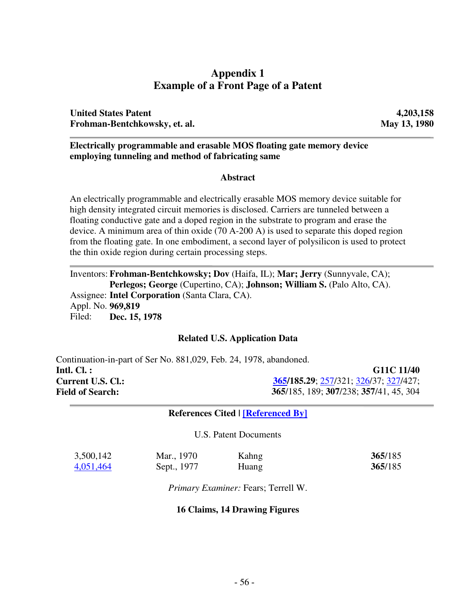### **Appendix 1 Example of a Front Page of a Patent**

**United States Patent 4,203,158 Frohman-Bentchkowsky, et. al. May 13, 1980**

#### **Electrically programmable and erasable MOS floating gate memory device employing tunneling and method of fabricating same**

### **Abstract**

An electrically programmable and electrically erasable MOS memory device suitable for high density integrated circuit memories is disclosed. Carriers are tunneled between a floating conductive gate and a doped region in the substrate to program and erase the device. A minimum area of thin oxide (70 A-200 A) is used to separate this doped region from the floating gate. In one embodiment, a second layer of polysilicon is used to protect the thin oxide region during certain processing steps.

Inventors: **Frohman-Bentchkowsky; Dov** (Haifa, IL); **Mar; Jerry** (Sunnyvale, CA); **Perlegos; George** (Cupertino, CA); **Johnson; William S.** (Palo Alto, CA). Assignee: **Intel Corporation** (Santa Clara, CA). Appl. No. **969,819** Filed: **Dec. 15, 1978**

#### **Related U.S. Application Data**

Continuation-in-part of Ser No. 881,029, Feb. 24, 1978, abandoned. **Intl. Cl. : G11C 11/40 Current U.S. Cl.: 365/185.29**; 257/321; 326/37; 327/427; **Field of Search: 365**/185, 189; **307**/238; **357**/41, 45, 304

#### **References Cited | [Referenced By]**

U.S. Patent Documents

| 3,500,142 | Mar., 1970  | Kahng | 365/185 |
|-----------|-------------|-------|---------|
| 4,051,464 | Sept., 1977 | Huang | 365/185 |

*Primary Examiner:* Fears; Terrell W.

#### **16 Claims, 14 Drawing Figures**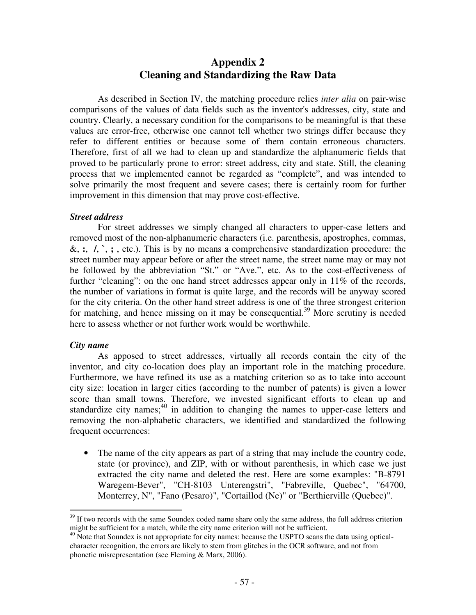### **Appendix 2 Cleaning and Standardizing the Raw Data**

As described in Section IV, the matching procedure relies *inter alia* on pair-wise comparisons of the values of data fields such as the inventor's addresses, city, state and country. Clearly, a necessary condition for the comparisons to be meaningful is that these values are error-free, otherwise one cannot tell whether two strings differ because they refer to different entities or because some of them contain erroneous characters. Therefore, first of all we had to clean up and standardize the alphanumeric fields that proved to be particularly prone to error: street address, city and state. Still, the cleaning process that we implemented cannot be regarded as "complete", and was intended to solve primarily the most frequent and severe cases; there is certainly room for further improvement in this dimension that may prove cost-effective.

#### *Street address*

For street addresses we simply changed all characters to upper-case letters and removed most of the non-alphanumeric characters (i.e. parenthesis, apostrophes, commas, &, **:**, **/**, **`**, **;** , etc.). This is by no means a comprehensive standardization procedure: the street number may appear before or after the street name, the street name may or may not be followed by the abbreviation "St." or "Ave.", etc. As to the cost-effectiveness of further "cleaning": on the one hand street addresses appear only in  $11\%$  of the records, the number of variations in format is quite large, and the records will be anyway scored for the city criteria. On the other hand street address is one of the three strongest criterion for matching, and hence missing on it may be consequential.<sup>39</sup> More scrutiny is needed here to assess whether or not further work would be worthwhile.

#### *City name*

As apposed to street addresses, virtually all records contain the city of the inventor, and city co-location does play an important role in the matching procedure. Furthermore, we have refined its use as a matching criterion so as to take into account city size: location in larger cities (according to the number of patents) is given a lower score than small towns. Therefore, we invested significant efforts to clean up and standardize city names;<sup>40</sup> in addition to changing the names to upper-case letters and removing the non-alphabetic characters, we identified and standardized the following frequent occurrences:

• The name of the city appears as part of a string that may include the country code, state (or province), and ZIP, with or without parenthesis, in which case we just extracted the city name and deleted the rest. Here are some examples: "B-8791 Waregem-Bever", "CH-8103 Unterengstri", "Fabreville, Quebec", "64700, Monterrey, N", "Fano (Pesaro)", "Cortaillod (Ne)" or "Berthierville (Quebec)".

<sup>&</sup>lt;sup>39</sup> If two records with the same Soundex coded name share only the same address, the full address criterion might be sufficient for a match, while the city name criterion will not be sufficient.

<sup>&</sup>lt;sup>40</sup> Note that Soundex is not appropriate for city names: because the USPTO scans the data using opticalcharacter recognition, the errors are likely to stem from glitches in the OCR software, and not from phonetic misrepresentation (see Fleming & Marx, 2006).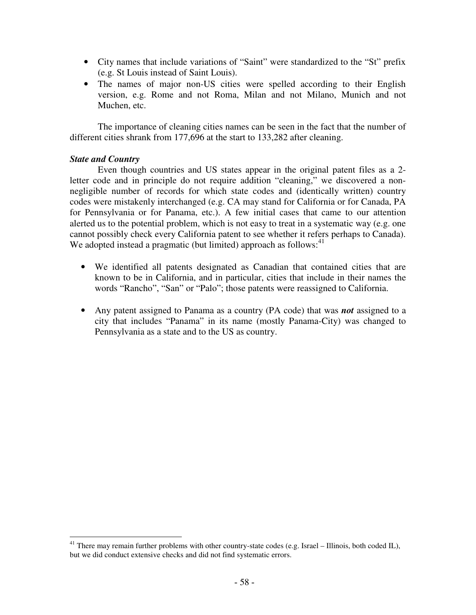- City names that include variations of "Saint" were standardized to the "St" prefix (e.g. St Louis instead of Saint Louis).
- The names of major non-US cities were spelled according to their English version, e.g. Rome and not Roma, Milan and not Milano, Munich and not Muchen, etc.

The importance of cleaning cities names can be seen in the fact that the number of different cities shrank from 177,696 at the start to 133,282 after cleaning.

### *State and Country*

Even though countries and US states appear in the original patent files as a 2 letter code and in principle do not require addition "cleaning," we discovered a nonnegligible number of records for which state codes and (identically written) country codes were mistakenly interchanged (e.g. CA may stand for California or for Canada, PA for Pennsylvania or for Panama, etc.). A few initial cases that came to our attention alerted us to the potential problem, which is not easy to treat in a systematic way (e.g. one cannot possibly check every California patent to see whether it refers perhaps to Canada). We adopted instead a pragmatic (but limited) approach as follows:<sup>41</sup>

- We identified all patents designated as Canadian that contained cities that are known to be in California, and in particular, cities that include in their names the words "Rancho", "San" or "Palo"; those patents were reassigned to California.
- Any patent assigned to Panama as a country (PA code) that was *not* assigned to a city that includes "Panama" in its name (mostly Panama-City) was changed to Pennsylvania as a state and to the US as country.

<sup>&</sup>lt;sup>41</sup> There may remain further problems with other country-state codes (e.g. Israel – Illinois, both coded IL), but we did conduct extensive checks and did not find systematic errors.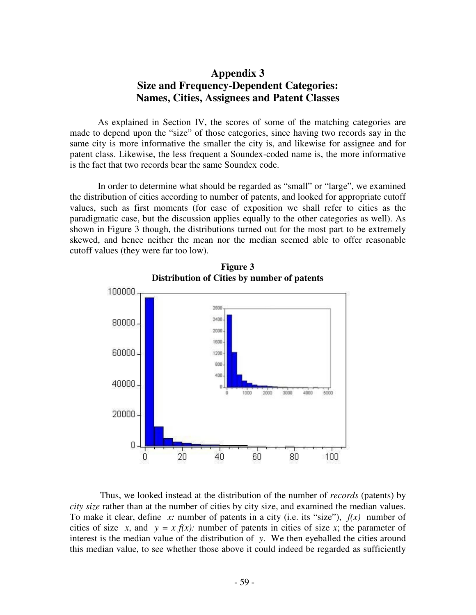### **Appendix 3 Size and Frequency-Dependent Categories: Names, Cities, Assignees and Patent Classes**

As explained in Section IV, the scores of some of the matching categories are made to depend upon the "size" of those categories, since having two records say in the same city is more informative the smaller the city is, and likewise for assignee and for patent class. Likewise, the less frequent a Soundex-coded name is, the more informative is the fact that two records bear the same Soundex code.

In order to determine what should be regarded as "small" or "large", we examined the distribution of cities according to number of patents, and looked for appropriate cutoff values, such as first moments (for ease of exposition we shall refer to cities as the paradigmatic case, but the discussion applies equally to the other categories as well). As shown in Figure 3 though, the distributions turned out for the most part to be extremely skewed, and hence neither the mean nor the median seemed able to offer reasonable cutoff values (they were far too low).



**Figure 3 Distribution of Cities by number of patents**

Thus, we looked instead at the distribution of the number of *records* (patents) by *city size* rather than at the number of cities by city size, and examined the median values. To make it clear, define *x:* number of patents in a city (i.e. its "size"), *f(x)* number of cities of size *x*, and  $y = x f(x)$ : number of patents in cities of size *x*; the parameter of interest is the median value of the distribution of *y*. We then eyeballed the cities around this median value, to see whether those above it could indeed be regarded as sufficiently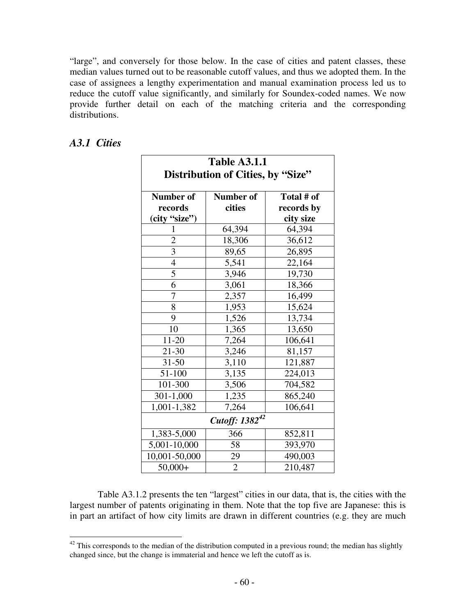"large", and conversely for those below. In the case of cities and patent classes, these median values turned out to be reasonable cutoff values, and thus we adopted them. In the case of assignees a lengthy experimentation and manual examination process led us to reduce the cutoff value significantly, and similarly for Soundex-coded names. We now provide further detail on each of the matching criteria and the corresponding distributions.

| <b>Table A3.1.1</b><br>Distribution of Cities, by "Size" |                |            |  |  |
|----------------------------------------------------------|----------------|------------|--|--|
| <b>Number of</b>                                         | Number of      | Total # of |  |  |
| records                                                  | cities         | records by |  |  |
| (city "size")                                            |                | city size  |  |  |
|                                                          | 64,394         | 64,394     |  |  |
| $\overline{c}$                                           | 18,306         | 36,612     |  |  |
| $\overline{3}$                                           | 89,65          | 26,895     |  |  |
| $rac{4}{5}$                                              | 5,541          | 22,164     |  |  |
|                                                          | 3,946          | 19,730     |  |  |
| $\overline{6}$                                           | 3,061          | 18,366     |  |  |
| $\overline{7}$                                           | 2,357          | 16,499     |  |  |
| 8                                                        | 1,953          | 15,624     |  |  |
| 9                                                        | 1,526          | 13,734     |  |  |
| 10                                                       | 1,365          | 13,650     |  |  |
| $11-20$                                                  | 7,264          | 106,641    |  |  |
| 21-30                                                    | 3,246          | 81,157     |  |  |
| $31 - 50$                                                | 3,110          | 121,887    |  |  |
| 51-100                                                   | 3,135          | 224,013    |  |  |
| 101-300                                                  | 3,506          | 704,582    |  |  |
| 301-1,000                                                | 1,235          | 865,240    |  |  |
| 1,001-1,382                                              | 7,264          | 106,641    |  |  |
| Cutoff: 1382 <sup>42</sup>                               |                |            |  |  |
| 1,383-5,000                                              | 366            | 852,811    |  |  |
| 5,001-10,000                                             | 58             | 393,970    |  |  |
| 10,001-50,000                                            | 29             | 490,003    |  |  |
| $50,000+$                                                | $\overline{2}$ | 210,487    |  |  |

### *A3.1 Cities*

Table A3.1.2 presents the ten "largest" cities in our data, that is, the cities with the largest number of patents originating in them. Note that the top five are Japanese: this is in part an artifact of how city limits are drawn in different countries (e.g. they are much

 $42$  This corresponds to the median of the distribution computed in a previous round; the median has slightly changed since, but the change is immaterial and hence we left the cutoff as is.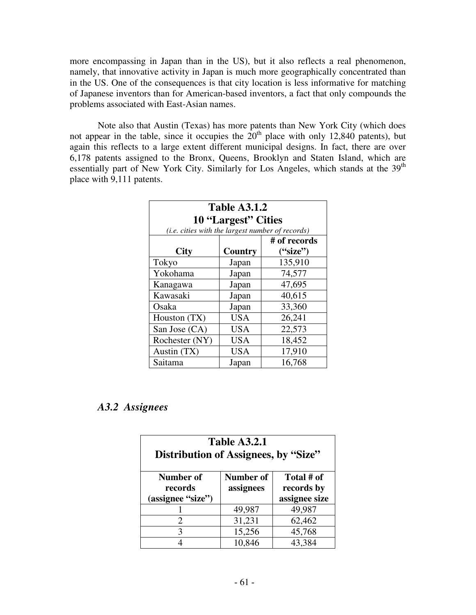more encompassing in Japan than in the US), but it also reflects a real phenomenon, namely, that innovative activity in Japan is much more geographically concentrated than in the US. One of the consequences is that city location is less informative for matching of Japanese inventors than for American-based inventors, a fact that only compounds the problems associated with East-Asian names.

Note also that Austin (Texas) has more patents than New York City (which does not appear in the table, since it occupies the  $20<sup>th</sup>$  place with only 12,840 patents), but again this reflects to a large extent different municipal designs. In fact, there are over 6,178 patents assigned to the Bronx, Queens, Brooklyn and Staten Island, which are essentially part of New York City. Similarly for Los Angeles, which stands at the 39<sup>th</sup> place with 9,111 patents.

| <b>Table A3.1.2</b>                              |            |              |  |
|--------------------------------------------------|------------|--------------|--|
| 10 "Largest" Cities                              |            |              |  |
| (i.e. cities with the largest number of records) |            |              |  |
|                                                  |            | # of records |  |
| <b>City</b>                                      | Country    | ("size")     |  |
| Tokyo                                            | Japan      | 135,910      |  |
| Yokohama                                         | Japan      | 74,577       |  |
| Kanagawa                                         | Japan      | 47,695       |  |
| Kawasaki                                         | Japan      | 40,615       |  |
| Osaka                                            | Japan      | 33,360       |  |
| Houston (TX)                                     | <b>USA</b> | 26,241       |  |
| San Jose (CA)                                    | <b>USA</b> | 22,573       |  |
| Rochester (NY)                                   | <b>USA</b> | 18,452       |  |
| Austin (TX)                                      | <b>USA</b> | 17,910       |  |
| Saitama                                          | Japan      | 16,768       |  |

### *A3.2 Assignees*

| <b>Table A3.2.1</b><br>Distribution of Assignees, by "Size"                                                      |        |        |  |  |
|------------------------------------------------------------------------------------------------------------------|--------|--------|--|--|
| Total # of<br>Number of<br>Number of<br>assignees<br>records by<br>records<br>assignee size<br>(assignee "size") |        |        |  |  |
|                                                                                                                  | 49,987 | 49,987 |  |  |
| $\mathcal{D}_{\cdot}$                                                                                            | 31,231 | 62,462 |  |  |
| 3                                                                                                                | 15,256 | 45,768 |  |  |
|                                                                                                                  | 10,846 | 43,384 |  |  |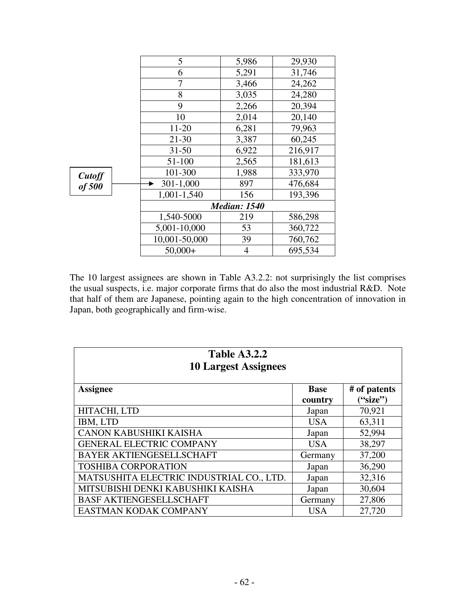|                  | 5                   | 5,986          | 29,930  |
|------------------|---------------------|----------------|---------|
|                  | 6                   | 5,291          | 31,746  |
|                  | 7                   | 3,466          | 24,262  |
|                  | 8                   | 3,035          | 24,280  |
|                  | 9                   | 2,266          | 20,394  |
|                  | 10                  | 2,014          | 20,140  |
|                  | 11-20               | 6,281          | 79,963  |
|                  | $21 - 30$           | 3,387          | 60,245  |
|                  | $31 - 50$           | 6,922          | 216,917 |
| Cutoff<br>of 500 | 51-100              | 2,565          | 181,613 |
|                  | 101-300             | 1,988          | 333,970 |
|                  | $301 - 1,000$       | 897            | 476,684 |
|                  | 1,001-1,540         | 156            | 193,396 |
|                  | <b>Median: 1540</b> |                |         |
|                  | 1,540-5000          | 219            | 586,298 |
|                  | 5,001-10,000        | 53             | 360,722 |
|                  | 10,001-50,000       | 39             | 760,762 |
|                  | $50,000+$           | $\overline{4}$ | 695,534 |

The 10 largest assignees are shown in Table A3.2.2: not surprisingly the list comprises the usual suspects, i.e. major corporate firms that do also the most industrial R&D. Note that half of them are Japanese, pointing again to the high concentration of innovation in Japan, both geographically and firm-wise.

| <b>Table A3.2.2</b><br><b>10 Largest Assignees</b> |                        |                          |  |  |
|----------------------------------------------------|------------------------|--------------------------|--|--|
| <b>Assignee</b>                                    | <b>Base</b><br>country | # of patents<br>("size") |  |  |
| HITACHI, LTD                                       | Japan                  | 70,921                   |  |  |
| IBM, LTD                                           | <b>USA</b>             | 63,311                   |  |  |
| CANON KABUSHIKI KAISHA                             | Japan                  | 52,994                   |  |  |
| <b>GENERAL ELECTRIC COMPANY</b>                    | <b>USA</b>             | 38,297                   |  |  |
| BAYER AKTIENGESELLSCHAFT                           | Germany                | 37,200                   |  |  |
| <b>TOSHIBA CORPORATION</b>                         | Japan                  | 36,290                   |  |  |
| MATSUSHITA ELECTRIC INDUSTRIAL CO., LTD.           | Japan                  | 32,316                   |  |  |
| MITSUBISHI DENKI KABUSHIKI KAISHA                  | Japan                  | 30,604                   |  |  |
| <b>BASF AKTIENGESELLSCHAFT</b>                     | Germany                | 27,806                   |  |  |
| EASTMAN KODAK COMPANY                              | <b>USA</b>             | 27,720                   |  |  |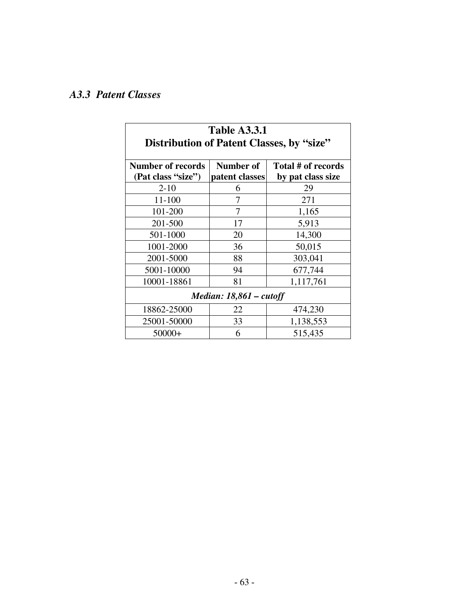# *A3.3 Patent Classes*

| <b>Table A3.3.1</b><br>Distribution of Patent Classes, by "size" |                |                    |  |  |
|------------------------------------------------------------------|----------------|--------------------|--|--|
| <b>Number of records</b>                                         | Number of      | Total # of records |  |  |
| (Pat class "size")                                               | patent classes | by pat class size  |  |  |
| $2 - 10$                                                         | 6              | 29                 |  |  |
| 11-100                                                           | 7              | 271                |  |  |
| 101-200                                                          | 7              | 1,165              |  |  |
| 201-500                                                          | 17             | 5,913              |  |  |
| 501-1000                                                         | 20             | 14,300             |  |  |
| 1001-2000                                                        | 36             | 50,015             |  |  |
| 2001-5000                                                        | 88             | 303,041            |  |  |
| 5001-10000                                                       | 94             | 677,744            |  |  |
| 10001-18861                                                      | 81             | 1,117,761          |  |  |
| Median: $18,861$ – cutoff                                        |                |                    |  |  |
| 18862-25000                                                      | 22             | 474,230            |  |  |
| 25001-50000                                                      | 33             | 1,138,553          |  |  |
| $50000+$                                                         | 6              | 515,435            |  |  |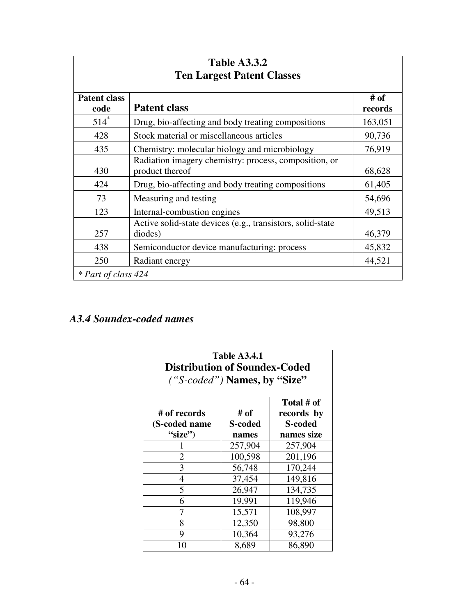| <b>Table A3.3.2</b>               |                                                                          |                 |  |  |  |  |  |
|-----------------------------------|--------------------------------------------------------------------------|-----------------|--|--|--|--|--|
| <b>Ten Largest Patent Classes</b> |                                                                          |                 |  |  |  |  |  |
| <b>Patent class</b><br>code       | <b>Patent class</b>                                                      | # of<br>records |  |  |  |  |  |
| $514$ <sup>*</sup>                | Drug, bio-affecting and body treating compositions                       | 163,051         |  |  |  |  |  |
| 428                               | Stock material or miscellaneous articles                                 | 90,736          |  |  |  |  |  |
| 435                               | Chemistry: molecular biology and microbiology                            | 76,919          |  |  |  |  |  |
| 430                               | Radiation imagery chemistry: process, composition, or<br>product thereof | 68,628          |  |  |  |  |  |
| 424                               | Drug, bio-affecting and body treating compositions                       | 61,405          |  |  |  |  |  |
| 73                                | Measuring and testing                                                    | 54,696          |  |  |  |  |  |
| 123                               | Internal-combustion engines                                              | 49,513          |  |  |  |  |  |
| 257                               | Active solid-state devices (e.g., transistors, solid-state<br>diodes)    | 46,379          |  |  |  |  |  |
| 438                               | Semiconductor device manufacturing: process                              | 45,832          |  |  |  |  |  |
| 250                               | Radiant energy                                                           | 44,521          |  |  |  |  |  |
| * Part of class 424               |                                                                          |                 |  |  |  |  |  |

# *A3.4 Soundex-coded names*

| <b>Table A3.4.1</b><br><b>Distribution of Soundex-Coded</b><br>("S-coded") Names, by "Size"                                       |         |         |  |  |  |  |  |  |
|-----------------------------------------------------------------------------------------------------------------------------------|---------|---------|--|--|--|--|--|--|
| Total # of<br># of<br># of records<br>records by<br><b>S-coded</b><br>(S-coded name)<br>S-coded<br>"size")<br>names size<br>names |         |         |  |  |  |  |  |  |
|                                                                                                                                   | 257,904 | 257,904 |  |  |  |  |  |  |
| $\overline{2}$                                                                                                                    | 100,598 | 201,196 |  |  |  |  |  |  |
| 3                                                                                                                                 | 56,748  | 170,244 |  |  |  |  |  |  |
| 4                                                                                                                                 | 37,454  | 149,816 |  |  |  |  |  |  |
| 5                                                                                                                                 | 26,947  | 134,735 |  |  |  |  |  |  |
| 6                                                                                                                                 | 19,991  | 119,946 |  |  |  |  |  |  |
| 7                                                                                                                                 | 15,571  | 108,997 |  |  |  |  |  |  |
| 8                                                                                                                                 | 12,350  | 98,800  |  |  |  |  |  |  |
| 9                                                                                                                                 | 10,364  | 93,276  |  |  |  |  |  |  |
| 10                                                                                                                                | 8,689   | 86,890  |  |  |  |  |  |  |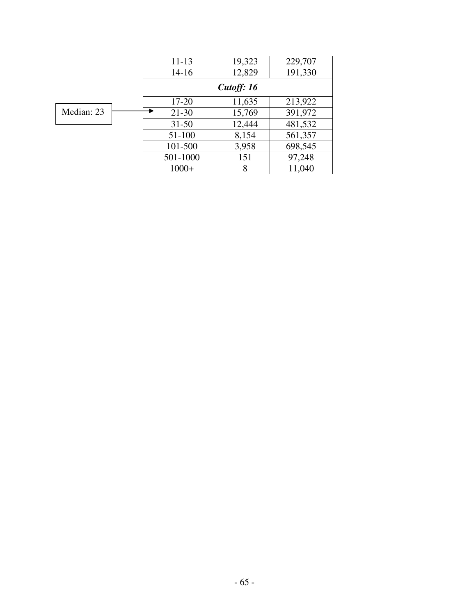|            | $11 - 13$ | 19,323     | 229,707 |  |  |  |  |  |
|------------|-----------|------------|---------|--|--|--|--|--|
|            | $14 - 16$ | 12,829     | 191,330 |  |  |  |  |  |
|            |           | Cutoff: 16 |         |  |  |  |  |  |
|            | $17 - 20$ | 11,635     | 213,922 |  |  |  |  |  |
| Median: 23 | $21 - 30$ | 15,769     | 391,972 |  |  |  |  |  |
|            | $31 - 50$ | 12,444     | 481,532 |  |  |  |  |  |
|            | 51-100    | 8,154      | 561,357 |  |  |  |  |  |
|            | 101-500   | 3,958      | 698,545 |  |  |  |  |  |
|            | 501-1000  | 151        | 97,248  |  |  |  |  |  |
|            | $1000+$   | 8          | 11,040  |  |  |  |  |  |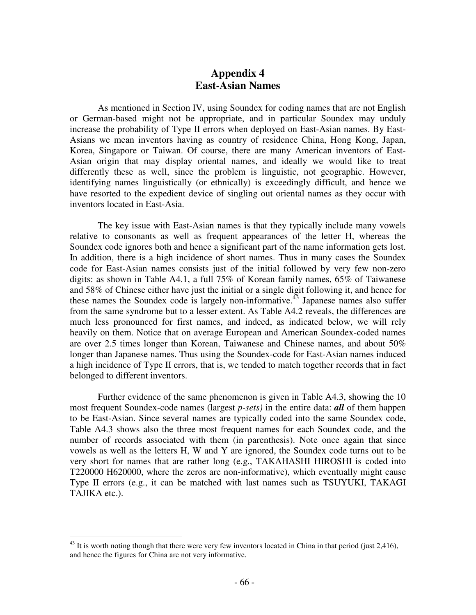### **Appendix 4 East-Asian Names**

As mentioned in Section IV, using Soundex for coding names that are not English or German-based might not be appropriate, and in particular Soundex may unduly increase the probability of Type II errors when deployed on East-Asian names. By East-Asians we mean inventors having as country of residence China, Hong Kong, Japan, Korea, Singapore or Taiwan. Of course, there are many American inventors of East-Asian origin that may display oriental names, and ideally we would like to treat differently these as well, since the problem is linguistic, not geographic. However, identifying names linguistically (or ethnically) is exceedingly difficult, and hence we have resorted to the expedient device of singling out oriental names as they occur with inventors located in East-Asia.

The key issue with East-Asian names is that they typically include many vowels relative to consonants as well as frequent appearances of the letter H, whereas the Soundex code ignores both and hence a significant part of the name information gets lost. In addition, there is a high incidence of short names. Thus in many cases the Soundex code for East-Asian names consists just of the initial followed by very few non-zero digits: as shown in Table A4.1, a full 75% of Korean family names, 65% of Taiwanese and 58% of Chinese either have just the initial or a single digit following it, and hence for these names the Soundex code is largely non-informative.<sup>43</sup> Japanese names also suffer from the same syndrome but to a lesser extent. As Table A4.2 reveals, the differences are much less pronounced for first names, and indeed, as indicated below, we will rely heavily on them. Notice that on average European and American Soundex-coded names are over 2.5 times longer than Korean, Taiwanese and Chinese names, and about 50% longer than Japanese names. Thus using the Soundex-code for East-Asian names induced a high incidence of Type II errors, that is, we tended to match together records that in fact belonged to different inventors.

Further evidence of the same phenomenon is given in Table A4.3, showing the 10 most frequent Soundex-code names (largest *p-sets)* in the entire data: *all* of them happen to be East-Asian. Since several names are typically coded into the same Soundex code, Table A4.3 shows also the three most frequent names for each Soundex code, and the number of records associated with them (in parenthesis). Note once again that since vowels as well as the letters H, W and Y are ignored, the Soundex code turns out to be very short for names that are rather long (e.g., TAKAHASHI HIROSHI is coded into T220000 H620000, where the zeros are non-informative), which eventually might cause Type II errors (e.g., it can be matched with last names such as TSUYUKI, TAKAGI TAJIKA etc.).

 $43$  It is worth noting though that there were very few inventors located in China in that period (just 2,416), and hence the figures for China are not very informative.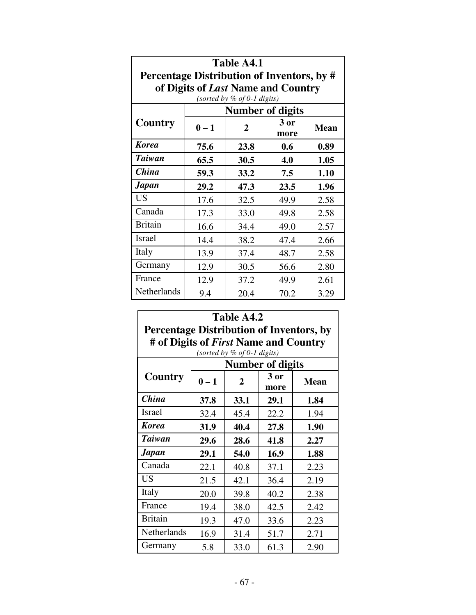| Table A4.1                                 |         |                             |        |      |  |  |  |  |
|--------------------------------------------|---------|-----------------------------|--------|------|--|--|--|--|
| Percentage Distribution of Inventors, by # |         |                             |        |      |  |  |  |  |
| of Digits of Last Name and Country         |         |                             |        |      |  |  |  |  |
|                                            |         | (sorted by % of 0-1 digits) |        |      |  |  |  |  |
|                                            |         | <b>Number of digits</b>     |        |      |  |  |  |  |
| Country                                    | $0 - 1$ | $\overline{2}$              | $3$ or |      |  |  |  |  |
|                                            |         | 23.8                        | more   |      |  |  |  |  |
| <b>Korea</b>                               | 75.6    | 0.6                         | 0.89   |      |  |  |  |  |
| <b>Taiwan</b>                              | 65.5    | 30.5                        | 4.0    | 1.05 |  |  |  |  |
| <b>China</b>                               | 59.3    | 33.2                        | 7.5    | 1.10 |  |  |  |  |
| <b>Japan</b>                               | 29.2    | 47.3                        | 23.5   | 1.96 |  |  |  |  |
| <b>US</b>                                  | 17.6    | 32.5                        | 49.9   | 2.58 |  |  |  |  |
| Canada                                     | 17.3    | 33.0                        | 49.8   | 2.58 |  |  |  |  |
| <b>Britain</b>                             | 16.6    | 34.4                        | 49.0   | 2.57 |  |  |  |  |
| <b>Israel</b>                              | 14.4    | 38.2                        | 47.4   | 2.66 |  |  |  |  |
| Italy                                      | 13.9    | 37.4                        | 48.7   | 2.58 |  |  |  |  |
| Germany                                    | 12.9    | 30.5                        | 56.6   | 2.80 |  |  |  |  |
| France                                     | 12.9    | 37.2                        | 49.9   | 2.61 |  |  |  |  |
| Netherlands                                | 9.4     | 20.4                        | 70.2   | 3.29 |  |  |  |  |

| Table A4.2<br><b>Percentage Distribution of Inventors, by</b>          |         |              |              |             |  |  |  |  |  |
|------------------------------------------------------------------------|---------|--------------|--------------|-------------|--|--|--|--|--|
| # of Digits of First Name and Country<br>(sorted by $%$ of 0-1 digits) |         |              |              |             |  |  |  |  |  |
| <b>Number of digits</b>                                                |         |              |              |             |  |  |  |  |  |
| Country                                                                | $0 - 1$ | $\mathbf{2}$ | 3 or<br>more | <b>Mean</b> |  |  |  |  |  |
| <b>China</b>                                                           | 37.8    | 33.1         | 29.1         | 1.84        |  |  |  |  |  |
| <b>Israel</b>                                                          | 32.4    | 45.4         | 22.2         | 1.94        |  |  |  |  |  |
| <b>Korea</b>                                                           | 31.9    | 40.4         | 27.8         | 1.90        |  |  |  |  |  |
| <b>Taiwan</b>                                                          | 29.6    | 28.6         | 41.8         | 2.27        |  |  |  |  |  |
| Japan                                                                  | 29.1    | 54.0         | 16.9         | 1.88        |  |  |  |  |  |
| Canada                                                                 | 22.1    | 40.8         | 37.1         | 2.23        |  |  |  |  |  |
| <b>US</b>                                                              | 21.5    | 42.1         | 36.4         | 2.19        |  |  |  |  |  |
| Italy                                                                  | 20.0    | 39.8         | 40.2         | 2.38        |  |  |  |  |  |
| France                                                                 | 19.4    | 38.0         | 42.5         | 2.42        |  |  |  |  |  |
| <b>Britain</b>                                                         | 19.3    | 47.0         | 33.6         | 2.23        |  |  |  |  |  |
| Netherlands                                                            | 16.9    | 31.4         | 51.7         | 2.71        |  |  |  |  |  |
| Germany                                                                | 5.8     | 33.0         | 61.3         | 2.90        |  |  |  |  |  |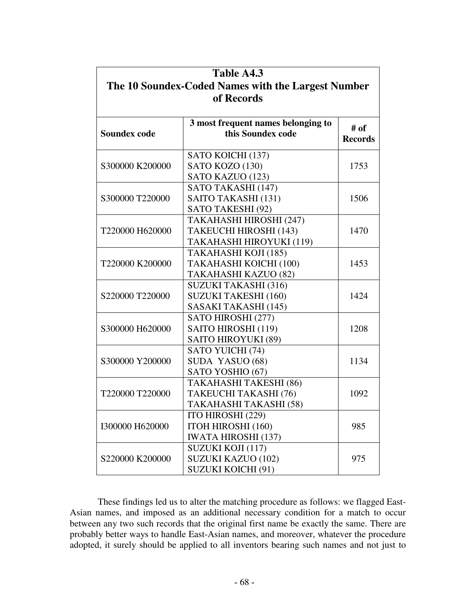| Table A4.3                                         |                                    |                |  |  |  |  |  |  |
|----------------------------------------------------|------------------------------------|----------------|--|--|--|--|--|--|
| The 10 Soundex-Coded Names with the Largest Number |                                    |                |  |  |  |  |  |  |
| of Records                                         |                                    |                |  |  |  |  |  |  |
|                                                    |                                    |                |  |  |  |  |  |  |
|                                                    | 3 most frequent names belonging to | # of           |  |  |  |  |  |  |
| <b>Soundex code</b>                                | this Soundex code                  | <b>Records</b> |  |  |  |  |  |  |
|                                                    | SATO KOICHI (137)                  |                |  |  |  |  |  |  |
| S300000 K200000                                    | SATO KOZO (130)                    | 1753           |  |  |  |  |  |  |
|                                                    | SATO KAZUO (123)                   |                |  |  |  |  |  |  |
|                                                    | SATO TAKASHI (147)                 |                |  |  |  |  |  |  |
| S300000 T220000                                    | SAITO TAKASHI (131)                | 1506           |  |  |  |  |  |  |
|                                                    | SATO TAKESHI (92)                  |                |  |  |  |  |  |  |
|                                                    | TAKAHASHI HIROSHI (247)            |                |  |  |  |  |  |  |
| T220000 H620000                                    | TAKEUCHI HIROSHI (143)             | 1470           |  |  |  |  |  |  |
|                                                    | TAKAHASHI HIROYUKI (119)           |                |  |  |  |  |  |  |
|                                                    | TAKAHASHI KOJI (185)               |                |  |  |  |  |  |  |
| T220000 K200000                                    | TAKAHASHI KOICHI (100)             | 1453           |  |  |  |  |  |  |
|                                                    | TAKAHASHI KAZUO (82)               |                |  |  |  |  |  |  |
|                                                    | <b>SUZUKI TAKASHI (316)</b>        |                |  |  |  |  |  |  |
| S220000 T220000                                    | SUZUKI TAKESHI (160)               | 1424           |  |  |  |  |  |  |
|                                                    | SASAKI TAKASHI (145)               |                |  |  |  |  |  |  |
|                                                    | SATO HIROSHI (277)                 |                |  |  |  |  |  |  |
| S300000 H620000                                    | SAITO HIROSHI (119)                | 1208           |  |  |  |  |  |  |
|                                                    | SAITO HIROYUKI (89)                |                |  |  |  |  |  |  |
|                                                    | SATO YUICHI (74)                   |                |  |  |  |  |  |  |
| S300000 Y200000                                    | SUDA YASUO (68)                    | 1134           |  |  |  |  |  |  |
|                                                    | SATO YOSHIO (67)                   |                |  |  |  |  |  |  |
|                                                    | TAKAHASHI TAKESHI (86)             |                |  |  |  |  |  |  |
| T220000 T220000                                    | TAKEUCHI TAKASHI (76)              | 1092           |  |  |  |  |  |  |
|                                                    | TAKAHASHI TAKASHI (58)             |                |  |  |  |  |  |  |
|                                                    | ITO HIROSHI (229)                  |                |  |  |  |  |  |  |
| I300000 H620000                                    | ITOH HIROSHI (160)                 | 985            |  |  |  |  |  |  |
|                                                    | <b>IWATA HIROSHI (137)</b>         |                |  |  |  |  |  |  |
|                                                    | SUZUKI KOJI (117)                  |                |  |  |  |  |  |  |
| S220000 K200000                                    | SUZUKI KAZUO (102)                 | 975            |  |  |  |  |  |  |
|                                                    | <b>SUZUKI KOICHI (91)</b>          |                |  |  |  |  |  |  |

These findings led us to alter the matching procedure as follows: we flagged East-Asian names, and imposed as an additional necessary condition for a match to occur between any two such records that the original first name be exactly the same. There are probably better ways to handle East-Asian names, and moreover, whatever the procedure adopted, it surely should be applied to all inventors bearing such names and not just to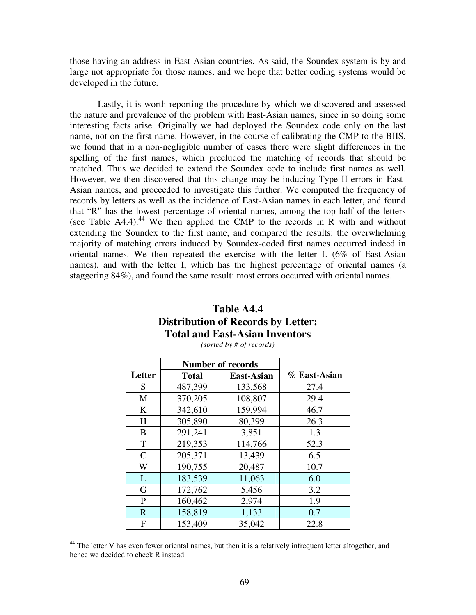those having an address in East-Asian countries. As said, the Soundex system is by and large not appropriate for those names, and we hope that better coding systems would be developed in the future.

Lastly, it is worth reporting the procedure by which we discovered and assessed the nature and prevalence of the problem with East-Asian names, since in so doing some interesting facts arise. Originally we had deployed the Soundex code only on the last name, not on the first name. However, in the course of calibrating the CMP to the BIIS, we found that in a non-negligible number of cases there were slight differences in the spelling of the first names, which precluded the matching of records that should be matched. Thus we decided to extend the Soundex code to include first names as well. However, we then discovered that this change may be inducing Type II errors in East-Asian names, and proceeded to investigate this further. We computed the frequency of records by letters as well as the incidence of East-Asian names in each letter, and found that "R" has the lowest percentage of oriental names, among the top half of the letters (see Table A4.4). <sup>44</sup> We then applied the CMP to the records in R with and without extending the Soundex to the first name, and compared the results: the overwhelming majority of matching errors induced by Soundex-coded first names occurred indeed in oriental names. We then repeated the exercise with the letter L (6% of East-Asian names), and with the letter I, which has the highest percentage of oriental names (a staggering 84%), and found the same result: most errors occurred with oriental names.

| Table A4.4<br><b>Distribution of Records by Letter:</b><br><b>Total and East-Asian Inventors</b><br>(sorted by # of records) |                          |            |              |  |  |  |  |  |  |  |
|------------------------------------------------------------------------------------------------------------------------------|--------------------------|------------|--------------|--|--|--|--|--|--|--|
|                                                                                                                              | <b>Number of records</b> |            |              |  |  |  |  |  |  |  |
| Letter                                                                                                                       | <b>Total</b>             | East-Asian | % East-Asian |  |  |  |  |  |  |  |
| S                                                                                                                            | 487,399                  | 133,568    | 27.4         |  |  |  |  |  |  |  |
| M                                                                                                                            | 370,205                  | 108,807    | 29.4         |  |  |  |  |  |  |  |
| K                                                                                                                            | 342,610                  | 159,994    | 46.7         |  |  |  |  |  |  |  |
| H                                                                                                                            | 305,890                  | 80,399     | 26.3         |  |  |  |  |  |  |  |
| B                                                                                                                            | 291,241                  | 3,851      | 1.3          |  |  |  |  |  |  |  |
| T                                                                                                                            | 219,353                  | 114,766    | 52.3         |  |  |  |  |  |  |  |
| $\overline{C}$                                                                                                               | 205,371                  | 13,439     | 6.5          |  |  |  |  |  |  |  |
| W                                                                                                                            | 190,755                  | 20,487     | 10.7         |  |  |  |  |  |  |  |
| L                                                                                                                            | 183,539                  | 11,063     | 6.0          |  |  |  |  |  |  |  |
| G                                                                                                                            | 172,762                  | 5,456      | 3.2          |  |  |  |  |  |  |  |
| P                                                                                                                            | 160,462                  | 2,974      | 1.9          |  |  |  |  |  |  |  |
| $\mathbb{R}$                                                                                                                 | 158,819                  | 1,133      | 0.7          |  |  |  |  |  |  |  |
| F                                                                                                                            | 153,409                  | 35,042     | 22.8         |  |  |  |  |  |  |  |

<sup>&</sup>lt;sup>44</sup> The letter V has even fewer oriental names, but then it is a relatively infrequent letter altogether, and hence we decided to check R instead.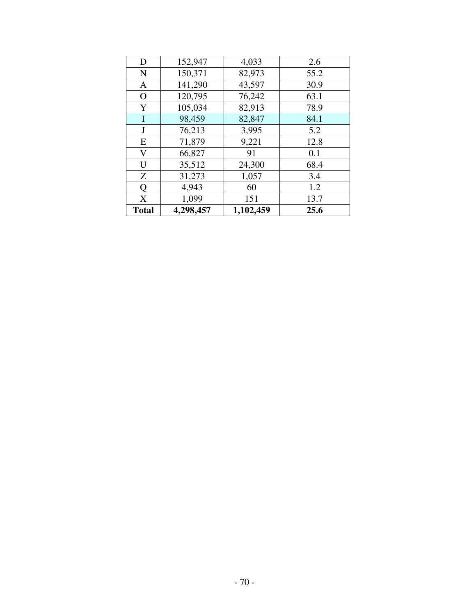| D            | 152,947   | 4,033     | 2.6  |
|--------------|-----------|-----------|------|
| $\mathbf N$  | 150,371   | 82,973    | 55.2 |
| $\mathbf{A}$ | 141,290   | 43,597    | 30.9 |
| $\mathbf O$  | 120,795   | 76,242    | 63.1 |
| Y            | 105,034   | 82,913    | 78.9 |
| I            | 98,459    | 82,847    | 84.1 |
| J            | 76,213    | 3,995     | 5.2  |
| E            | 71,879    | 9,221     | 12.8 |
| V            | 66,827    | 91        | 0.1  |
| U            | 35,512    | 24,300    | 68.4 |
| Z            | 31,273    | 1,057     | 3.4  |
| Q            | 4,943     | 60        | 1.2  |
| X            | 1,099     | 151       | 13.7 |
| <b>Total</b> | 4,298,457 | 1,102,459 | 25.6 |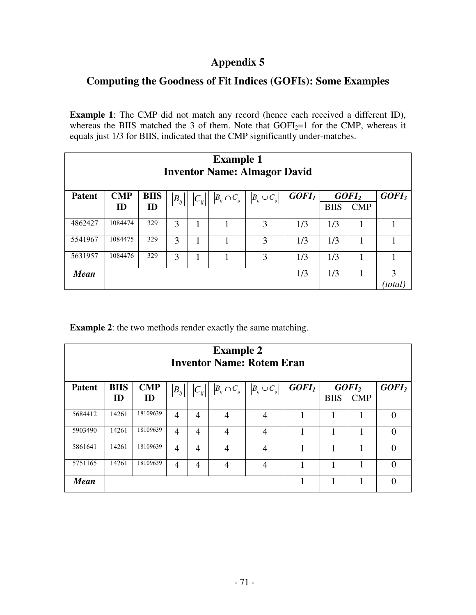## **Appendix 5**

### **Computing the Goodness of Fit Indices (GOFIs): Some Examples**

**Example 1**: The CMP did not match any record (hence each received a different ID), whereas the BIIS matched the 3 of them. Note that  $GOFI_2=1$  for the CMP, whereas it equals just 1/3 for BIIS, indicated that the CMP significantly under-matches.

| <b>Example 1</b><br><b>Inventor Name: Almagor David</b> |            |             |          |                          |                                  |                                  |                   |             |                   |                   |
|---------------------------------------------------------|------------|-------------|----------|--------------------------|----------------------------------|----------------------------------|-------------------|-------------|-------------------|-------------------|
| <b>Patent</b>                                           | <b>CMP</b> | <b>BIIS</b> | $B_{ij}$ | $\left C_{_{ij}}\right $ | $\left B_{ij}\cap C_{ij}\right $ | $\left B_{ij}\cup C_{ij}\right $ | GOFI <sub>I</sub> |             | GOFI <sub>2</sub> | GOFI <sub>3</sub> |
|                                                         | ID         | ID          |          |                          |                                  |                                  |                   | <b>BIIS</b> | <b>CMP</b>        |                   |
| 4862427                                                 | 1084474    | 329         | 3        |                          |                                  | 3                                | 1/3               | 1/3         |                   |                   |
| 5541967                                                 | 1084475    | 329         | 3        |                          |                                  | 3                                | 1/3               | 1/3         |                   |                   |
| 5631957                                                 | 1084476    | 329         | 3        |                          |                                  | 3                                | 1/3               | 1/3         |                   |                   |
| <b>Mean</b>                                             |            |             |          |                          |                                  |                                  | 1/3               | 1/3         |                   | 3                 |
|                                                         |            |             |          |                          |                                  |                                  |                   |             |                   | 'total            |

**Example 2**: the two methods render exactly the same matching.

| <b>Example 2</b><br><b>Inventor Name: Rotem Eran</b> |             |            |                        |                          |                                  |                                  |                   |             |                   |                   |  |
|------------------------------------------------------|-------------|------------|------------------------|--------------------------|----------------------------------|----------------------------------|-------------------|-------------|-------------------|-------------------|--|
| <b>Patent</b>                                        | <b>BIIS</b> | <b>CMP</b> | $\left B_{i j}\right $ | $\left C_{_{ij}}\right $ | $\left B_{ij}\cap C_{ij}\right $ | $\left B_{ij}\cup C_{ij}\right $ | GOFI <sub>1</sub> |             | GOFI <sub>2</sub> | GOFI <sub>3</sub> |  |
|                                                      | ID          | ID         |                        |                          |                                  |                                  |                   | <b>BIIS</b> | <b>CMP</b>        |                   |  |
| 5684412                                              | 14261       | 18109639   | $\overline{4}$         | 4                        | $\overline{4}$                   | 4                                |                   | 1           |                   | 0                 |  |
| 5903490                                              | 14261       | 18109639   | $\overline{4}$         | 4                        | $\overline{4}$                   | 4                                |                   |             |                   | 0                 |  |
| 5861641                                              | 14261       | 18109639   | $\overline{4}$         | 4                        | 4                                | 4                                |                   |             |                   | 0                 |  |
| 5751165                                              | 14261       | 18109639   | 4                      | 4                        | 4                                | 4                                |                   |             |                   | 0                 |  |
| <b>Mean</b>                                          |             |            |                        |                          |                                  |                                  |                   |             |                   | 0                 |  |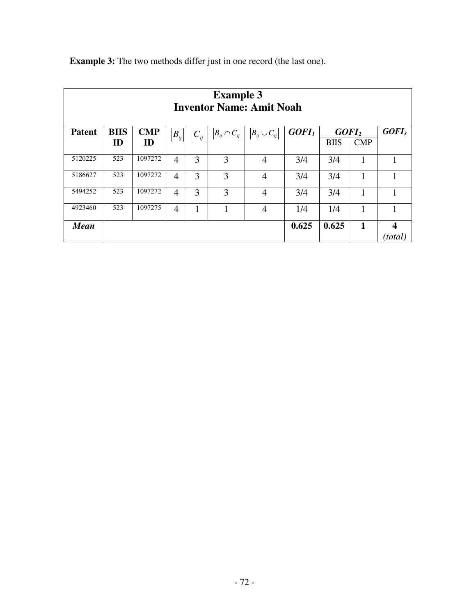| <b>Example 3</b><br><b>Inventor Name: Amit Noah</b> |             |                |                |                                  |                      |                      |                   |                   |             |                   |
|-----------------------------------------------------|-------------|----------------|----------------|----------------------------------|----------------------|----------------------|-------------------|-------------------|-------------|-------------------|
| <b>Patent</b>                                       | <b>BIIS</b> | $\mathbf{CMP}$ | $B_{ij}$       | $\left C_{\overline{ij}}\right $ | $B_{ij} \cap C_{ij}$ | $B_{ij} \cup C_{ij}$ | GOFI <sub>1</sub> | GOFI <sub>2</sub> |             | GOFI <sub>3</sub> |
|                                                     | ID          | ID             |                |                                  |                      |                      |                   | <b>BIIS</b>       | <b>CMP</b>  |                   |
| 5120225                                             | 523         | 1097272        | $\overline{4}$ | 3                                | 3                    | 4                    | 3/4               | 3/4               | 1           |                   |
| 5186627                                             | 523         | 1097272        | $\overline{4}$ | 3                                | 3                    | 4                    | 3/4               | 3/4               | 1           | 1                 |
| 5494252                                             | 523         | 1097272        | 4              | 3                                | 3                    | 4                    | 3/4               | 3/4               | 1           |                   |
| 4923460                                             | 523         | 1097275        | $\overline{4}$ | 1                                |                      | $\overline{4}$       | 1/4               | 1/4               | 1           | 1                 |
| <b>Mean</b>                                         |             |                |                |                                  |                      |                      | 0.625             | 0.625             | $\mathbf 1$ | 4<br>(total)      |

**Example 3:** The two methods differ just in one record (the last one).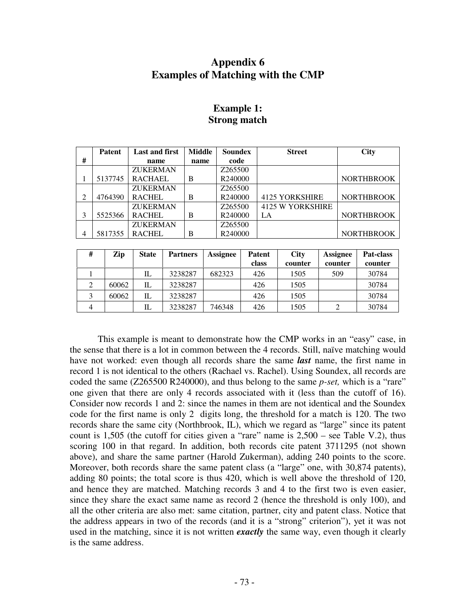## **Appendix 6 Examples of Matching with the CMP**

|                | <b>Patent</b> | <b>Last and first</b> | Middle | <b>Soundex</b> | <b>Street</b>           | <b>City</b>       |
|----------------|---------------|-----------------------|--------|----------------|-------------------------|-------------------|
| #              |               | name                  | name   | code           |                         |                   |
|                |               | <b>ZUKERMAN</b>       |        | Z265500        |                         |                   |
|                | 5137745       | <b>RACHAEL</b>        | B      | R240000        |                         | <b>NORTHBROOK</b> |
|                |               | <b>ZUKERMAN</b>       |        | Z265500        |                         |                   |
| 2              | 4764390       | <b>RACHEL</b>         | B      | R240000        | <b>4125 YORKSHIRE</b>   | <b>NORTHBROOK</b> |
|                |               | <b>ZUKERMAN</b>       |        | Z265500        | <b>4125 W YORKSHIRE</b> |                   |
| 3              | 5525366       | <b>RACHEL</b>         | B      | R240000        | LA                      | <b>NORTHBROOK</b> |
|                |               | <b>ZUKERMAN</b>       |        | Z265500        |                         |                   |
| $\overline{4}$ | 5817355       | <b>RACHEL</b>         | B      | R240000        |                         | <b>NORTHBROOK</b> |
|                |               |                       |        |                |                         |                   |

## **Example 1: Strong match**

| # | Zip   | <b>State</b> | <b>Partners</b> | Assignee | <b>Patent</b><br>class | <b>City</b><br>counter | <b>Assignee</b><br>counter | Pat-class<br>counter |
|---|-------|--------------|-----------------|----------|------------------------|------------------------|----------------------------|----------------------|
|   |       | IL           | 3238287         | 682323   | 426                    | 1505                   | 509                        | 30784                |
| ∠ | 60062 | IL           | 3238287         |          | 426                    | 1505                   |                            | 30784                |
|   | 60062 | IL           | 3238287         |          | 426                    | 1505                   |                            | 30784                |
|   |       | IL           | 3238287         | 746348   | 426                    | 1505                   |                            | 30784                |

This example is meant to demonstrate how the CMP works in an "easy" case, in the sense that there is a lot in common between the 4 records. Still, naïve matching would have not worked: even though all records share the same *last* name, the first name in record 1 is not identical to the others (Rachael vs. Rachel). Using Soundex, all records are coded the same (Z265500 R240000), and thus belong to the same *p-set,* which is a "rare" one given that there are only 4 records associated with it (less than the cutoff of 16). Consider now records 1 and 2: since the names in them are not identical and the Soundex code for the first name is only 2 digits long, the threshold for a match is 120. The two records share the same city (Northbrook, IL), which we regard as "large" since its patent count is 1,505 (the cutoff for cities given a "rare" name is 2,500 – see Table V.2), thus scoring 100 in that regard. In addition, both records cite patent 3711295 (not shown above), and share the same partner (Harold Zukerman), adding 240 points to the score. Moreover, both records share the same patent class (a "large" one, with 30,874 patents), adding 80 points; the total score is thus 420, which is well above the threshold of 120, and hence they are matched. Matching records 3 and 4 to the first two is even easier, since they share the exact same name as record 2 (hence the threshold is only 100), and all the other criteria are also met: same citation, partner, city and patent class. Notice that the address appears in two of the records (and it is a "strong" criterion"), yet it was not used in the matching, since it is not written *exactly* the same way, even though it clearly is the same address.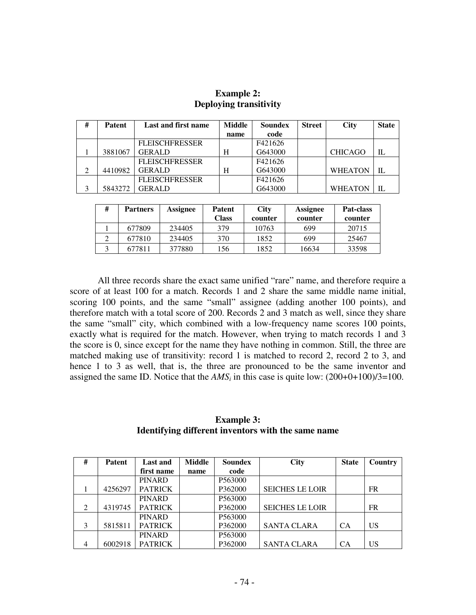| # | <b>Patent</b> | Last and first name   | Middle | Soundex | <b>Street</b> | <b>City</b>    | <b>State</b> |
|---|---------------|-----------------------|--------|---------|---------------|----------------|--------------|
|   |               |                       | name   | code    |               |                |              |
|   |               | <b>FLEISCHFRESSER</b> |        | F421626 |               |                |              |
|   | 3881067       | <b>GERALD</b>         | H      | G643000 |               | <b>CHICAGO</b> | IL           |
|   |               | <b>FLEISCHFRESSER</b> |        | F421626 |               |                |              |
| 2 | 4410982       | <b>GERALD</b>         | Н      | G643000 |               | <b>WHEATON</b> | IL           |
|   |               | <b>FLEISCHFRESSER</b> |        | F421626 |               |                |              |
|   | 5843272       | GERALD                |        | G643000 |               | <b>WHEATON</b> | IL           |

## **Example 2: Deploying transitivity**

| # | <b>Partners</b> | Assignee | <b>Patent</b><br>Class | <b>City</b><br>counter | <b>Assignee</b><br>counter | Pat-class<br>counter |
|---|-----------------|----------|------------------------|------------------------|----------------------------|----------------------|
|   | 677809          | 234405   | 379                    | 10763                  | 699                        | 20715                |
|   | 677810          | 234405   | 370                    | 1852                   | 699                        | 25467                |
|   | 677811          | 377880   | 156                    | 1852                   | 16634                      | 33598                |

All three records share the exact same unified "rare" name, and therefore require a score of at least 100 for a match. Records 1 and 2 share the same middle name initial, scoring 100 points, and the same "small" assignee (adding another 100 points), and therefore match with a total score of 200. Records 2 and 3 match as well, since they share the same "small" city, which combined with a low-frequency name scores 100 points, exactly what is required for the match. However, when trying to match records 1 and 3 the score is 0, since except for the name they have nothing in common. Still, the three are matched making use of transitivity: record 1 is matched to record 2, record 2 to 3, and hence 1 to 3 as well, that is, the three are pronounced to be the same inventor and assigned the same ID. Notice that the  $AMS_i$  in this case is quite low:  $(200+0+100)/3=100$ .

## **Example 3: Identifying different inventors with the same name**

| #              | <b>Patent</b> | <b>Last and</b> | <b>Middle</b> | <b>Soundex</b> | <b>City</b>            | <b>State</b> | Country   |
|----------------|---------------|-----------------|---------------|----------------|------------------------|--------------|-----------|
|                |               | first name      | name          | code           |                        |              |           |
|                |               | <b>PINARD</b>   |               | P563000        |                        |              |           |
|                | 4256297       | <b>PATRICK</b>  |               | P362000        | <b>SEICHES LE LOIR</b> |              | <b>FR</b> |
|                |               | <b>PINARD</b>   |               | P563000        |                        |              |           |
| 2              | 4319745       | <b>PATRICK</b>  |               | P362000        | <b>SEICHES LE LOIR</b> |              | <b>FR</b> |
|                |               | <b>PINARD</b>   |               | P563000        |                        |              |           |
| 3              | 5815811       | <b>PATRICK</b>  |               | P362000        | <b>SANTA CLARA</b>     | <b>CA</b>    | <b>US</b> |
|                |               | <b>PINARD</b>   |               | P563000        |                        |              |           |
| $\overline{4}$ | 6002918       | <b>PATRICK</b>  |               | P362000        | <b>SANTA CLARA</b>     | CA           | US        |